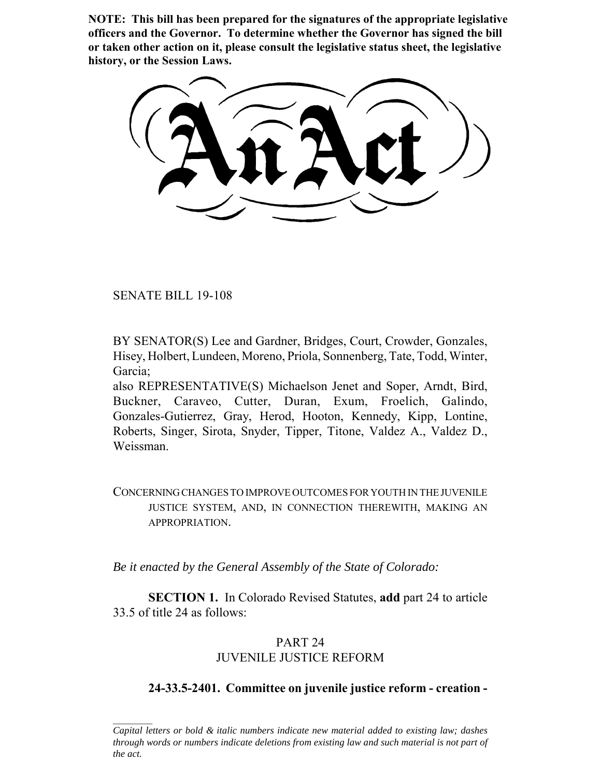**NOTE: This bill has been prepared for the signatures of the appropriate legislative officers and the Governor. To determine whether the Governor has signed the bill or taken other action on it, please consult the legislative status sheet, the legislative history, or the Session Laws.**

SENATE BILL 19-108

BY SENATOR(S) Lee and Gardner, Bridges, Court, Crowder, Gonzales, Hisey, Holbert, Lundeen, Moreno, Priola, Sonnenberg, Tate, Todd, Winter, Garcia;

also REPRESENTATIVE(S) Michaelson Jenet and Soper, Arndt, Bird, Buckner, Caraveo, Cutter, Duran, Exum, Froelich, Galindo, Gonzales-Gutierrez, Gray, Herod, Hooton, Kennedy, Kipp, Lontine, Roberts, Singer, Sirota, Snyder, Tipper, Titone, Valdez A., Valdez D., Weissman.

CONCERNING CHANGES TO IMPROVE OUTCOMES FOR YOUTH IN THE JUVENILE JUSTICE SYSTEM, AND, IN CONNECTION THEREWITH, MAKING AN APPROPRIATION.

*Be it enacted by the General Assembly of the State of Colorado:*

**SECTION 1.** In Colorado Revised Statutes, **add** part 24 to article 33.5 of title 24 as follows:

# PART 24 JUVENILE JUSTICE REFORM

# **24-33.5-2401. Committee on juvenile justice reform - creation -**

*Capital letters or bold & italic numbers indicate new material added to existing law; dashes through words or numbers indicate deletions from existing law and such material is not part of the act.*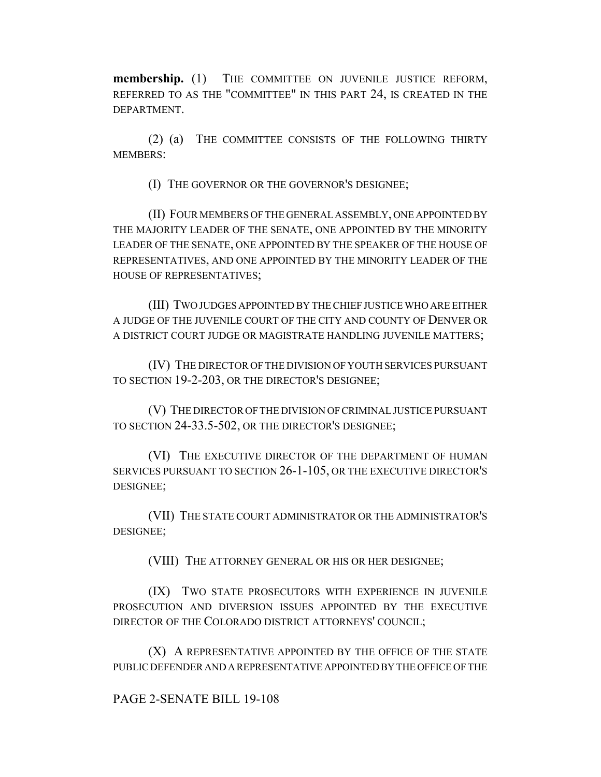**membership.** (1) THE COMMITTEE ON JUVENILE JUSTICE REFORM, REFERRED TO AS THE "COMMITTEE" IN THIS PART 24, IS CREATED IN THE DEPARTMENT.

(2) (a) THE COMMITTEE CONSISTS OF THE FOLLOWING THIRTY MEMBERS:

(I) THE GOVERNOR OR THE GOVERNOR'S DESIGNEE;

(II) FOUR MEMBERS OF THE GENERAL ASSEMBLY, ONE APPOINTED BY THE MAJORITY LEADER OF THE SENATE, ONE APPOINTED BY THE MINORITY LEADER OF THE SENATE, ONE APPOINTED BY THE SPEAKER OF THE HOUSE OF REPRESENTATIVES, AND ONE APPOINTED BY THE MINORITY LEADER OF THE HOUSE OF REPRESENTATIVES;

(III) TWO JUDGES APPOINTED BY THE CHIEF JUSTICE WHO ARE EITHER A JUDGE OF THE JUVENILE COURT OF THE CITY AND COUNTY OF DENVER OR A DISTRICT COURT JUDGE OR MAGISTRATE HANDLING JUVENILE MATTERS;

(IV) THE DIRECTOR OF THE DIVISION OF YOUTH SERVICES PURSUANT TO SECTION 19-2-203, OR THE DIRECTOR'S DESIGNEE;

(V) THE DIRECTOR OF THE DIVISION OF CRIMINAL JUSTICE PURSUANT TO SECTION 24-33.5-502, OR THE DIRECTOR'S DESIGNEE;

(VI) THE EXECUTIVE DIRECTOR OF THE DEPARTMENT OF HUMAN SERVICES PURSUANT TO SECTION 26-1-105, OR THE EXECUTIVE DIRECTOR'S DESIGNEE;

(VII) THE STATE COURT ADMINISTRATOR OR THE ADMINISTRATOR'S DESIGNEE;

(VIII) THE ATTORNEY GENERAL OR HIS OR HER DESIGNEE;

(IX) TWO STATE PROSECUTORS WITH EXPERIENCE IN JUVENILE PROSECUTION AND DIVERSION ISSUES APPOINTED BY THE EXECUTIVE DIRECTOR OF THE COLORADO DISTRICT ATTORNEYS' COUNCIL;

(X) A REPRESENTATIVE APPOINTED BY THE OFFICE OF THE STATE PUBLIC DEFENDER AND A REPRESENTATIVE APPOINTED BY THE OFFICE OF THE

# PAGE 2-SENATE BILL 19-108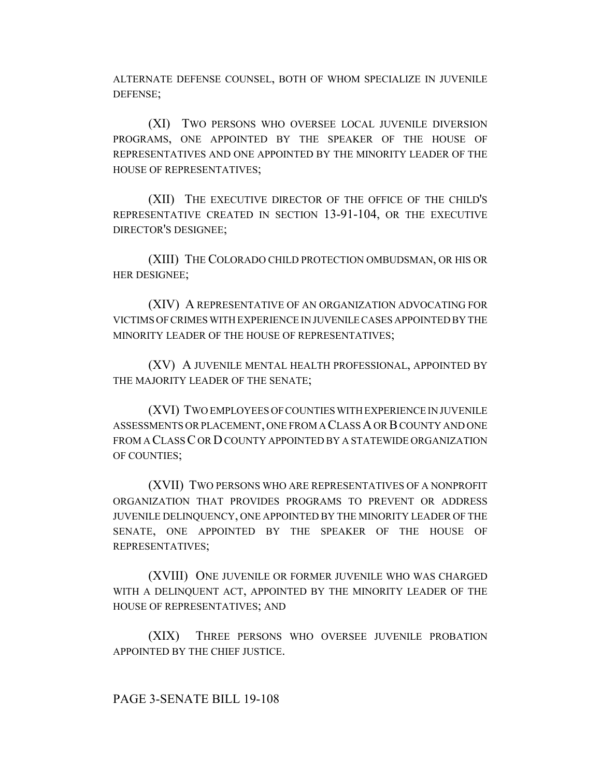ALTERNATE DEFENSE COUNSEL, BOTH OF WHOM SPECIALIZE IN JUVENILE DEFENSE;

(XI) TWO PERSONS WHO OVERSEE LOCAL JUVENILE DIVERSION PROGRAMS, ONE APPOINTED BY THE SPEAKER OF THE HOUSE OF REPRESENTATIVES AND ONE APPOINTED BY THE MINORITY LEADER OF THE HOUSE OF REPRESENTATIVES;

(XII) THE EXECUTIVE DIRECTOR OF THE OFFICE OF THE CHILD'S REPRESENTATIVE CREATED IN SECTION 13-91-104, OR THE EXECUTIVE DIRECTOR'S DESIGNEE;

(XIII) THE COLORADO CHILD PROTECTION OMBUDSMAN, OR HIS OR HER DESIGNEE;

(XIV) A REPRESENTATIVE OF AN ORGANIZATION ADVOCATING FOR VICTIMS OF CRIMES WITH EXPERIENCE IN JUVENILE CASES APPOINTED BY THE MINORITY LEADER OF THE HOUSE OF REPRESENTATIVES;

(XV) A JUVENILE MENTAL HEALTH PROFESSIONAL, APPOINTED BY THE MAJORITY LEADER OF THE SENATE;

(XVI) TWO EMPLOYEES OF COUNTIES WITH EXPERIENCE IN JUVENILE ASSESSMENTS OR PLACEMENT, ONE FROM A CLASS A OR B COUNTY AND ONE FROM A CLASS C OR D COUNTY APPOINTED BY A STATEWIDE ORGANIZATION OF COUNTIES;

(XVII) TWO PERSONS WHO ARE REPRESENTATIVES OF A NONPROFIT ORGANIZATION THAT PROVIDES PROGRAMS TO PREVENT OR ADDRESS JUVENILE DELINQUENCY, ONE APPOINTED BY THE MINORITY LEADER OF THE SENATE, ONE APPOINTED BY THE SPEAKER OF THE HOUSE OF REPRESENTATIVES;

(XVIII) ONE JUVENILE OR FORMER JUVENILE WHO WAS CHARGED WITH A DELINQUENT ACT, APPOINTED BY THE MINORITY LEADER OF THE HOUSE OF REPRESENTATIVES; AND

(XIX) THREE PERSONS WHO OVERSEE JUVENILE PROBATION APPOINTED BY THE CHIEF JUSTICE.

PAGE 3-SENATE BILL 19-108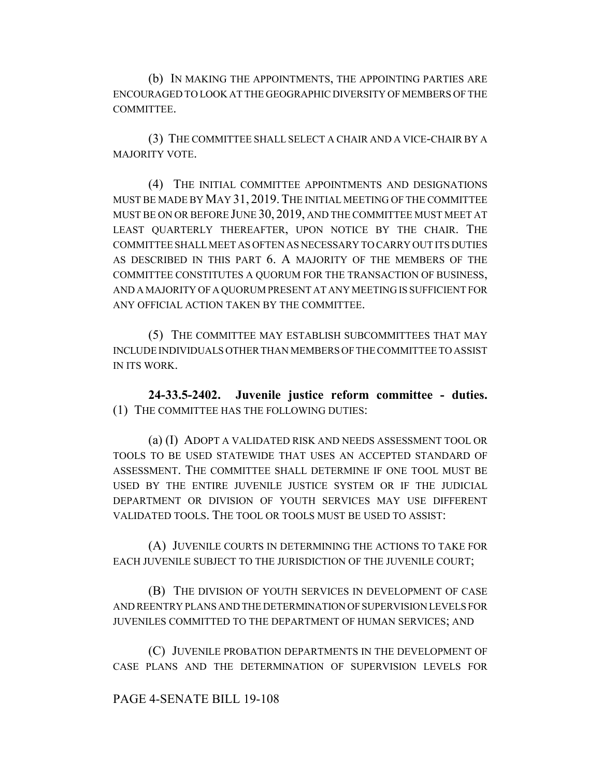(b) IN MAKING THE APPOINTMENTS, THE APPOINTING PARTIES ARE ENCOURAGED TO LOOK AT THE GEOGRAPHIC DIVERSITY OF MEMBERS OF THE COMMITTEE.

(3) THE COMMITTEE SHALL SELECT A CHAIR AND A VICE-CHAIR BY A MAJORITY VOTE.

(4) THE INITIAL COMMITTEE APPOINTMENTS AND DESIGNATIONS MUST BE MADE BY MAY 31, 2019.THE INITIAL MEETING OF THE COMMITTEE MUST BE ON OR BEFORE JUNE 30, 2019, AND THE COMMITTEE MUST MEET AT LEAST QUARTERLY THEREAFTER, UPON NOTICE BY THE CHAIR. THE COMMITTEE SHALL MEET AS OFTEN AS NECESSARY TO CARRY OUT ITS DUTIES AS DESCRIBED IN THIS PART 6. A MAJORITY OF THE MEMBERS OF THE COMMITTEE CONSTITUTES A QUORUM FOR THE TRANSACTION OF BUSINESS, AND A MAJORITY OF A QUORUM PRESENT AT ANY MEETING IS SUFFICIENT FOR ANY OFFICIAL ACTION TAKEN BY THE COMMITTEE.

(5) THE COMMITTEE MAY ESTABLISH SUBCOMMITTEES THAT MAY INCLUDE INDIVIDUALS OTHER THAN MEMBERS OF THE COMMITTEE TO ASSIST IN ITS WORK.

**24-33.5-2402. Juvenile justice reform committee - duties.** (1) THE COMMITTEE HAS THE FOLLOWING DUTIES:

(a) (I) ADOPT A VALIDATED RISK AND NEEDS ASSESSMENT TOOL OR TOOLS TO BE USED STATEWIDE THAT USES AN ACCEPTED STANDARD OF ASSESSMENT. THE COMMITTEE SHALL DETERMINE IF ONE TOOL MUST BE USED BY THE ENTIRE JUVENILE JUSTICE SYSTEM OR IF THE JUDICIAL DEPARTMENT OR DIVISION OF YOUTH SERVICES MAY USE DIFFERENT VALIDATED TOOLS. THE TOOL OR TOOLS MUST BE USED TO ASSIST:

(A) JUVENILE COURTS IN DETERMINING THE ACTIONS TO TAKE FOR EACH JUVENILE SUBJECT TO THE JURISDICTION OF THE JUVENILE COURT;

(B) THE DIVISION OF YOUTH SERVICES IN DEVELOPMENT OF CASE AND REENTRY PLANS AND THE DETERMINATION OF SUPERVISION LEVELS FOR JUVENILES COMMITTED TO THE DEPARTMENT OF HUMAN SERVICES; AND

(C) JUVENILE PROBATION DEPARTMENTS IN THE DEVELOPMENT OF CASE PLANS AND THE DETERMINATION OF SUPERVISION LEVELS FOR

# PAGE 4-SENATE BILL 19-108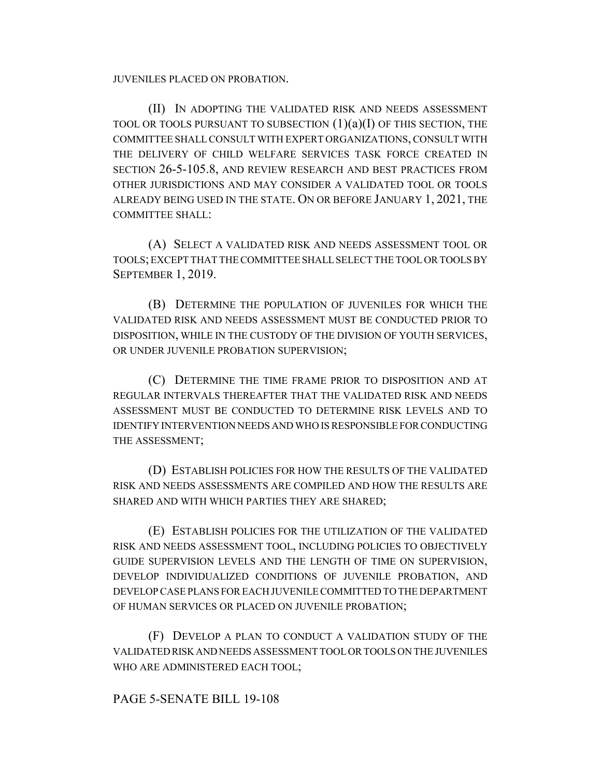JUVENILES PLACED ON PROBATION.

(II) IN ADOPTING THE VALIDATED RISK AND NEEDS ASSESSMENT TOOL OR TOOLS PURSUANT TO SUBSECTION  $(1)(a)(I)$  OF THIS SECTION, THE COMMITTEE SHALL CONSULT WITH EXPERT ORGANIZATIONS, CONSULT WITH THE DELIVERY OF CHILD WELFARE SERVICES TASK FORCE CREATED IN SECTION 26-5-105.8, AND REVIEW RESEARCH AND BEST PRACTICES FROM OTHER JURISDICTIONS AND MAY CONSIDER A VALIDATED TOOL OR TOOLS ALREADY BEING USED IN THE STATE. ON OR BEFORE JANUARY 1, 2021, THE COMMITTEE SHALL:

(A) SELECT A VALIDATED RISK AND NEEDS ASSESSMENT TOOL OR TOOLS; EXCEPT THAT THE COMMITTEE SHALL SELECT THE TOOL OR TOOLS BY SEPTEMBER 1, 2019.

(B) DETERMINE THE POPULATION OF JUVENILES FOR WHICH THE VALIDATED RISK AND NEEDS ASSESSMENT MUST BE CONDUCTED PRIOR TO DISPOSITION, WHILE IN THE CUSTODY OF THE DIVISION OF YOUTH SERVICES, OR UNDER JUVENILE PROBATION SUPERVISION;

(C) DETERMINE THE TIME FRAME PRIOR TO DISPOSITION AND AT REGULAR INTERVALS THEREAFTER THAT THE VALIDATED RISK AND NEEDS ASSESSMENT MUST BE CONDUCTED TO DETERMINE RISK LEVELS AND TO IDENTIFY INTERVENTION NEEDS AND WHO IS RESPONSIBLE FOR CONDUCTING THE ASSESSMENT;

(D) ESTABLISH POLICIES FOR HOW THE RESULTS OF THE VALIDATED RISK AND NEEDS ASSESSMENTS ARE COMPILED AND HOW THE RESULTS ARE SHARED AND WITH WHICH PARTIES THEY ARE SHARED;

(E) ESTABLISH POLICIES FOR THE UTILIZATION OF THE VALIDATED RISK AND NEEDS ASSESSMENT TOOL, INCLUDING POLICIES TO OBJECTIVELY GUIDE SUPERVISION LEVELS AND THE LENGTH OF TIME ON SUPERVISION, DEVELOP INDIVIDUALIZED CONDITIONS OF JUVENILE PROBATION, AND DEVELOP CASE PLANS FOR EACH JUVENILE COMMITTED TO THE DEPARTMENT OF HUMAN SERVICES OR PLACED ON JUVENILE PROBATION;

(F) DEVELOP A PLAN TO CONDUCT A VALIDATION STUDY OF THE VALIDATED RISK AND NEEDS ASSESSMENT TOOL OR TOOLS ON THE JUVENILES WHO ARE ADMINISTERED EACH TOOL;

# PAGE 5-SENATE BILL 19-108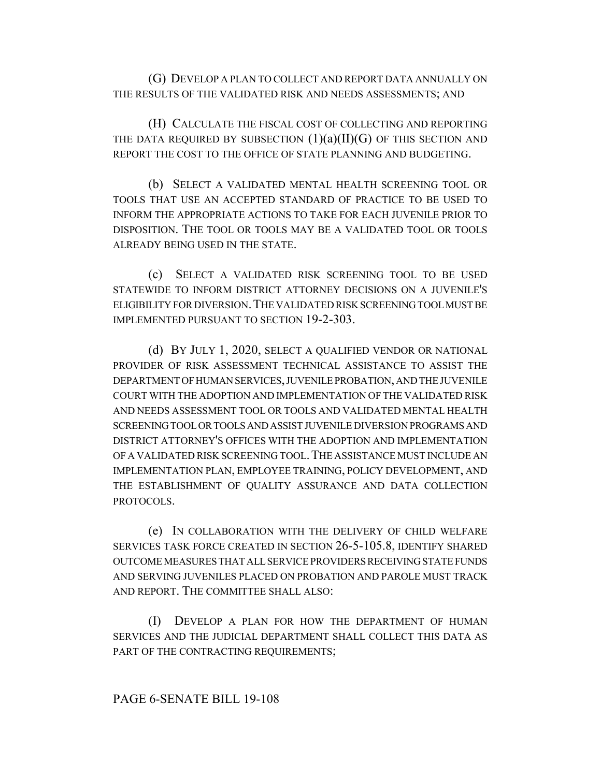(G) DEVELOP A PLAN TO COLLECT AND REPORT DATA ANNUALLY ON THE RESULTS OF THE VALIDATED RISK AND NEEDS ASSESSMENTS; AND

(H) CALCULATE THE FISCAL COST OF COLLECTING AND REPORTING THE DATA REQUIRED BY SUBSECTION  $(1)(a)(II)(G)$  OF THIS SECTION AND REPORT THE COST TO THE OFFICE OF STATE PLANNING AND BUDGETING.

(b) SELECT A VALIDATED MENTAL HEALTH SCREENING TOOL OR TOOLS THAT USE AN ACCEPTED STANDARD OF PRACTICE TO BE USED TO INFORM THE APPROPRIATE ACTIONS TO TAKE FOR EACH JUVENILE PRIOR TO DISPOSITION. THE TOOL OR TOOLS MAY BE A VALIDATED TOOL OR TOOLS ALREADY BEING USED IN THE STATE.

(c) SELECT A VALIDATED RISK SCREENING TOOL TO BE USED STATEWIDE TO INFORM DISTRICT ATTORNEY DECISIONS ON A JUVENILE'S ELIGIBILITY FOR DIVERSION.THE VALIDATED RISK SCREENING TOOL MUST BE IMPLEMENTED PURSUANT TO SECTION 19-2-303.

(d) BY JULY 1, 2020, SELECT A QUALIFIED VENDOR OR NATIONAL PROVIDER OF RISK ASSESSMENT TECHNICAL ASSISTANCE TO ASSIST THE DEPARTMENT OF HUMAN SERVICES, JUVENILE PROBATION, AND THE JUVENILE COURT WITH THE ADOPTION AND IMPLEMENTATION OF THE VALIDATED RISK AND NEEDS ASSESSMENT TOOL OR TOOLS AND VALIDATED MENTAL HEALTH SCREENING TOOL OR TOOLS AND ASSIST JUVENILE DIVERSION PROGRAMS AND DISTRICT ATTORNEY'S OFFICES WITH THE ADOPTION AND IMPLEMENTATION OF A VALIDATED RISK SCREENING TOOL.THE ASSISTANCE MUST INCLUDE AN IMPLEMENTATION PLAN, EMPLOYEE TRAINING, POLICY DEVELOPMENT, AND THE ESTABLISHMENT OF QUALITY ASSURANCE AND DATA COLLECTION PROTOCOLS.

(e) IN COLLABORATION WITH THE DELIVERY OF CHILD WELFARE SERVICES TASK FORCE CREATED IN SECTION 26-5-105.8, IDENTIFY SHARED OUTCOME MEASURES THAT ALL SERVICE PROVIDERS RECEIVING STATE FUNDS AND SERVING JUVENILES PLACED ON PROBATION AND PAROLE MUST TRACK AND REPORT. THE COMMITTEE SHALL ALSO:

(I) DEVELOP A PLAN FOR HOW THE DEPARTMENT OF HUMAN SERVICES AND THE JUDICIAL DEPARTMENT SHALL COLLECT THIS DATA AS PART OF THE CONTRACTING REQUIREMENTS;

# PAGE 6-SENATE BILL 19-108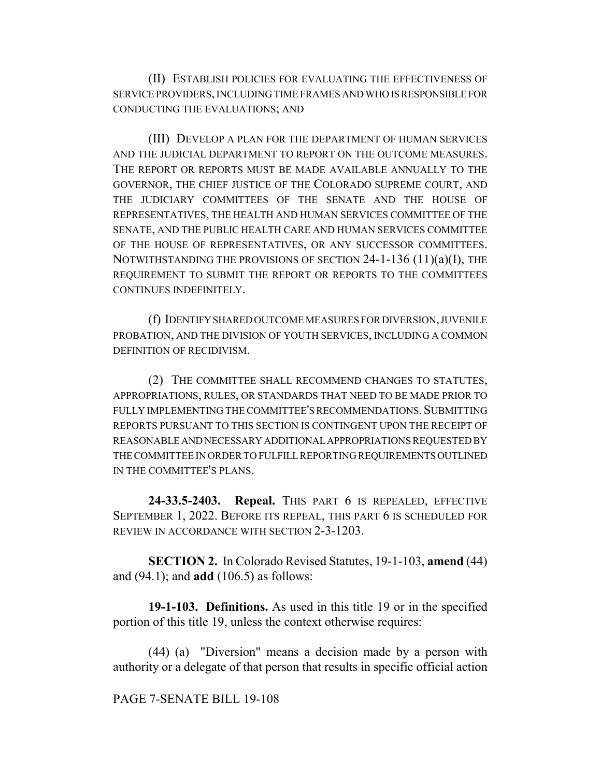(II) ESTABLISH POLICIES FOR EVALUATING THE EFFECTIVENESS OF SERVICE PROVIDERS, INCLUDING TIME FRAMES AND WHO IS RESPONSIBLE FOR CONDUCTING THE EVALUATIONS; AND

(III) DEVELOP A PLAN FOR THE DEPARTMENT OF HUMAN SERVICES AND THE JUDICIAL DEPARTMENT TO REPORT ON THE OUTCOME MEASURES. THE REPORT OR REPORTS MUST BE MADE AVAILABLE ANNUALLY TO THE GOVERNOR, THE CHIEF JUSTICE OF THE COLORADO SUPREME COURT, AND THE JUDICIARY COMMITTEES OF THE SENATE AND THE HOUSE OF REPRESENTATIVES, THE HEALTH AND HUMAN SERVICES COMMITTEE OF THE SENATE, AND THE PUBLIC HEALTH CARE AND HUMAN SERVICES COMMITTEE OF THE HOUSE OF REPRESENTATIVES, OR ANY SUCCESSOR COMMITTEES. NOTWITHSTANDING THE PROVISIONS OF SECTION 24-1-136 (11)(a)(I), THE REQUIREMENT TO SUBMIT THE REPORT OR REPORTS TO THE COMMITTEES CONTINUES INDEFINITELY.

(f) IDENTIFY SHARED OUTCOME MEASURES FOR DIVERSION, JUVENILE PROBATION, AND THE DIVISION OF YOUTH SERVICES, INCLUDING A COMMON DEFINITION OF RECIDIVISM.

(2) THE COMMITTEE SHALL RECOMMEND CHANGES TO STATUTES, APPROPRIATIONS, RULES, OR STANDARDS THAT NEED TO BE MADE PRIOR TO FULLY IMPLEMENTING THE COMMITTEE'S RECOMMENDATIONS. SUBMITTING REPORTS PURSUANT TO THIS SECTION IS CONTINGENT UPON THE RECEIPT OF REASONABLE AND NECESSARY ADDITIONAL APPROPRIATIONS REQUESTED BY THE COMMITTEE IN ORDER TO FULFILL REPORTING REQUIREMENTS OUTLINED IN THE COMMITTEE'S PLANS.

**24-33.5-2403. Repeal.** THIS PART 6 IS REPEALED, EFFECTIVE SEPTEMBER 1, 2022. BEFORE ITS REPEAL, THIS PART 6 IS SCHEDULED FOR REVIEW IN ACCORDANCE WITH SECTION 2-3-1203.

**SECTION 2.** In Colorado Revised Statutes, 19-1-103, **amend** (44) and (94.1); and **add** (106.5) as follows:

**19-1-103. Definitions.** As used in this title 19 or in the specified portion of this title 19, unless the context otherwise requires:

(44) (a) "Diversion" means a decision made by a person with authority or a delegate of that person that results in specific official action

# PAGE 7-SENATE BILL 19-108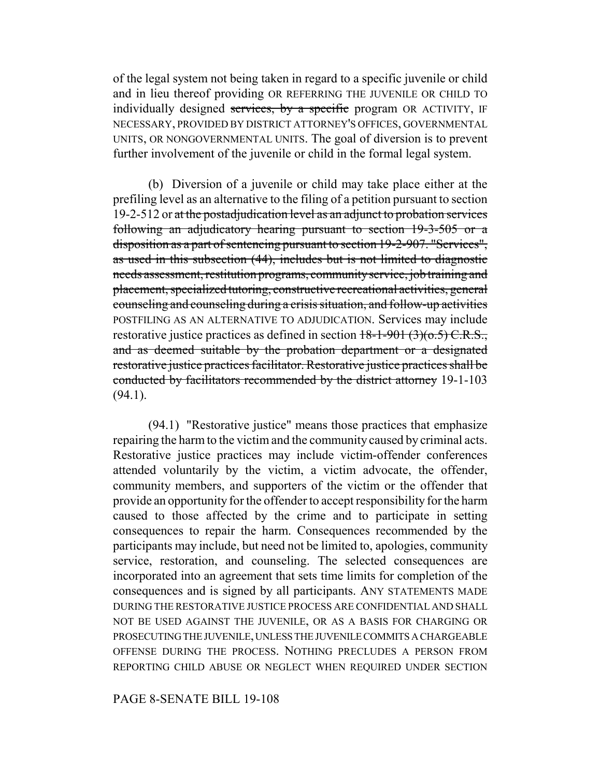of the legal system not being taken in regard to a specific juvenile or child and in lieu thereof providing OR REFERRING THE JUVENILE OR CHILD TO individually designed services, by a specific program OR ACTIVITY, IF NECESSARY, PROVIDED BY DISTRICT ATTORNEY'S OFFICES, GOVERNMENTAL UNITS, OR NONGOVERNMENTAL UNITS. The goal of diversion is to prevent further involvement of the juvenile or child in the formal legal system.

(b) Diversion of a juvenile or child may take place either at the prefiling level as an alternative to the filing of a petition pursuant to section 19-2-512 or at the postadjudication level as an adjunct to probation services following an adjudicatory hearing pursuant to section 19-3-505 or a disposition as a part of sentencing pursuant to section 19-2-907. "Services", as used in this subsection (44), includes but is not limited to diagnostic needs assessment, restitution programs, community service, job training and placement, specialized tutoring, constructive recreational activities, general counseling and counseling during a crisis situation, and follow-up activities POSTFILING AS AN ALTERNATIVE TO ADJUDICATION. Services may include restorative justice practices as defined in section  $18-1-901$  (3)( $0.5$ ) C.R.S., and as deemed suitable by the probation department or a designated restorative justice practices facilitator. Restorative justice practices shall be conducted by facilitators recommended by the district attorney 19-1-103  $(94.1)$ .

(94.1) "Restorative justice" means those practices that emphasize repairing the harm to the victim and the community caused by criminal acts. Restorative justice practices may include victim-offender conferences attended voluntarily by the victim, a victim advocate, the offender, community members, and supporters of the victim or the offender that provide an opportunity for the offender to accept responsibility for the harm caused to those affected by the crime and to participate in setting consequences to repair the harm. Consequences recommended by the participants may include, but need not be limited to, apologies, community service, restoration, and counseling. The selected consequences are incorporated into an agreement that sets time limits for completion of the consequences and is signed by all participants. ANY STATEMENTS MADE DURING THE RESTORATIVE JUSTICE PROCESS ARE CONFIDENTIAL AND SHALL NOT BE USED AGAINST THE JUVENILE, OR AS A BASIS FOR CHARGING OR PROSECUTING THE JUVENILE, UNLESS THE JUVENILE COMMITS A CHARGEABLE OFFENSE DURING THE PROCESS. NOTHING PRECLUDES A PERSON FROM REPORTING CHILD ABUSE OR NEGLECT WHEN REQUIRED UNDER SECTION

PAGE 8-SENATE BILL 19-108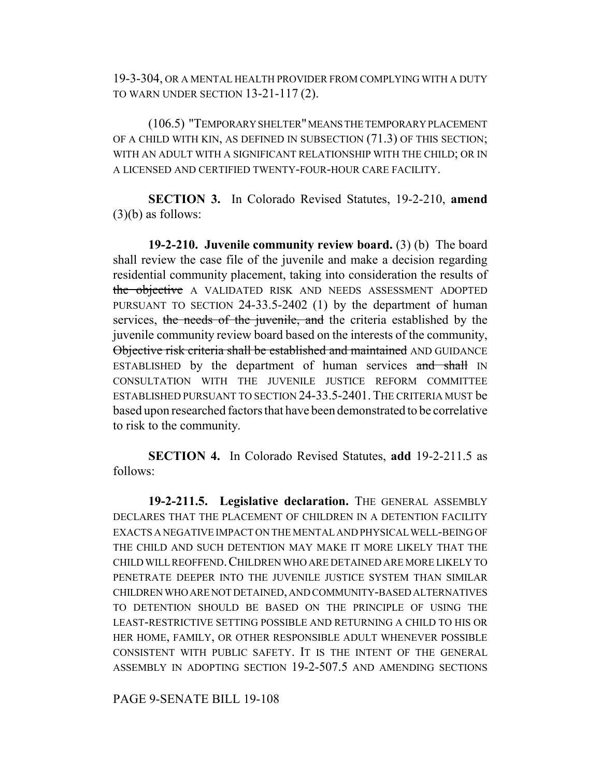19-3-304, OR A MENTAL HEALTH PROVIDER FROM COMPLYING WITH A DUTY TO WARN UNDER SECTION 13-21-117 (2).

(106.5) "TEMPORARY SHELTER" MEANS THE TEMPORARY PLACEMENT OF A CHILD WITH KIN, AS DEFINED IN SUBSECTION (71.3) OF THIS SECTION; WITH AN ADULT WITH A SIGNIFICANT RELATIONSHIP WITH THE CHILD; OR IN A LICENSED AND CERTIFIED TWENTY-FOUR-HOUR CARE FACILITY.

**SECTION 3.** In Colorado Revised Statutes, 19-2-210, **amend** (3)(b) as follows:

**19-2-210. Juvenile community review board.** (3) (b) The board shall review the case file of the juvenile and make a decision regarding residential community placement, taking into consideration the results of the objective A VALIDATED RISK AND NEEDS ASSESSMENT ADOPTED PURSUANT TO SECTION 24-33.5-2402 (1) by the department of human services, the needs of the juvenile, and the criteria established by the juvenile community review board based on the interests of the community, Objective risk criteria shall be established and maintained AND GUIDANCE ESTABLISHED by the department of human services and shall IN CONSULTATION WITH THE JUVENILE JUSTICE REFORM COMMITTEE ESTABLISHED PURSUANT TO SECTION 24-33.5-2401. THE CRITERIA MUST be based upon researched factors that have been demonstrated to be correlative to risk to the community.

**SECTION 4.** In Colorado Revised Statutes, **add** 19-2-211.5 as follows:

**19-2-211.5. Legislative declaration.** THE GENERAL ASSEMBLY DECLARES THAT THE PLACEMENT OF CHILDREN IN A DETENTION FACILITY EXACTS A NEGATIVE IMPACT ON THE MENTAL AND PHYSICAL WELL-BEING OF THE CHILD AND SUCH DETENTION MAY MAKE IT MORE LIKELY THAT THE CHILD WILL REOFFEND.CHILDREN WHO ARE DETAINED ARE MORE LIKELY TO PENETRATE DEEPER INTO THE JUVENILE JUSTICE SYSTEM THAN SIMILAR CHILDREN WHO ARE NOT DETAINED, AND COMMUNITY-BASED ALTERNATIVES TO DETENTION SHOULD BE BASED ON THE PRINCIPLE OF USING THE LEAST-RESTRICTIVE SETTING POSSIBLE AND RETURNING A CHILD TO HIS OR HER HOME, FAMILY, OR OTHER RESPONSIBLE ADULT WHENEVER POSSIBLE CONSISTENT WITH PUBLIC SAFETY. IT IS THE INTENT OF THE GENERAL ASSEMBLY IN ADOPTING SECTION 19-2-507.5 AND AMENDING SECTIONS

PAGE 9-SENATE BILL 19-108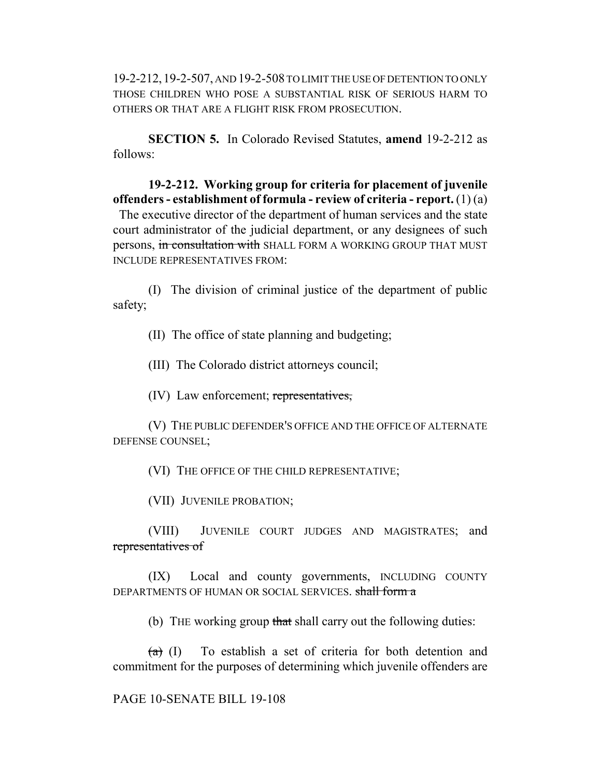19-2-212,19-2-507, AND 19-2-508 TO LIMIT THE USE OF DETENTION TO ONLY THOSE CHILDREN WHO POSE A SUBSTANTIAL RISK OF SERIOUS HARM TO OTHERS OR THAT ARE A FLIGHT RISK FROM PROSECUTION.

**SECTION 5.** In Colorado Revised Statutes, **amend** 19-2-212 as follows:

**19-2-212. Working group for criteria for placement of juvenile offenders - establishment of formula - review of criteria - report.** (1) (a)

 The executive director of the department of human services and the state court administrator of the judicial department, or any designees of such persons, in consultation with SHALL FORM A WORKING GROUP THAT MUST INCLUDE REPRESENTATIVES FROM:

(I) The division of criminal justice of the department of public safety;

(II) The office of state planning and budgeting;

(III) The Colorado district attorneys council;

(IV) Law enforcement; representatives,

(V) THE PUBLIC DEFENDER'S OFFICE AND THE OFFICE OF ALTERNATE DEFENSE COUNSEL;

(VI) THE OFFICE OF THE CHILD REPRESENTATIVE;

(VII) JUVENILE PROBATION;

(VIII) JUVENILE COURT JUDGES AND MAGISTRATES; and representatives of

(IX) Local and county governments, INCLUDING COUNTY DEPARTMENTS OF HUMAN OR SOCIAL SERVICES. shall form a

(b) THE working group that shall carry out the following duties:

 $(a)$  (I) To establish a set of criteria for both detention and commitment for the purposes of determining which juvenile offenders are

# PAGE 10-SENATE BILL 19-108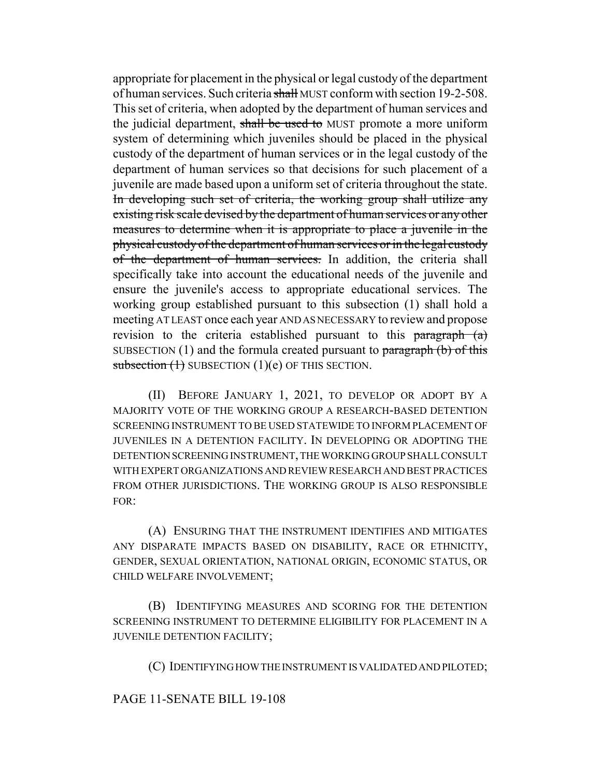appropriate for placement in the physical or legal custody of the department of human services. Such criteria shall MUST conform with section 19-2-508. This set of criteria, when adopted by the department of human services and the judicial department, shall be used to MUST promote a more uniform system of determining which juveniles should be placed in the physical custody of the department of human services or in the legal custody of the department of human services so that decisions for such placement of a juvenile are made based upon a uniform set of criteria throughout the state. In developing such set of criteria, the working group shall utilize any existing risk scale devised by the department of human services or any other measures to determine when it is appropriate to place a juvenile in the physical custody of the department of human services or in the legal custody of the department of human services. In addition, the criteria shall specifically take into account the educational needs of the juvenile and ensure the juvenile's access to appropriate educational services. The working group established pursuant to this subsection (1) shall hold a meeting AT LEAST once each year AND AS NECESSARY to review and propose revision to the criteria established pursuant to this paragraph (a) SUBSECTION  $(1)$  and the formula created pursuant to paragraph  $(b)$  of this subsection  $(1)$  SUBSECTION  $(1)(e)$  OF THIS SECTION.

(II) BEFORE JANUARY 1, 2021, TO DEVELOP OR ADOPT BY A MAJORITY VOTE OF THE WORKING GROUP A RESEARCH-BASED DETENTION SCREENING INSTRUMENT TO BE USED STATEWIDE TO INFORM PLACEMENT OF JUVENILES IN A DETENTION FACILITY. IN DEVELOPING OR ADOPTING THE DETENTION SCREENING INSTRUMENT, THE WORKING GROUP SHALL CONSULT WITH EXPERT ORGANIZATIONS AND REVIEW RESEARCH AND BEST PRACTICES FROM OTHER JURISDICTIONS. THE WORKING GROUP IS ALSO RESPONSIBLE FOR:

(A) ENSURING THAT THE INSTRUMENT IDENTIFIES AND MITIGATES ANY DISPARATE IMPACTS BASED ON DISABILITY, RACE OR ETHNICITY, GENDER, SEXUAL ORIENTATION, NATIONAL ORIGIN, ECONOMIC STATUS, OR CHILD WELFARE INVOLVEMENT;

(B) IDENTIFYING MEASURES AND SCORING FOR THE DETENTION SCREENING INSTRUMENT TO DETERMINE ELIGIBILITY FOR PLACEMENT IN A JUVENILE DETENTION FACILITY;

(C) IDENTIFYING HOW THE INSTRUMENT IS VALIDATED AND PILOTED;

# PAGE 11-SENATE BILL 19-108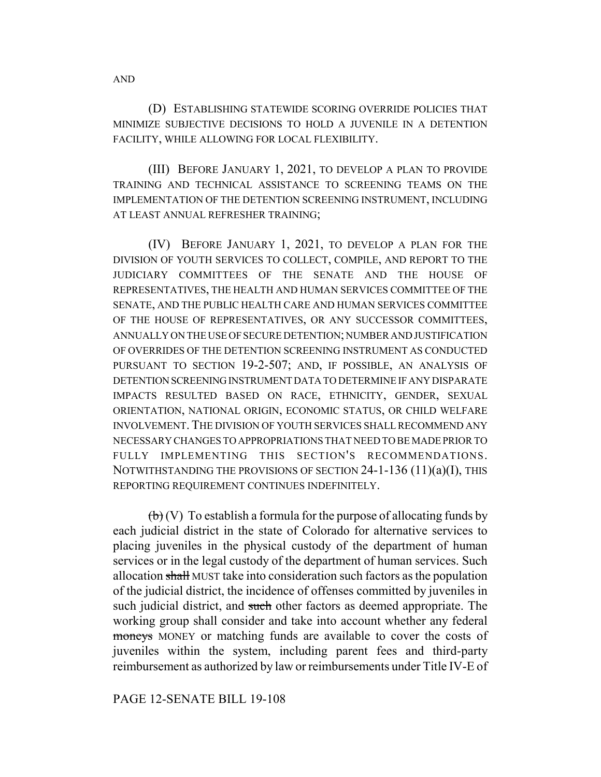(D) ESTABLISHING STATEWIDE SCORING OVERRIDE POLICIES THAT MINIMIZE SUBJECTIVE DECISIONS TO HOLD A JUVENILE IN A DETENTION FACILITY, WHILE ALLOWING FOR LOCAL FLEXIBILITY.

(III) BEFORE JANUARY 1, 2021, TO DEVELOP A PLAN TO PROVIDE TRAINING AND TECHNICAL ASSISTANCE TO SCREENING TEAMS ON THE IMPLEMENTATION OF THE DETENTION SCREENING INSTRUMENT, INCLUDING AT LEAST ANNUAL REFRESHER TRAINING;

(IV) BEFORE JANUARY 1, 2021, TO DEVELOP A PLAN FOR THE DIVISION OF YOUTH SERVICES TO COLLECT, COMPILE, AND REPORT TO THE JUDICIARY COMMITTEES OF THE SENATE AND THE HOUSE OF REPRESENTATIVES, THE HEALTH AND HUMAN SERVICES COMMITTEE OF THE SENATE, AND THE PUBLIC HEALTH CARE AND HUMAN SERVICES COMMITTEE OF THE HOUSE OF REPRESENTATIVES, OR ANY SUCCESSOR COMMITTEES, ANNUALLY ON THE USE OF SECURE DETENTION; NUMBER AND JUSTIFICATION OF OVERRIDES OF THE DETENTION SCREENING INSTRUMENT AS CONDUCTED PURSUANT TO SECTION 19-2-507; AND, IF POSSIBLE, AN ANALYSIS OF DETENTION SCREENING INSTRUMENT DATA TO DETERMINE IF ANY DISPARATE IMPACTS RESULTED BASED ON RACE, ETHNICITY, GENDER, SEXUAL ORIENTATION, NATIONAL ORIGIN, ECONOMIC STATUS, OR CHILD WELFARE INVOLVEMENT. THE DIVISION OF YOUTH SERVICES SHALL RECOMMEND ANY NECESSARY CHANGES TO APPROPRIATIONS THAT NEED TO BE MADE PRIOR TO FULLY IMPLEMENTING THIS SECTION'S RECOMMENDATIONS. NOTWITHSTANDING THE PROVISIONS OF SECTION 24-1-136 (11)(a)(I), THIS REPORTING REQUIREMENT CONTINUES INDEFINITELY.

 $\overline{(b)}$  (V) To establish a formula for the purpose of allocating funds by each judicial district in the state of Colorado for alternative services to placing juveniles in the physical custody of the department of human services or in the legal custody of the department of human services. Such allocation shall MUST take into consideration such factors as the population of the judicial district, the incidence of offenses committed by juveniles in such judicial district, and such other factors as deemed appropriate. The working group shall consider and take into account whether any federal moneys MONEY or matching funds are available to cover the costs of juveniles within the system, including parent fees and third-party reimbursement as authorized by law or reimbursements under Title IV-E of

#### PAGE 12-SENATE BILL 19-108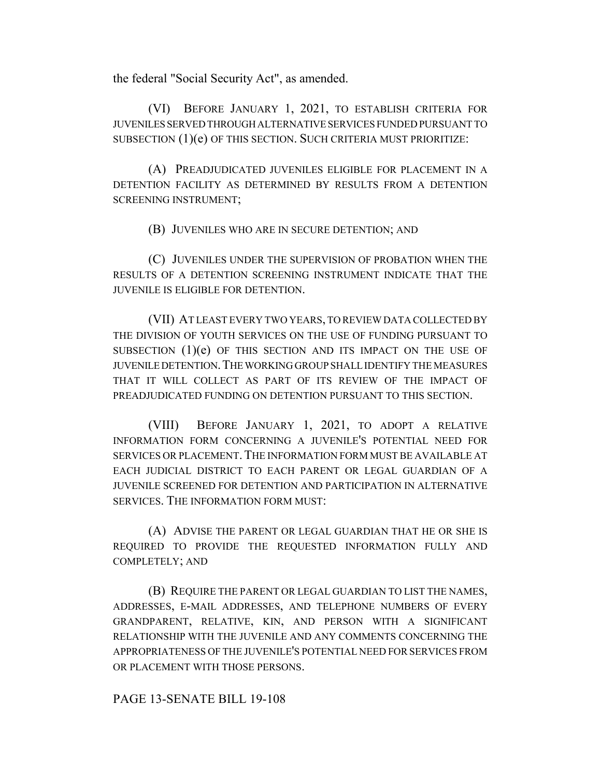the federal "Social Security Act", as amended.

(VI) BEFORE JANUARY 1, 2021, TO ESTABLISH CRITERIA FOR JUVENILES SERVED THROUGH ALTERNATIVE SERVICES FUNDED PURSUANT TO SUBSECTION (1)(e) OF THIS SECTION. SUCH CRITERIA MUST PRIORITIZE:

(A) PREADJUDICATED JUVENILES ELIGIBLE FOR PLACEMENT IN A DETENTION FACILITY AS DETERMINED BY RESULTS FROM A DETENTION SCREENING INSTRUMENT;

(B) JUVENILES WHO ARE IN SECURE DETENTION; AND

(C) JUVENILES UNDER THE SUPERVISION OF PROBATION WHEN THE RESULTS OF A DETENTION SCREENING INSTRUMENT INDICATE THAT THE JUVENILE IS ELIGIBLE FOR DETENTION.

(VII) AT LEAST EVERY TWO YEARS, TO REVIEW DATA COLLECTED BY THE DIVISION OF YOUTH SERVICES ON THE USE OF FUNDING PURSUANT TO SUBSECTION (1)(e) OF THIS SECTION AND ITS IMPACT ON THE USE OF JUVENILE DETENTION.THE WORKING GROUP SHALL IDENTIFY THE MEASURES THAT IT WILL COLLECT AS PART OF ITS REVIEW OF THE IMPACT OF PREADJUDICATED FUNDING ON DETENTION PURSUANT TO THIS SECTION.

(VIII) BEFORE JANUARY 1, 2021, TO ADOPT A RELATIVE INFORMATION FORM CONCERNING A JUVENILE'S POTENTIAL NEED FOR SERVICES OR PLACEMENT. THE INFORMATION FORM MUST BE AVAILABLE AT EACH JUDICIAL DISTRICT TO EACH PARENT OR LEGAL GUARDIAN OF A JUVENILE SCREENED FOR DETENTION AND PARTICIPATION IN ALTERNATIVE SERVICES. THE INFORMATION FORM MUST:

(A) ADVISE THE PARENT OR LEGAL GUARDIAN THAT HE OR SHE IS REQUIRED TO PROVIDE THE REQUESTED INFORMATION FULLY AND COMPLETELY; AND

(B) REQUIRE THE PARENT OR LEGAL GUARDIAN TO LIST THE NAMES, ADDRESSES, E-MAIL ADDRESSES, AND TELEPHONE NUMBERS OF EVERY GRANDPARENT, RELATIVE, KIN, AND PERSON WITH A SIGNIFICANT RELATIONSHIP WITH THE JUVENILE AND ANY COMMENTS CONCERNING THE APPROPRIATENESS OF THE JUVENILE'S POTENTIAL NEED FOR SERVICES FROM OR PLACEMENT WITH THOSE PERSONS.

# PAGE 13-SENATE BILL 19-108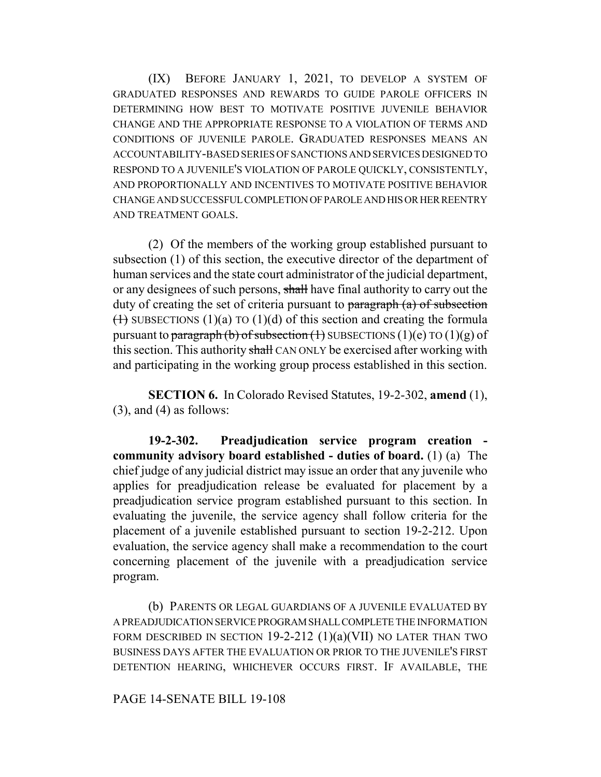(IX) BEFORE JANUARY 1, 2021, TO DEVELOP A SYSTEM OF GRADUATED RESPONSES AND REWARDS TO GUIDE PAROLE OFFICERS IN DETERMINING HOW BEST TO MOTIVATE POSITIVE JUVENILE BEHAVIOR CHANGE AND THE APPROPRIATE RESPONSE TO A VIOLATION OF TERMS AND CONDITIONS OF JUVENILE PAROLE. GRADUATED RESPONSES MEANS AN ACCOUNTABILITY-BASED SERIES OF SANCTIONS AND SERVICES DESIGNED TO RESPOND TO A JUVENILE'S VIOLATION OF PAROLE QUICKLY, CONSISTENTLY, AND PROPORTIONALLY AND INCENTIVES TO MOTIVATE POSITIVE BEHAVIOR CHANGE AND SUCCESSFUL COMPLETION OF PAROLE AND HIS OR HER REENTRY AND TREATMENT GOALS.

(2) Of the members of the working group established pursuant to subsection (1) of this section, the executive director of the department of human services and the state court administrator of the judicial department, or any designees of such persons, shall have final authority to carry out the duty of creating the set of criteria pursuant to paragraph (a) of subsection  $(1)$  SUBSECTIONS  $(1)(a)$  TO  $(1)(d)$  of this section and creating the formula pursuant to paragraph (b) of subsection (1) SUBSECTIONS (1)(e) TO (1)(g) of this section. This authority shall CAN ONLY be exercised after working with and participating in the working group process established in this section.

**SECTION 6.** In Colorado Revised Statutes, 19-2-302, **amend** (1),  $(3)$ , and  $(4)$  as follows:

**19-2-302. Preadjudication service program creation community advisory board established - duties of board.** (1) (a) The chief judge of any judicial district may issue an order that any juvenile who applies for preadjudication release be evaluated for placement by a preadjudication service program established pursuant to this section. In evaluating the juvenile, the service agency shall follow criteria for the placement of a juvenile established pursuant to section 19-2-212. Upon evaluation, the service agency shall make a recommendation to the court concerning placement of the juvenile with a preadjudication service program.

(b) PARENTS OR LEGAL GUARDIANS OF A JUVENILE EVALUATED BY A PREADJUDICATION SERVICE PROGRAM SHALL COMPLETE THE INFORMATION FORM DESCRIBED IN SECTION  $19-2-212$   $(1)(a)(VII)$  no later than two BUSINESS DAYS AFTER THE EVALUATION OR PRIOR TO THE JUVENILE'S FIRST DETENTION HEARING, WHICHEVER OCCURS FIRST. IF AVAILABLE, THE

# PAGE 14-SENATE BILL 19-108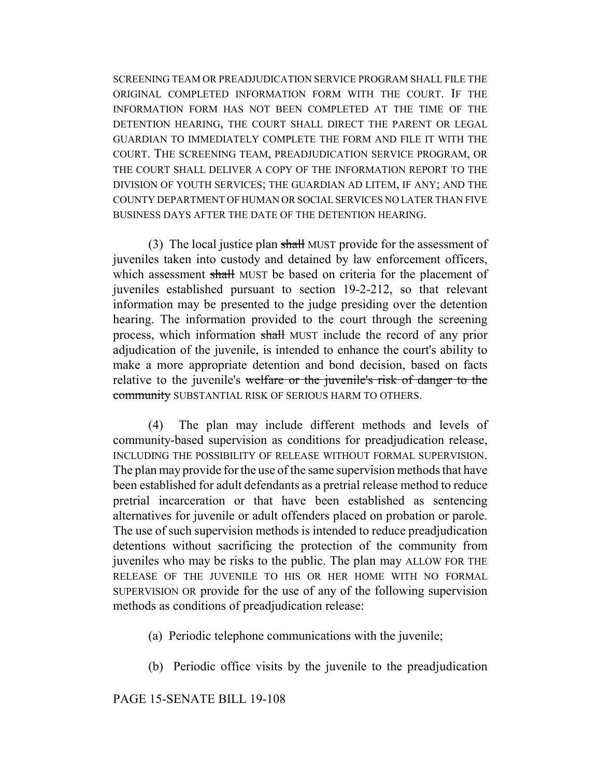SCREENING TEAM OR PREADJUDICATION SERVICE PROGRAM SHALL FILE THE ORIGINAL COMPLETED INFORMATION FORM WITH THE COURT. IF THE INFORMATION FORM HAS NOT BEEN COMPLETED AT THE TIME OF THE DETENTION HEARING, THE COURT SHALL DIRECT THE PARENT OR LEGAL GUARDIAN TO IMMEDIATELY COMPLETE THE FORM AND FILE IT WITH THE COURT. THE SCREENING TEAM, PREADJUDICATION SERVICE PROGRAM, OR THE COURT SHALL DELIVER A COPY OF THE INFORMATION REPORT TO THE DIVISION OF YOUTH SERVICES; THE GUARDIAN AD LITEM, IF ANY; AND THE COUNTY DEPARTMENT OF HUMAN OR SOCIAL SERVICES NO LATER THAN FIVE BUSINESS DAYS AFTER THE DATE OF THE DETENTION HEARING.

(3) The local justice plan shall MUST provide for the assessment of juveniles taken into custody and detained by law enforcement officers, which assessment shall MUST be based on criteria for the placement of juveniles established pursuant to section 19-2-212, so that relevant information may be presented to the judge presiding over the detention hearing. The information provided to the court through the screening process, which information shall MUST include the record of any prior adjudication of the juvenile, is intended to enhance the court's ability to make a more appropriate detention and bond decision, based on facts relative to the juvenile's welfare or the juvenile's risk of danger to the community SUBSTANTIAL RISK OF SERIOUS HARM TO OTHERS.

(4) The plan may include different methods and levels of community-based supervision as conditions for preadjudication release, INCLUDING THE POSSIBILITY OF RELEASE WITHOUT FORMAL SUPERVISION. The plan may provide for the use of the same supervision methods that have been established for adult defendants as a pretrial release method to reduce pretrial incarceration or that have been established as sentencing alternatives for juvenile or adult offenders placed on probation or parole. The use of such supervision methods is intended to reduce preadjudication detentions without sacrificing the protection of the community from juveniles who may be risks to the public. The plan may ALLOW FOR THE RELEASE OF THE JUVENILE TO HIS OR HER HOME WITH NO FORMAL SUPERVISION OR provide for the use of any of the following supervision methods as conditions of preadjudication release:

- (a) Periodic telephone communications with the juvenile;
- (b) Periodic office visits by the juvenile to the preadjudication

PAGE 15-SENATE BILL 19-108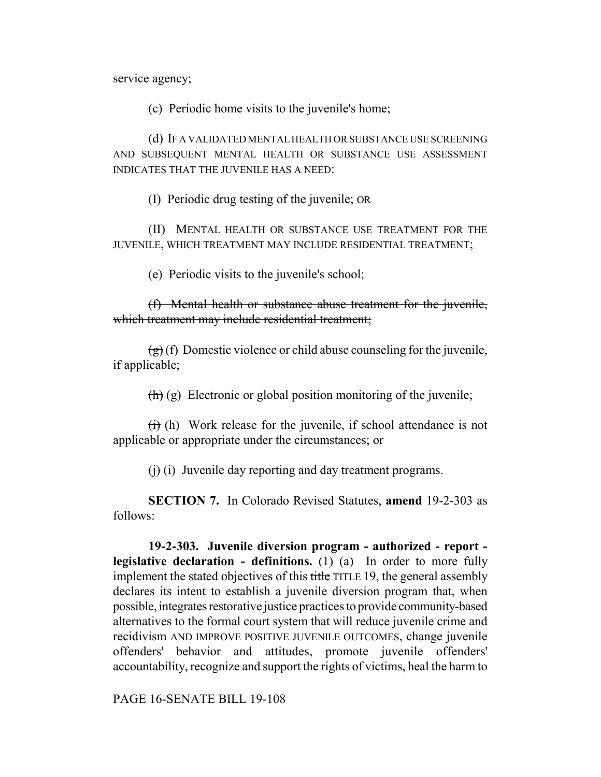service agency;

(c) Periodic home visits to the juvenile's home;

(d) IF A VALIDATED MENTAL HEALTH OR SUBSTANCE USE SCREENING AND SUBSEQUENT MENTAL HEALTH OR SUBSTANCE USE ASSESSMENT INDICATES THAT THE JUVENILE HAS A NEED:

(I) Periodic drug testing of the juvenile; OR

(II) MENTAL HEALTH OR SUBSTANCE USE TREATMENT FOR THE JUVENILE, WHICH TREATMENT MAY INCLUDE RESIDENTIAL TREATMENT;

(e) Periodic visits to the juvenile's school;

(f) Mental health or substance abuse treatment for the juvenile, which treatment may include residential treatment;

 $(g)(f)$  Domestic violence or child abuse counseling for the juvenile, if applicable;

 $\left(\frac{h}{h}\right)$  (g) Electronic or global position monitoring of the juvenile;

 $\overrightarrow{(t)}$  (h) Work release for the juvenile, if school attendance is not applicable or appropriate under the circumstances; or

 $(f)$  (i) Juvenile day reporting and day treatment programs.

**SECTION 7.** In Colorado Revised Statutes, **amend** 19-2-303 as follows:

**19-2-303. Juvenile diversion program - authorized - report legislative declaration - definitions.** (1) (a) In order to more fully implement the stated objectives of this title TITLE 19, the general assembly declares its intent to establish a juvenile diversion program that, when possible, integrates restorative justice practices to provide community-based alternatives to the formal court system that will reduce juvenile crime and recidivism AND IMPROVE POSITIVE JUVENILE OUTCOMES, change juvenile offenders' behavior and attitudes, promote juvenile offenders' accountability, recognize and support the rights of victims, heal the harm to

PAGE 16-SENATE BILL 19-108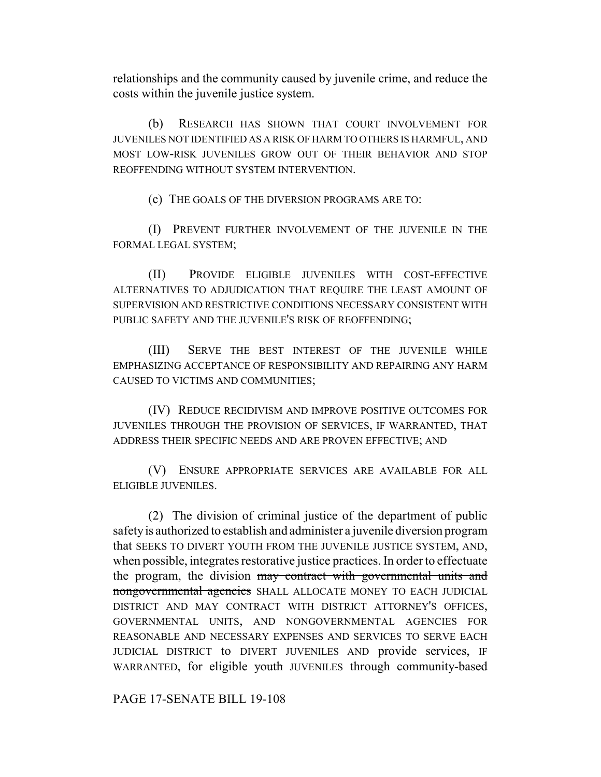relationships and the community caused by juvenile crime, and reduce the costs within the juvenile justice system.

(b) RESEARCH HAS SHOWN THAT COURT INVOLVEMENT FOR JUVENILES NOT IDENTIFIED AS A RISK OF HARM TO OTHERS IS HARMFUL, AND MOST LOW-RISK JUVENILES GROW OUT OF THEIR BEHAVIOR AND STOP REOFFENDING WITHOUT SYSTEM INTERVENTION.

(c) THE GOALS OF THE DIVERSION PROGRAMS ARE TO:

(I) PREVENT FURTHER INVOLVEMENT OF THE JUVENILE IN THE FORMAL LEGAL SYSTEM;

(II) PROVIDE ELIGIBLE JUVENILES WITH COST-EFFECTIVE ALTERNATIVES TO ADJUDICATION THAT REQUIRE THE LEAST AMOUNT OF SUPERVISION AND RESTRICTIVE CONDITIONS NECESSARY CONSISTENT WITH PUBLIC SAFETY AND THE JUVENILE'S RISK OF REOFFENDING;

(III) SERVE THE BEST INTEREST OF THE JUVENILE WHILE EMPHASIZING ACCEPTANCE OF RESPONSIBILITY AND REPAIRING ANY HARM CAUSED TO VICTIMS AND COMMUNITIES;

(IV) REDUCE RECIDIVISM AND IMPROVE POSITIVE OUTCOMES FOR JUVENILES THROUGH THE PROVISION OF SERVICES, IF WARRANTED, THAT ADDRESS THEIR SPECIFIC NEEDS AND ARE PROVEN EFFECTIVE; AND

(V) ENSURE APPROPRIATE SERVICES ARE AVAILABLE FOR ALL ELIGIBLE JUVENILES.

(2) The division of criminal justice of the department of public safety is authorized to establish and administer a juvenile diversion program that SEEKS TO DIVERT YOUTH FROM THE JUVENILE JUSTICE SYSTEM, AND, when possible, integrates restorative justice practices. In order to effectuate the program, the division may contract with governmental units and nongovernmental agencies SHALL ALLOCATE MONEY TO EACH JUDICIAL DISTRICT AND MAY CONTRACT WITH DISTRICT ATTORNEY'S OFFICES, GOVERNMENTAL UNITS, AND NONGOVERNMENTAL AGENCIES FOR REASONABLE AND NECESSARY EXPENSES AND SERVICES TO SERVE EACH JUDICIAL DISTRICT to DIVERT JUVENILES AND provide services, IF WARRANTED, for eligible youth JUVENILES through community-based

PAGE 17-SENATE BILL 19-108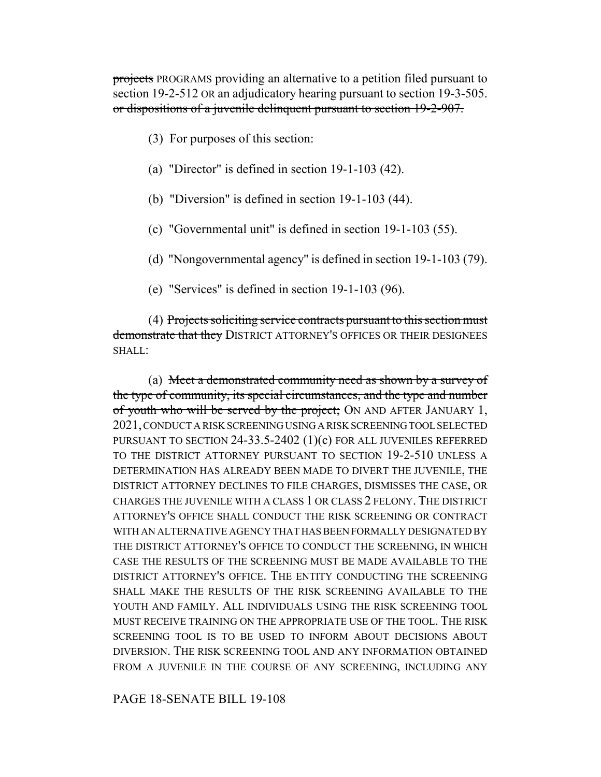projects PROGRAMS providing an alternative to a petition filed pursuant to section 19-2-512 OR an adjudicatory hearing pursuant to section 19-3-505. or dispositions of a juvenile delinquent pursuant to section 19-2-907.

- (3) For purposes of this section:
- (a) "Director" is defined in section 19-1-103 (42).
- (b) "Diversion" is defined in section 19-1-103 (44).
- (c) "Governmental unit" is defined in section 19-1-103 (55).
- (d) "Nongovernmental agency" is defined in section 19-1-103 (79).
- (e) "Services" is defined in section 19-1-103 (96).

(4) Projects soliciting service contracts pursuant to this section must demonstrate that they DISTRICT ATTORNEY'S OFFICES OR THEIR DESIGNEES SHALL:

(a) Meet a demonstrated community need as shown by a survey of the type of community, its special circumstances, and the type and number of youth who will be served by the project; ON AND AFTER JANUARY 1, 2021, CONDUCT A RISK SCREENING USING A RISK SCREENING TOOL SELECTED PURSUANT TO SECTION 24-33.5-2402 (1)(c) FOR ALL JUVENILES REFERRED TO THE DISTRICT ATTORNEY PURSUANT TO SECTION 19-2-510 UNLESS A DETERMINATION HAS ALREADY BEEN MADE TO DIVERT THE JUVENILE, THE DISTRICT ATTORNEY DECLINES TO FILE CHARGES, DISMISSES THE CASE, OR CHARGES THE JUVENILE WITH A CLASS 1 OR CLASS 2 FELONY. THE DISTRICT ATTORNEY'S OFFICE SHALL CONDUCT THE RISK SCREENING OR CONTRACT WITH AN ALTERNATIVE AGENCY THAT HAS BEEN FORMALLY DESIGNATED BY THE DISTRICT ATTORNEY'S OFFICE TO CONDUCT THE SCREENING, IN WHICH CASE THE RESULTS OF THE SCREENING MUST BE MADE AVAILABLE TO THE DISTRICT ATTORNEY'S OFFICE. THE ENTITY CONDUCTING THE SCREENING SHALL MAKE THE RESULTS OF THE RISK SCREENING AVAILABLE TO THE YOUTH AND FAMILY. ALL INDIVIDUALS USING THE RISK SCREENING TOOL MUST RECEIVE TRAINING ON THE APPROPRIATE USE OF THE TOOL. THE RISK SCREENING TOOL IS TO BE USED TO INFORM ABOUT DECISIONS ABOUT DIVERSION. THE RISK SCREENING TOOL AND ANY INFORMATION OBTAINED FROM A JUVENILE IN THE COURSE OF ANY SCREENING, INCLUDING ANY

PAGE 18-SENATE BILL 19-108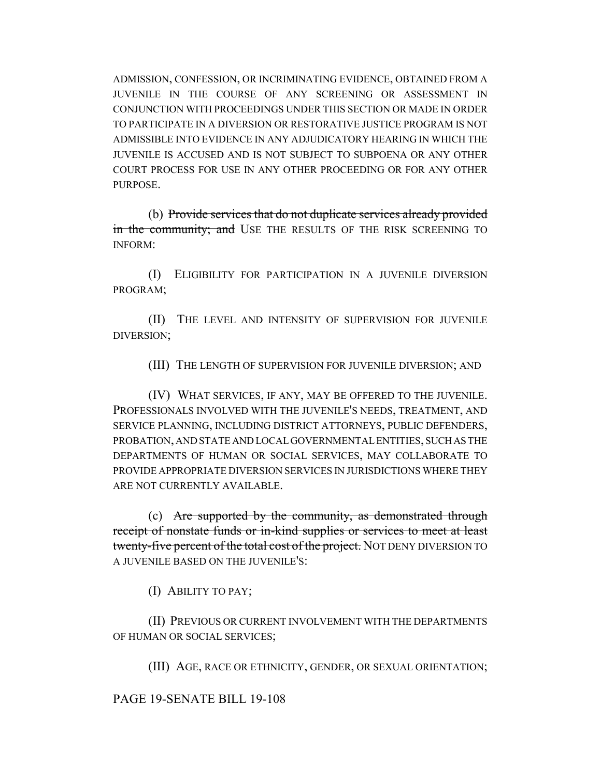ADMISSION, CONFESSION, OR INCRIMINATING EVIDENCE, OBTAINED FROM A JUVENILE IN THE COURSE OF ANY SCREENING OR ASSESSMENT IN CONJUNCTION WITH PROCEEDINGS UNDER THIS SECTION OR MADE IN ORDER TO PARTICIPATE IN A DIVERSION OR RESTORATIVE JUSTICE PROGRAM IS NOT ADMISSIBLE INTO EVIDENCE IN ANY ADJUDICATORY HEARING IN WHICH THE JUVENILE IS ACCUSED AND IS NOT SUBJECT TO SUBPOENA OR ANY OTHER COURT PROCESS FOR USE IN ANY OTHER PROCEEDING OR FOR ANY OTHER PURPOSE.

(b) Provide services that do not duplicate services already provided in the community; and USE THE RESULTS OF THE RISK SCREENING TO INFORM:

(I) ELIGIBILITY FOR PARTICIPATION IN A JUVENILE DIVERSION PROGRAM;

(II) THE LEVEL AND INTENSITY OF SUPERVISION FOR JUVENILE DIVERSION;

(III) THE LENGTH OF SUPERVISION FOR JUVENILE DIVERSION; AND

(IV) WHAT SERVICES, IF ANY, MAY BE OFFERED TO THE JUVENILE. PROFESSIONALS INVOLVED WITH THE JUVENILE'S NEEDS, TREATMENT, AND SERVICE PLANNING, INCLUDING DISTRICT ATTORNEYS, PUBLIC DEFENDERS, PROBATION, AND STATE AND LOCAL GOVERNMENTAL ENTITIES, SUCH AS THE DEPARTMENTS OF HUMAN OR SOCIAL SERVICES, MAY COLLABORATE TO PROVIDE APPROPRIATE DIVERSION SERVICES IN JURISDICTIONS WHERE THEY ARE NOT CURRENTLY AVAILABLE.

(c) Are supported by the community, as demonstrated through receipt of nonstate funds or in-kind supplies or services to meet at least twenty-five percent of the total cost of the project. NOT DENY DIVERSION TO A JUVENILE BASED ON THE JUVENILE'S:

(I) ABILITY TO PAY;

(II) PREVIOUS OR CURRENT INVOLVEMENT WITH THE DEPARTMENTS OF HUMAN OR SOCIAL SERVICES;

(III) AGE, RACE OR ETHNICITY, GENDER, OR SEXUAL ORIENTATION;

PAGE 19-SENATE BILL 19-108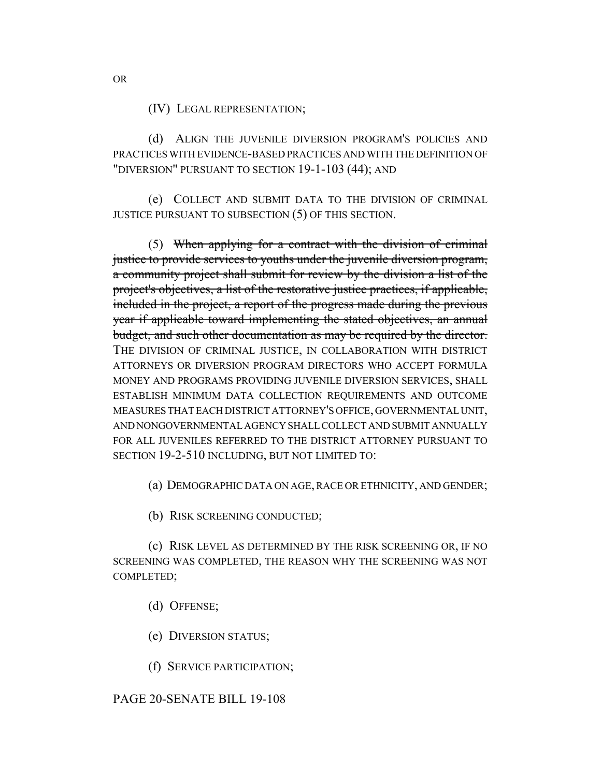(IV) LEGAL REPRESENTATION;

(d) ALIGN THE JUVENILE DIVERSION PROGRAM'S POLICIES AND PRACTICES WITH EVIDENCE-BASED PRACTICES AND WITH THE DEFINITION OF "DIVERSION" PURSUANT TO SECTION 19-1-103 (44); AND

(e) COLLECT AND SUBMIT DATA TO THE DIVISION OF CRIMINAL JUSTICE PURSUANT TO SUBSECTION (5) OF THIS SECTION.

(5) When applying for a contract with the division of criminal justice to provide services to youths under the juvenile diversion program, a community project shall submit for review by the division a list of the project's objectives, a list of the restorative justice practices, if applicable, included in the project, a report of the progress made during the previous year if applicable toward implementing the stated objectives, an annual budget, and such other documentation as may be required by the director. THE DIVISION OF CRIMINAL JUSTICE, IN COLLABORATION WITH DISTRICT ATTORNEYS OR DIVERSION PROGRAM DIRECTORS WHO ACCEPT FORMULA MONEY AND PROGRAMS PROVIDING JUVENILE DIVERSION SERVICES, SHALL ESTABLISH MINIMUM DATA COLLECTION REQUIREMENTS AND OUTCOME MEASURES THAT EACH DISTRICT ATTORNEY'S OFFICE, GOVERNMENTAL UNIT, AND NONGOVERNMENTAL AGENCY SHALL COLLECT AND SUBMIT ANNUALLY FOR ALL JUVENILES REFERRED TO THE DISTRICT ATTORNEY PURSUANT TO SECTION 19-2-510 INCLUDING, BUT NOT LIMITED TO:

(a) DEMOGRAPHIC DATA ON AGE, RACE OR ETHNICITY, AND GENDER;

(b) RISK SCREENING CONDUCTED;

(c) RISK LEVEL AS DETERMINED BY THE RISK SCREENING OR, IF NO SCREENING WAS COMPLETED, THE REASON WHY THE SCREENING WAS NOT COMPLETED;

(d) OFFENSE;

(e) DIVERSION STATUS;

(f) SERVICE PARTICIPATION;

# PAGE 20-SENATE BILL 19-108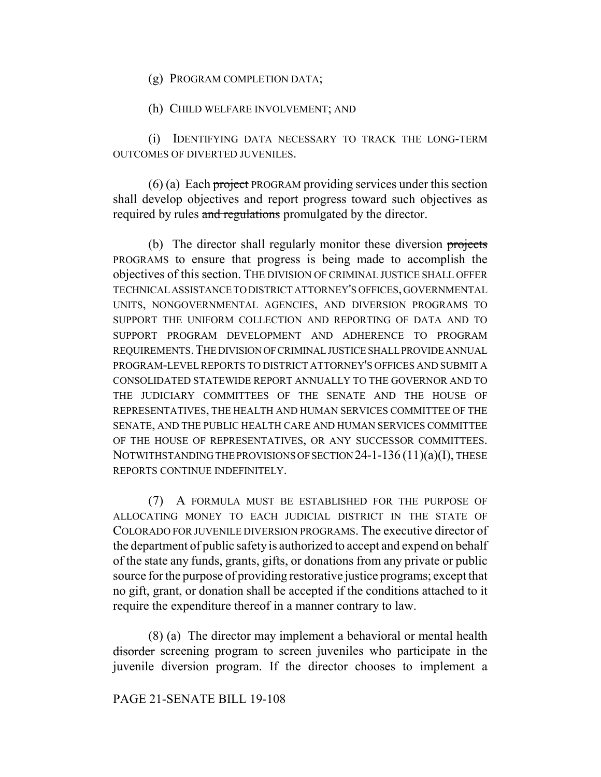(g) PROGRAM COMPLETION DATA;

(h) CHILD WELFARE INVOLVEMENT; AND

(i) IDENTIFYING DATA NECESSARY TO TRACK THE LONG-TERM OUTCOMES OF DIVERTED JUVENILES.

 $(6)$  (a) Each project PROGRAM providing services under this section shall develop objectives and report progress toward such objectives as required by rules and regulations promulgated by the director.

(b) The director shall regularly monitor these diversion projects PROGRAMS to ensure that progress is being made to accomplish the objectives of this section. THE DIVISION OF CRIMINAL JUSTICE SHALL OFFER TECHNICAL ASSISTANCE TO DISTRICT ATTORNEY'S OFFICES, GOVERNMENTAL UNITS, NONGOVERNMENTAL AGENCIES, AND DIVERSION PROGRAMS TO SUPPORT THE UNIFORM COLLECTION AND REPORTING OF DATA AND TO SUPPORT PROGRAM DEVELOPMENT AND ADHERENCE TO PROGRAM REQUIREMENTS.THE DIVISION OF CRIMINAL JUSTICE SHALL PROVIDE ANNUAL PROGRAM-LEVEL REPORTS TO DISTRICT ATTORNEY'S OFFICES AND SUBMIT A CONSOLIDATED STATEWIDE REPORT ANNUALLY TO THE GOVERNOR AND TO THE JUDICIARY COMMITTEES OF THE SENATE AND THE HOUSE OF REPRESENTATIVES, THE HEALTH AND HUMAN SERVICES COMMITTEE OF THE SENATE, AND THE PUBLIC HEALTH CARE AND HUMAN SERVICES COMMITTEE OF THE HOUSE OF REPRESENTATIVES, OR ANY SUCCESSOR COMMITTEES. NOTWITHSTANDING THE PROVISIONS OF SECTION 24-1-136 (11)(a)(I), THESE REPORTS CONTINUE INDEFINITELY.

(7) A FORMULA MUST BE ESTABLISHED FOR THE PURPOSE OF ALLOCATING MONEY TO EACH JUDICIAL DISTRICT IN THE STATE OF COLORADO FOR JUVENILE DIVERSION PROGRAMS. The executive director of the department of public safety is authorized to accept and expend on behalf of the state any funds, grants, gifts, or donations from any private or public source for the purpose of providing restorative justice programs; except that no gift, grant, or donation shall be accepted if the conditions attached to it require the expenditure thereof in a manner contrary to law.

(8) (a) The director may implement a behavioral or mental health disorder screening program to screen juveniles who participate in the juvenile diversion program. If the director chooses to implement a

# PAGE 21-SENATE BILL 19-108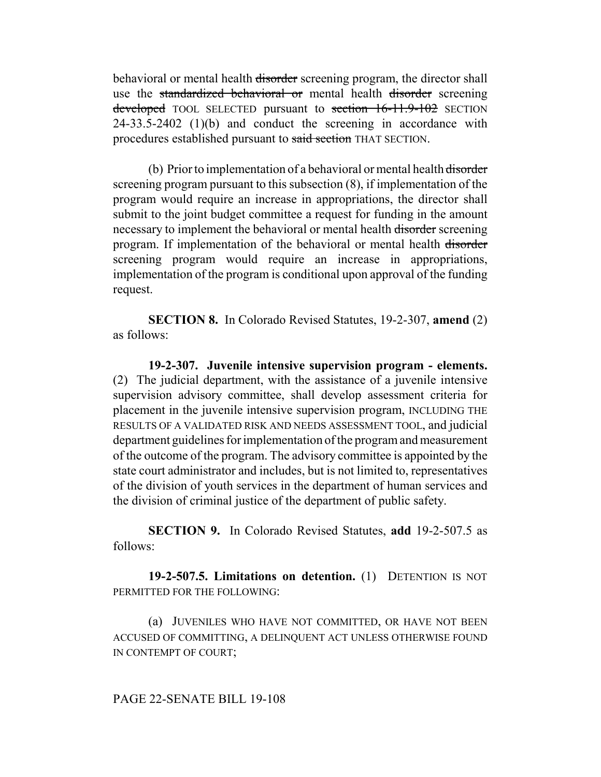behavioral or mental health disorder screening program, the director shall use the standardized behavioral or mental health disorder screening developed TOOL SELECTED pursuant to section 16-11.9-102 SECTION 24-33.5-2402 (1)(b) and conduct the screening in accordance with procedures established pursuant to said section THAT SECTION.

(b) Prior to implementation of a behavioral or mental health disorder screening program pursuant to this subsection (8), if implementation of the program would require an increase in appropriations, the director shall submit to the joint budget committee a request for funding in the amount necessary to implement the behavioral or mental health disorder screening program. If implementation of the behavioral or mental health disorder screening program would require an increase in appropriations, implementation of the program is conditional upon approval of the funding request.

**SECTION 8.** In Colorado Revised Statutes, 19-2-307, **amend** (2) as follows:

**19-2-307. Juvenile intensive supervision program - elements.** (2) The judicial department, with the assistance of a juvenile intensive supervision advisory committee, shall develop assessment criteria for placement in the juvenile intensive supervision program, INCLUDING THE RESULTS OF A VALIDATED RISK AND NEEDS ASSESSMENT TOOL, and judicial department guidelines for implementation of the program and measurement of the outcome of the program. The advisory committee is appointed by the state court administrator and includes, but is not limited to, representatives of the division of youth services in the department of human services and the division of criminal justice of the department of public safety.

**SECTION 9.** In Colorado Revised Statutes, **add** 19-2-507.5 as follows:

**19-2-507.5. Limitations on detention.** (1) DETENTION IS NOT PERMITTED FOR THE FOLLOWING:

(a) JUVENILES WHO HAVE NOT COMMITTED, OR HAVE NOT BEEN ACCUSED OF COMMITTING, A DELINQUENT ACT UNLESS OTHERWISE FOUND IN CONTEMPT OF COURT;

#### PAGE 22-SENATE BILL 19-108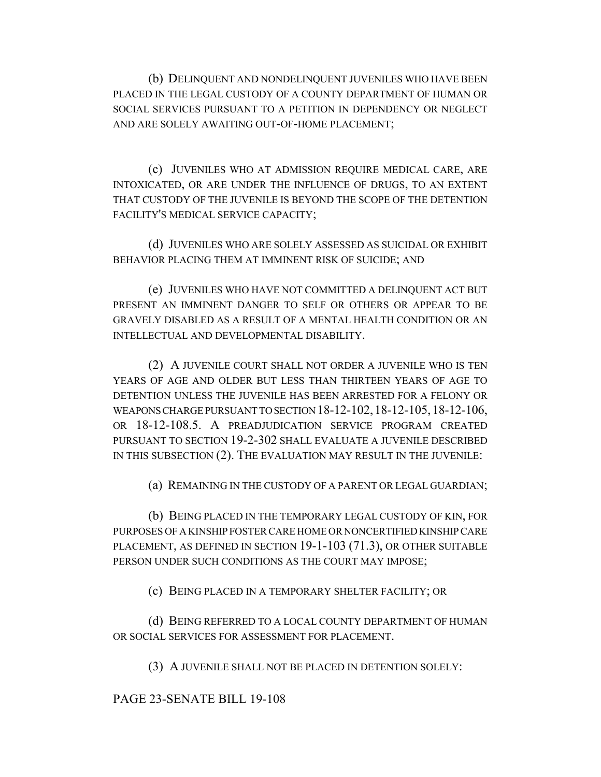(b) DELINQUENT AND NONDELINQUENT JUVENILES WHO HAVE BEEN PLACED IN THE LEGAL CUSTODY OF A COUNTY DEPARTMENT OF HUMAN OR SOCIAL SERVICES PURSUANT TO A PETITION IN DEPENDENCY OR NEGLECT AND ARE SOLELY AWAITING OUT-OF-HOME PLACEMENT;

(c) JUVENILES WHO AT ADMISSION REQUIRE MEDICAL CARE, ARE INTOXICATED, OR ARE UNDER THE INFLUENCE OF DRUGS, TO AN EXTENT THAT CUSTODY OF THE JUVENILE IS BEYOND THE SCOPE OF THE DETENTION FACILITY'S MEDICAL SERVICE CAPACITY;

(d) JUVENILES WHO ARE SOLELY ASSESSED AS SUICIDAL OR EXHIBIT BEHAVIOR PLACING THEM AT IMMINENT RISK OF SUICIDE; AND

(e) JUVENILES WHO HAVE NOT COMMITTED A DELINQUENT ACT BUT PRESENT AN IMMINENT DANGER TO SELF OR OTHERS OR APPEAR TO BE GRAVELY DISABLED AS A RESULT OF A MENTAL HEALTH CONDITION OR AN INTELLECTUAL AND DEVELOPMENTAL DISABILITY.

(2) A JUVENILE COURT SHALL NOT ORDER A JUVENILE WHO IS TEN YEARS OF AGE AND OLDER BUT LESS THAN THIRTEEN YEARS OF AGE TO DETENTION UNLESS THE JUVENILE HAS BEEN ARRESTED FOR A FELONY OR WEAPONS CHARGE PURSUANT TO SECTION 18-12-102,18-12-105,18-12-106, OR 18-12-108.5. A PREADJUDICATION SERVICE PROGRAM CREATED PURSUANT TO SECTION 19-2-302 SHALL EVALUATE A JUVENILE DESCRIBED IN THIS SUBSECTION (2). THE EVALUATION MAY RESULT IN THE JUVENILE:

(a) REMAINING IN THE CUSTODY OF A PARENT OR LEGAL GUARDIAN;

(b) BEING PLACED IN THE TEMPORARY LEGAL CUSTODY OF KIN, FOR PURPOSES OF A KINSHIP FOSTER CARE HOME OR NONCERTIFIED KINSHIP CARE PLACEMENT, AS DEFINED IN SECTION 19-1-103 (71.3), OR OTHER SUITABLE PERSON UNDER SUCH CONDITIONS AS THE COURT MAY IMPOSE;

(c) BEING PLACED IN A TEMPORARY SHELTER FACILITY; OR

(d) BEING REFERRED TO A LOCAL COUNTY DEPARTMENT OF HUMAN OR SOCIAL SERVICES FOR ASSESSMENT FOR PLACEMENT.

(3) A JUVENILE SHALL NOT BE PLACED IN DETENTION SOLELY:

PAGE 23-SENATE BILL 19-108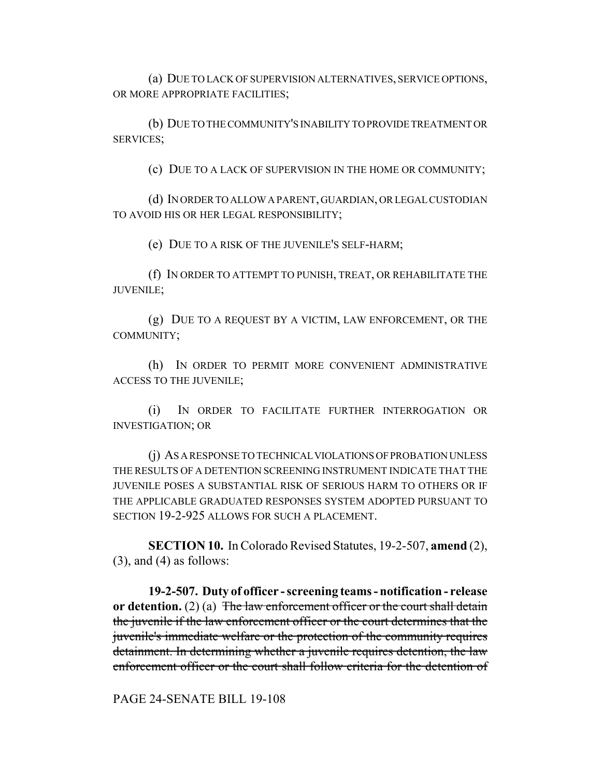(a) DUE TO LACK OF SUPERVISION ALTERNATIVES, SERVICE OPTIONS, OR MORE APPROPRIATE FACILITIES;

(b) DUE TO THE COMMUNITY'S INABILITY TO PROVIDE TREATMENT OR SERVICES;

(c) DUE TO A LACK OF SUPERVISION IN THE HOME OR COMMUNITY;

(d) IN ORDER TO ALLOW A PARENT, GUARDIAN, OR LEGAL CUSTODIAN TO AVOID HIS OR HER LEGAL RESPONSIBILITY;

(e) DUE TO A RISK OF THE JUVENILE'S SELF-HARM;

(f) IN ORDER TO ATTEMPT TO PUNISH, TREAT, OR REHABILITATE THE JUVENILE;

(g) DUE TO A REQUEST BY A VICTIM, LAW ENFORCEMENT, OR THE COMMUNITY;

(h) IN ORDER TO PERMIT MORE CONVENIENT ADMINISTRATIVE ACCESS TO THE JUVENILE;

(i) IN ORDER TO FACILITATE FURTHER INTERROGATION OR INVESTIGATION; OR

(j) AS A RESPONSE TO TECHNICAL VIOLATIONS OF PROBATION UNLESS THE RESULTS OF A DETENTION SCREENING INSTRUMENT INDICATE THAT THE JUVENILE POSES A SUBSTANTIAL RISK OF SERIOUS HARM TO OTHERS OR IF THE APPLICABLE GRADUATED RESPONSES SYSTEM ADOPTED PURSUANT TO SECTION 19-2-925 ALLOWS FOR SUCH A PLACEMENT.

**SECTION 10.** In Colorado Revised Statutes, 19-2-507, **amend** (2),  $(3)$ , and  $(4)$  as follows:

**19-2-507. Duty of officer - screening teams - notification - release or detention.** (2) (a) The law enforcement officer or the court shall detain the juvenile if the law enforcement officer or the court determines that the juvenile's immediate welfare or the protection of the community requires detainment. In determining whether a juvenile requires detention, the law enforcement officer or the court shall follow criteria for the detention of

PAGE 24-SENATE BILL 19-108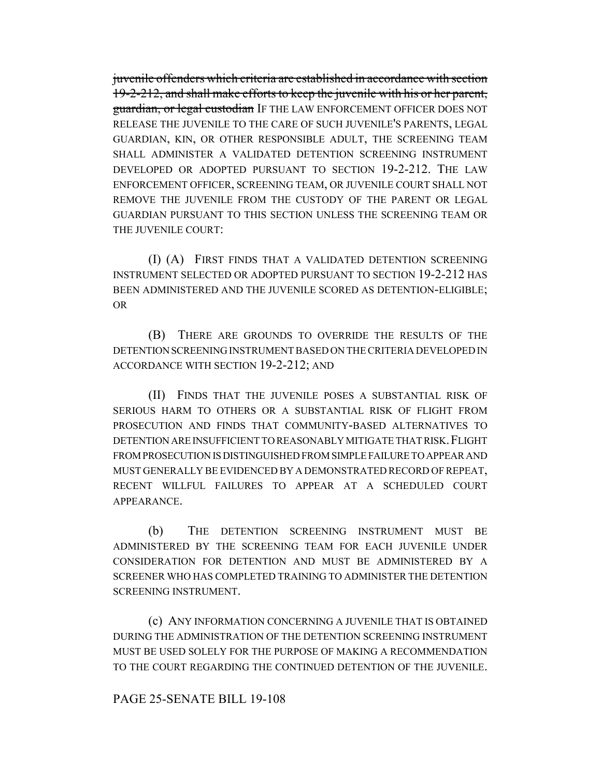juvenile offenders which criteria are established in accordance with section 19-2-212, and shall make efforts to keep the juvenile with his or her parent, guardian, or legal custodian IF THE LAW ENFORCEMENT OFFICER DOES NOT RELEASE THE JUVENILE TO THE CARE OF SUCH JUVENILE'S PARENTS, LEGAL GUARDIAN, KIN, OR OTHER RESPONSIBLE ADULT, THE SCREENING TEAM SHALL ADMINISTER A VALIDATED DETENTION SCREENING INSTRUMENT DEVELOPED OR ADOPTED PURSUANT TO SECTION 19-2-212. THE LAW ENFORCEMENT OFFICER, SCREENING TEAM, OR JUVENILE COURT SHALL NOT REMOVE THE JUVENILE FROM THE CUSTODY OF THE PARENT OR LEGAL GUARDIAN PURSUANT TO THIS SECTION UNLESS THE SCREENING TEAM OR THE JUVENILE COURT:

(I) (A) FIRST FINDS THAT A VALIDATED DETENTION SCREENING INSTRUMENT SELECTED OR ADOPTED PURSUANT TO SECTION 19-2-212 HAS BEEN ADMINISTERED AND THE JUVENILE SCORED AS DETENTION-ELIGIBLE; OR

(B) THERE ARE GROUNDS TO OVERRIDE THE RESULTS OF THE DETENTION SCREENING INSTRUMENT BASED ON THE CRITERIA DEVELOPED IN ACCORDANCE WITH SECTION 19-2-212; AND

(II) FINDS THAT THE JUVENILE POSES A SUBSTANTIAL RISK OF SERIOUS HARM TO OTHERS OR A SUBSTANTIAL RISK OF FLIGHT FROM PROSECUTION AND FINDS THAT COMMUNITY-BASED ALTERNATIVES TO DETENTION ARE INSUFFICIENT TO REASONABLY MITIGATE THAT RISK. FLIGHT FROM PROSECUTION IS DISTINGUISHED FROM SIMPLE FAILURE TO APPEAR AND MUST GENERALLY BE EVIDENCED BY A DEMONSTRATED RECORD OF REPEAT, RECENT WILLFUL FAILURES TO APPEAR AT A SCHEDULED COURT APPEARANCE.

(b) THE DETENTION SCREENING INSTRUMENT MUST BE ADMINISTERED BY THE SCREENING TEAM FOR EACH JUVENILE UNDER CONSIDERATION FOR DETENTION AND MUST BE ADMINISTERED BY A SCREENER WHO HAS COMPLETED TRAINING TO ADMINISTER THE DETENTION SCREENING INSTRUMENT.

(c) ANY INFORMATION CONCERNING A JUVENILE THAT IS OBTAINED DURING THE ADMINISTRATION OF THE DETENTION SCREENING INSTRUMENT MUST BE USED SOLELY FOR THE PURPOSE OF MAKING A RECOMMENDATION TO THE COURT REGARDING THE CONTINUED DETENTION OF THE JUVENILE.

#### PAGE 25-SENATE BILL 19-108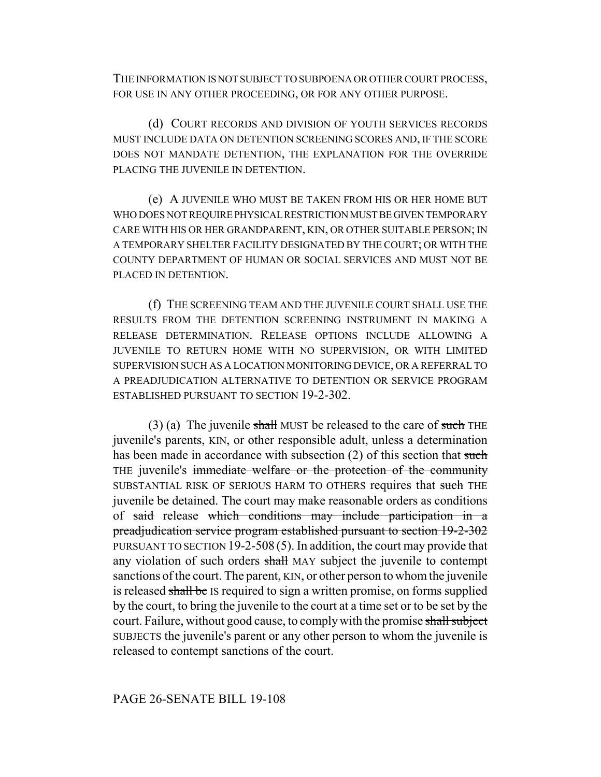THE INFORMATION IS NOT SUBJECT TO SUBPOENA OR OTHER COURT PROCESS, FOR USE IN ANY OTHER PROCEEDING, OR FOR ANY OTHER PURPOSE.

(d) COURT RECORDS AND DIVISION OF YOUTH SERVICES RECORDS MUST INCLUDE DATA ON DETENTION SCREENING SCORES AND, IF THE SCORE DOES NOT MANDATE DETENTION, THE EXPLANATION FOR THE OVERRIDE PLACING THE JUVENILE IN DETENTION.

(e) A JUVENILE WHO MUST BE TAKEN FROM HIS OR HER HOME BUT WHO DOES NOT REQUIRE PHYSICAL RESTRICTION MUST BE GIVEN TEMPORARY CARE WITH HIS OR HER GRANDPARENT, KIN, OR OTHER SUITABLE PERSON; IN A TEMPORARY SHELTER FACILITY DESIGNATED BY THE COURT; OR WITH THE COUNTY DEPARTMENT OF HUMAN OR SOCIAL SERVICES AND MUST NOT BE PLACED IN DETENTION.

(f) THE SCREENING TEAM AND THE JUVENILE COURT SHALL USE THE RESULTS FROM THE DETENTION SCREENING INSTRUMENT IN MAKING A RELEASE DETERMINATION. RELEASE OPTIONS INCLUDE ALLOWING A JUVENILE TO RETURN HOME WITH NO SUPERVISION, OR WITH LIMITED SUPERVISION SUCH AS A LOCATION MONITORING DEVICE, OR A REFERRAL TO A PREADJUDICATION ALTERNATIVE TO DETENTION OR SERVICE PROGRAM ESTABLISHED PURSUANT TO SECTION 19-2-302.

(3) (a) The juvenile shall MUST be released to the care of such THE juvenile's parents, KIN, or other responsible adult, unless a determination has been made in accordance with subsection (2) of this section that such THE juvenile's immediate welfare or the protection of the community SUBSTANTIAL RISK OF SERIOUS HARM TO OTHERS requires that such THE juvenile be detained. The court may make reasonable orders as conditions of said release which conditions may include participation in a preadjudication service program established pursuant to section 19-2-302 PURSUANT TO SECTION 19-2-508 (5). In addition, the court may provide that any violation of such orders shall MAY subject the juvenile to contempt sanctions of the court. The parent, KIN, or other person to whom the juvenile is released shall be IS required to sign a written promise, on forms supplied by the court, to bring the juvenile to the court at a time set or to be set by the court. Failure, without good cause, to comply with the promise shall subject SUBJECTS the juvenile's parent or any other person to whom the juvenile is released to contempt sanctions of the court.

# PAGE 26-SENATE BILL 19-108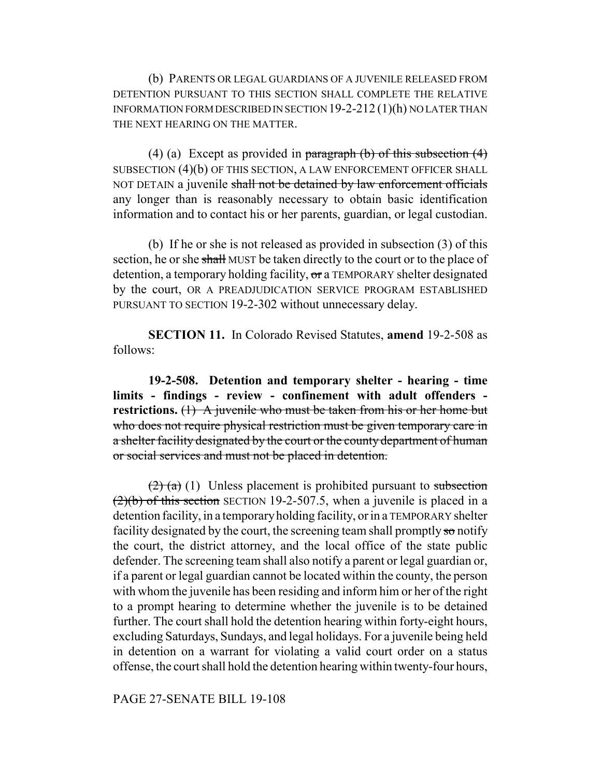(b) PARENTS OR LEGAL GUARDIANS OF A JUVENILE RELEASED FROM DETENTION PURSUANT TO THIS SECTION SHALL COMPLETE THE RELATIVE INFORMATION FORM DESCRIBED IN SECTION 19-2-212 (1)(h) NO LATER THAN THE NEXT HEARING ON THE MATTER.

(4) (a) Except as provided in paragraph  $(b)$  of this subsection  $(4)$ SUBSECTION (4)(b) OF THIS SECTION, A LAW ENFORCEMENT OFFICER SHALL NOT DETAIN a juvenile shall not be detained by law enforcement officials any longer than is reasonably necessary to obtain basic identification information and to contact his or her parents, guardian, or legal custodian.

(b) If he or she is not released as provided in subsection (3) of this section, he or she shall MUST be taken directly to the court or to the place of detention, a temporary holding facility, or a TEMPORARY shelter designated by the court, OR A PREADJUDICATION SERVICE PROGRAM ESTABLISHED PURSUANT TO SECTION 19-2-302 without unnecessary delay.

**SECTION 11.** In Colorado Revised Statutes, **amend** 19-2-508 as follows:

**19-2-508. Detention and temporary shelter - hearing - time limits - findings - review - confinement with adult offenders restrictions.** (1) A juvenile who must be taken from his or her home but who does not require physical restriction must be given temporary care in a shelter facility designated by the court or the county department of human or social services and must not be placed in detention.

 $\left(2\right)$  (a) (1) Unless placement is prohibited pursuant to subsection  $(2)(b)$  of this section SECTION 19-2-507.5, when a juvenile is placed in a detention facility, in a temporary holding facility, or in a TEMPORARY shelter facility designated by the court, the screening team shall promptly so notify the court, the district attorney, and the local office of the state public defender. The screening team shall also notify a parent or legal guardian or, if a parent or legal guardian cannot be located within the county, the person with whom the juvenile has been residing and inform him or her of the right to a prompt hearing to determine whether the juvenile is to be detained further. The court shall hold the detention hearing within forty-eight hours, excluding Saturdays, Sundays, and legal holidays. For a juvenile being held in detention on a warrant for violating a valid court order on a status offense, the court shall hold the detention hearing within twenty-four hours,

PAGE 27-SENATE BILL 19-108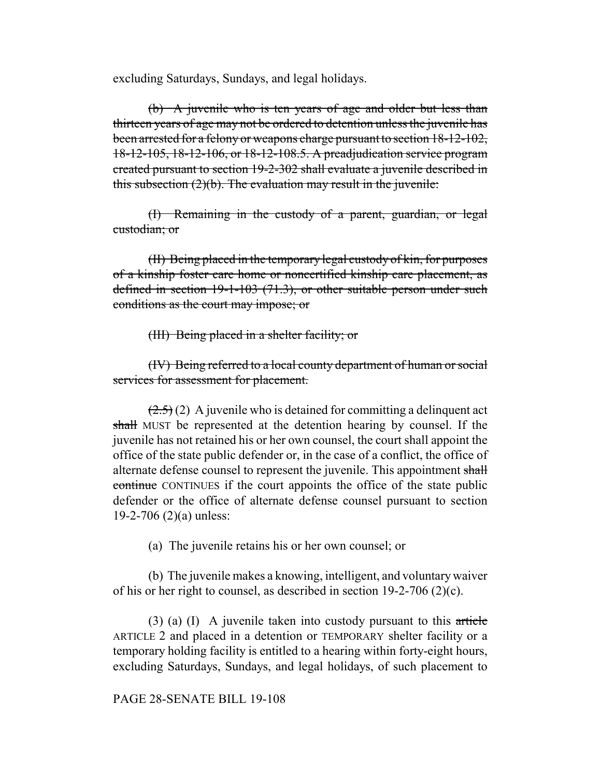excluding Saturdays, Sundays, and legal holidays.

(b) A juvenile who is ten years of age and older but less than thirteen years of age may not be ordered to detention unless the juvenile has been arrested for a felony or weapons charge pursuant to section 18-12-102, 18-12-105, 18-12-106, or 18-12-108.5. A preadjudication service program created pursuant to section 19-2-302 shall evaluate a juvenile described in this subsection  $(2)(b)$ . The evaluation may result in the juvenile:

(I) Remaining in the custody of a parent, guardian, or legal custodian; or

(II) Being placed in the temporary legal custody of kin, for purposes of a kinship foster care home or noncertified kinship care placement, as defined in section 19-1-103 (71.3), or other suitable person under such conditions as the court may impose; or

(III) Being placed in a shelter facility; or

(IV) Being referred to a local county department of human or social services for assessment for placement.

 $(2.5)(2)$  A juvenile who is detained for committing a delinquent act shall MUST be represented at the detention hearing by counsel. If the juvenile has not retained his or her own counsel, the court shall appoint the office of the state public defender or, in the case of a conflict, the office of alternate defense counsel to represent the juvenile. This appointment shall continue CONTINUES if the court appoints the office of the state public defender or the office of alternate defense counsel pursuant to section 19-2-706 (2)(a) unless:

(a) The juvenile retains his or her own counsel; or

(b) The juvenile makes a knowing, intelligent, and voluntary waiver of his or her right to counsel, as described in section 19-2-706 (2)(c).

 $(3)$  (a) (I) A juvenile taken into custody pursuant to this article ARTICLE 2 and placed in a detention or TEMPORARY shelter facility or a temporary holding facility is entitled to a hearing within forty-eight hours, excluding Saturdays, Sundays, and legal holidays, of such placement to

PAGE 28-SENATE BILL 19-108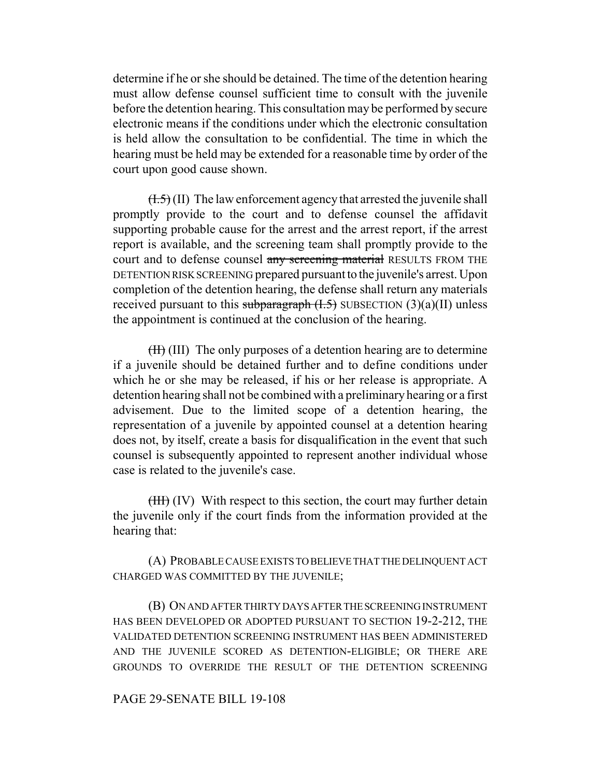determine if he or she should be detained. The time of the detention hearing must allow defense counsel sufficient time to consult with the juvenile before the detention hearing. This consultation may be performed by secure electronic means if the conditions under which the electronic consultation is held allow the consultation to be confidential. The time in which the hearing must be held may be extended for a reasonable time by order of the court upon good cause shown.

 $(\overline{1.5})$  (II) The law enforcement agency that arrested the juvenile shall promptly provide to the court and to defense counsel the affidavit supporting probable cause for the arrest and the arrest report, if the arrest report is available, and the screening team shall promptly provide to the court and to defense counsel any screening material RESULTS FROM THE DETENTION RISK SCREENING prepared pursuant to the juvenile's arrest. Upon completion of the detention hearing, the defense shall return any materials received pursuant to this subparagraph  $(H.5)$  SUBSECTION  $(3)(a)(II)$  unless the appointment is continued at the conclusion of the hearing.

 $(H)$  (III) The only purposes of a detention hearing are to determine if a juvenile should be detained further and to define conditions under which he or she may be released, if his or her release is appropriate. A detention hearing shall not be combined with a preliminary hearing or a first advisement. Due to the limited scope of a detention hearing, the representation of a juvenile by appointed counsel at a detention hearing does not, by itself, create a basis for disqualification in the event that such counsel is subsequently appointed to represent another individual whose case is related to the juvenile's case.

(III) (IV) With respect to this section, the court may further detain the juvenile only if the court finds from the information provided at the hearing that:

(A) PROBABLE CAUSE EXISTS TO BELIEVE THAT THE DELINQUENT ACT CHARGED WAS COMMITTED BY THE JUVENILE;

(B) ON AND AFTER THIRTY DAYS AFTER THE SCREENING INSTRUMENT HAS BEEN DEVELOPED OR ADOPTED PURSUANT TO SECTION 19-2-212, THE VALIDATED DETENTION SCREENING INSTRUMENT HAS BEEN ADMINISTERED AND THE JUVENILE SCORED AS DETENTION-ELIGIBLE; OR THERE ARE GROUNDS TO OVERRIDE THE RESULT OF THE DETENTION SCREENING

# PAGE 29-SENATE BILL 19-108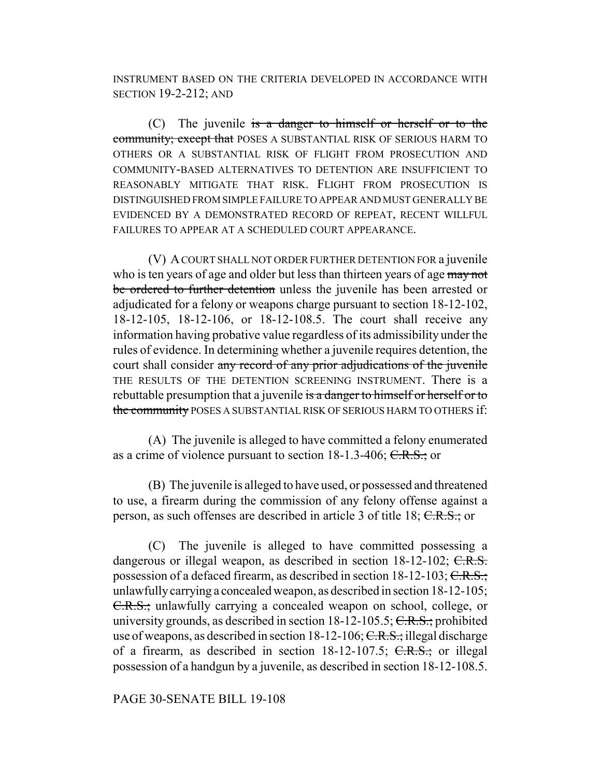INSTRUMENT BASED ON THE CRITERIA DEVELOPED IN ACCORDANCE WITH SECTION 19-2-212; AND

(C) The juvenile is a danger to himself or herself or to the community; except that POSES A SUBSTANTIAL RISK OF SERIOUS HARM TO OTHERS OR A SUBSTANTIAL RISK OF FLIGHT FROM PROSECUTION AND COMMUNITY-BASED ALTERNATIVES TO DETENTION ARE INSUFFICIENT TO REASONABLY MITIGATE THAT RISK. FLIGHT FROM PROSECUTION IS DISTINGUISHED FROM SIMPLE FAILURE TO APPEAR AND MUST GENERALLY BE EVIDENCED BY A DEMONSTRATED RECORD OF REPEAT, RECENT WILLFUL FAILURES TO APPEAR AT A SCHEDULED COURT APPEARANCE.

(V) A COURT SHALL NOT ORDER FURTHER DETENTION FOR a juvenile who is ten years of age and older but less than thirteen years of age may not be ordered to further detention unless the juvenile has been arrested or adjudicated for a felony or weapons charge pursuant to section 18-12-102, 18-12-105, 18-12-106, or 18-12-108.5. The court shall receive any information having probative value regardless of its admissibility under the rules of evidence. In determining whether a juvenile requires detention, the court shall consider any record of any prior adjudications of the juvenile THE RESULTS OF THE DETENTION SCREENING INSTRUMENT. There is a rebuttable presumption that a juvenile is a danger to himself or herself or to the community POSES A SUBSTANTIAL RISK OF SERIOUS HARM TO OTHERS if:

(A) The juvenile is alleged to have committed a felony enumerated as a crime of violence pursuant to section 18-1.3-406; C.R.S.; or

(B) The juvenile is alleged to have used, or possessed and threatened to use, a firearm during the commission of any felony offense against a person, as such offenses are described in article 3 of title 18; C.R.S.; or

(C) The juvenile is alleged to have committed possessing a dangerous or illegal weapon, as described in section 18-12-102; C.R.S. possession of a defaced firearm, as described in section  $18-12-103$ ; C.R.S.; unlawfully carrying a concealed weapon, as described in section 18-12-105; C.R.S.; unlawfully carrying a concealed weapon on school, college, or university grounds, as described in section  $18-12-105.5$ ; C.R.S.; prohibited use of weapons, as described in section  $18-12-106$ ; C.R.S.; illegal discharge of a firearm, as described in section  $18-12-107.5$ ; C.R.S.; or illegal possession of a handgun by a juvenile, as described in section 18-12-108.5.

#### PAGE 30-SENATE BILL 19-108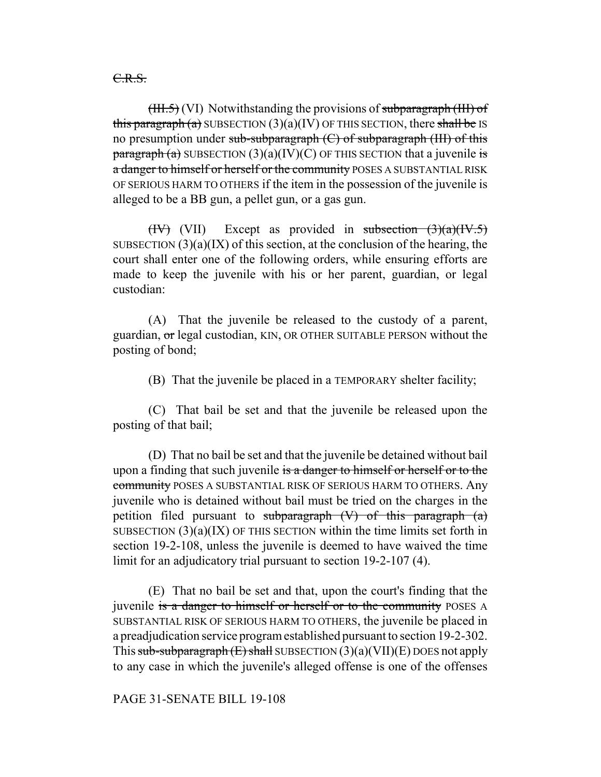C.R.S.

 $(HH.5)$  (VI) Notwithstanding the provisions of subparagraph  $(HH)$  of this paragraph (a) SUBSECTION  $(3)(a)(IV)$  OF THIS SECTION, there shall be IS no presumption under sub-subparagraph  $(C)$  of subparagraph  $(HI)$  of this paragraph (a) SUBSECTION  $(3)(a)(IV)(C)$  OF THIS SECTION that a juvenile is a danger to himself or herself or the community POSES A SUBSTANTIAL RISK OF SERIOUS HARM TO OTHERS if the item in the possession of the juvenile is alleged to be a BB gun, a pellet gun, or a gas gun.

(IV) (VII) Except as provided in subsection  $(3)(a)(IV.5)$ SUBSECTION  $(3)(a)(IX)$  of this section, at the conclusion of the hearing, the court shall enter one of the following orders, while ensuring efforts are made to keep the juvenile with his or her parent, guardian, or legal custodian:

(A) That the juvenile be released to the custody of a parent, guardian, or legal custodian, KIN, OR OTHER SUITABLE PERSON without the posting of bond;

(B) That the juvenile be placed in a TEMPORARY shelter facility;

(C) That bail be set and that the juvenile be released upon the posting of that bail;

(D) That no bail be set and that the juvenile be detained without bail upon a finding that such juvenile is a danger to himself or herself or to the community POSES A SUBSTANTIAL RISK OF SERIOUS HARM TO OTHERS. Any juvenile who is detained without bail must be tried on the charges in the petition filed pursuant to subparagraph  $(V)$  of this paragraph  $(a)$ SUBSECTION  $(3)(a)(IX)$  OF THIS SECTION within the time limits set forth in section 19-2-108, unless the juvenile is deemed to have waived the time limit for an adjudicatory trial pursuant to section 19-2-107 (4).

(E) That no bail be set and that, upon the court's finding that the juvenile is a danger to himself or herself or to the community POSES A SUBSTANTIAL RISK OF SERIOUS HARM TO OTHERS, the juvenile be placed in a preadjudication service program established pursuant to section 19-2-302. This sub-subparagraph  $(E)$  shall SUBSECTION  $(3)(a)(VII)(E)$  DOES not apply to any case in which the juvenile's alleged offense is one of the offenses

PAGE 31-SENATE BILL 19-108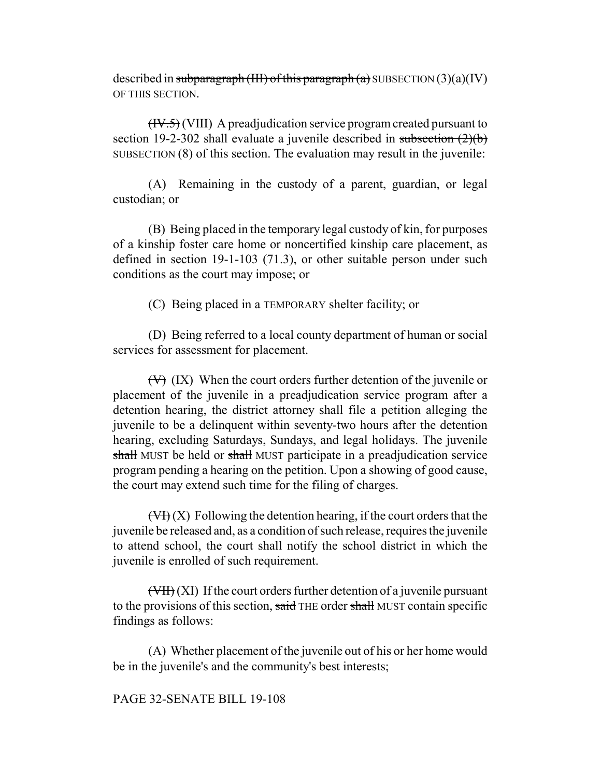described in subparagraph (III) of this paragraph (a) SUBSECTION  $(3)(a)(IV)$ OF THIS SECTION.

 $(HY.5)$  (VIII) A preadjudication service program created pursuant to section 19-2-302 shall evaluate a juvenile described in subsection  $(2)(b)$ SUBSECTION (8) of this section. The evaluation may result in the juvenile:

(A) Remaining in the custody of a parent, guardian, or legal custodian; or

(B) Being placed in the temporary legal custody of kin, for purposes of a kinship foster care home or noncertified kinship care placement, as defined in section 19-1-103 (71.3), or other suitable person under such conditions as the court may impose; or

(C) Being placed in a TEMPORARY shelter facility; or

(D) Being referred to a local county department of human or social services for assessment for placement.

 $(\forall)$  (IX) When the court orders further detention of the juvenile or placement of the juvenile in a preadjudication service program after a detention hearing, the district attorney shall file a petition alleging the juvenile to be a delinquent within seventy-two hours after the detention hearing, excluding Saturdays, Sundays, and legal holidays. The juvenile shall MUST be held or shall MUST participate in a preadjudication service program pending a hearing on the petition. Upon a showing of good cause, the court may extend such time for the filing of charges.

 $(\forall f)(X)$  Following the detention hearing, if the court orders that the juvenile be released and, as a condition of such release, requires the juvenile to attend school, the court shall notify the school district in which the juvenile is enrolled of such requirement.

(VII) (XI) If the court orders further detention of a juvenile pursuant to the provisions of this section, said THE order shall MUST contain specific findings as follows:

(A) Whether placement of the juvenile out of his or her home would be in the juvenile's and the community's best interests;

#### PAGE 32-SENATE BILL 19-108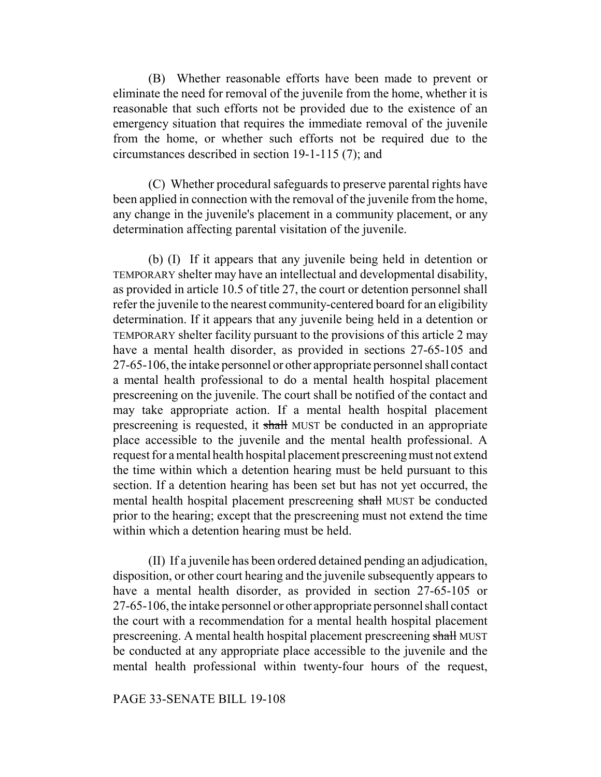(B) Whether reasonable efforts have been made to prevent or eliminate the need for removal of the juvenile from the home, whether it is reasonable that such efforts not be provided due to the existence of an emergency situation that requires the immediate removal of the juvenile from the home, or whether such efforts not be required due to the circumstances described in section 19-1-115 (7); and

(C) Whether procedural safeguards to preserve parental rights have been applied in connection with the removal of the juvenile from the home, any change in the juvenile's placement in a community placement, or any determination affecting parental visitation of the juvenile.

(b) (I) If it appears that any juvenile being held in detention or TEMPORARY shelter may have an intellectual and developmental disability, as provided in article 10.5 of title 27, the court or detention personnel shall refer the juvenile to the nearest community-centered board for an eligibility determination. If it appears that any juvenile being held in a detention or TEMPORARY shelter facility pursuant to the provisions of this article 2 may have a mental health disorder, as provided in sections 27-65-105 and 27-65-106, the intake personnel or other appropriate personnel shall contact a mental health professional to do a mental health hospital placement prescreening on the juvenile. The court shall be notified of the contact and may take appropriate action. If a mental health hospital placement prescreening is requested, it shall MUST be conducted in an appropriate place accessible to the juvenile and the mental health professional. A request for a mental health hospital placement prescreening must not extend the time within which a detention hearing must be held pursuant to this section. If a detention hearing has been set but has not yet occurred, the mental health hospital placement prescreening shall MUST be conducted prior to the hearing; except that the prescreening must not extend the time within which a detention hearing must be held.

(II) If a juvenile has been ordered detained pending an adjudication, disposition, or other court hearing and the juvenile subsequently appears to have a mental health disorder, as provided in section 27-65-105 or 27-65-106, the intake personnel or other appropriate personnel shall contact the court with a recommendation for a mental health hospital placement prescreening. A mental health hospital placement prescreening shall MUST be conducted at any appropriate place accessible to the juvenile and the mental health professional within twenty-four hours of the request,

# PAGE 33-SENATE BILL 19-108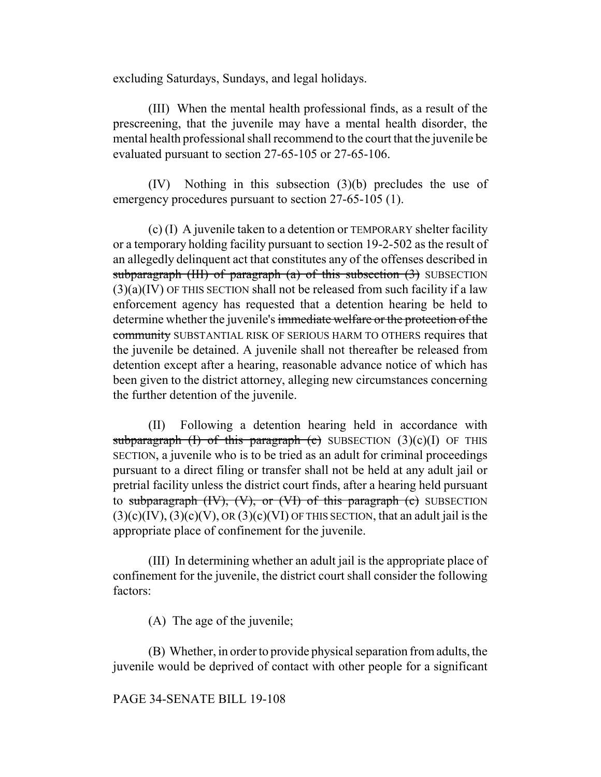excluding Saturdays, Sundays, and legal holidays.

(III) When the mental health professional finds, as a result of the prescreening, that the juvenile may have a mental health disorder, the mental health professional shall recommend to the court that the juvenile be evaluated pursuant to section 27-65-105 or 27-65-106.

(IV) Nothing in this subsection (3)(b) precludes the use of emergency procedures pursuant to section 27-65-105 (1).

(c) (I) A juvenile taken to a detention or TEMPORARY shelter facility or a temporary holding facility pursuant to section 19-2-502 as the result of an allegedly delinquent act that constitutes any of the offenses described in subparagraph (III) of paragraph  $(a)$  of this subsection  $(3)$  SUBSECTION  $(3)(a)(IV)$  OF THIS SECTION shall not be released from such facility if a law enforcement agency has requested that a detention hearing be held to determine whether the juvenile's immediate welfare or the protection of the community SUBSTANTIAL RISK OF SERIOUS HARM TO OTHERS requires that the juvenile be detained. A juvenile shall not thereafter be released from detention except after a hearing, reasonable advance notice of which has been given to the district attorney, alleging new circumstances concerning the further detention of the juvenile.

(II) Following a detention hearing held in accordance with subparagraph (I) of this paragraph (c) SUBSECTION  $(3)(c)(I)$  OF THIS SECTION, a juvenile who is to be tried as an adult for criminal proceedings pursuant to a direct filing or transfer shall not be held at any adult jail or pretrial facility unless the district court finds, after a hearing held pursuant to subparagraph  $(W)$ ,  $(V)$ , or  $(VI)$  of this paragraph  $(e)$  SUBSECTION  $(3)(c)(IV)$ ,  $(3)(c)(V)$ , OR  $(3)(c)(VI)$  OF THIS SECTION, that an adult jail is the appropriate place of confinement for the juvenile.

(III) In determining whether an adult jail is the appropriate place of confinement for the juvenile, the district court shall consider the following factors:

(A) The age of the juvenile;

(B) Whether, in order to provide physical separation from adults, the juvenile would be deprived of contact with other people for a significant

PAGE 34-SENATE BILL 19-108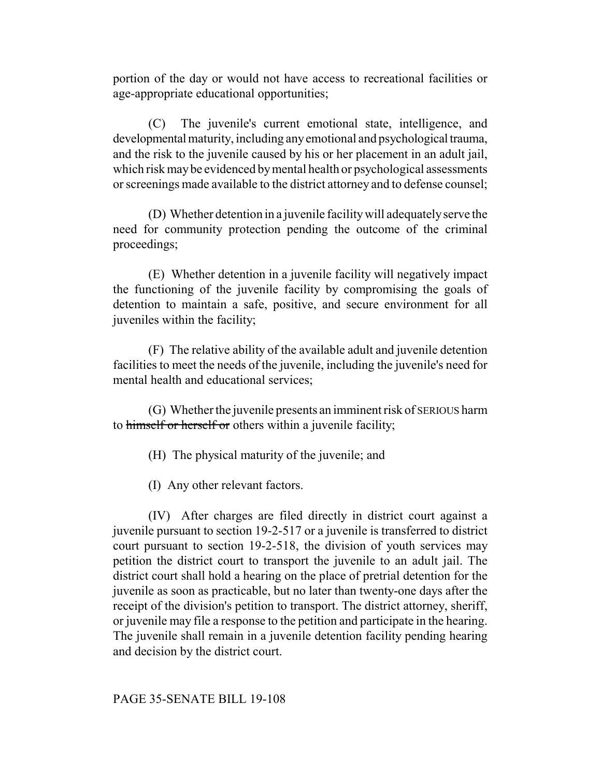portion of the day or would not have access to recreational facilities or age-appropriate educational opportunities;

(C) The juvenile's current emotional state, intelligence, and developmental maturity, including any emotional and psychological trauma, and the risk to the juvenile caused by his or her placement in an adult jail, which risk may be evidenced by mental health or psychological assessments or screenings made available to the district attorney and to defense counsel;

(D) Whether detention in a juvenile facility will adequately serve the need for community protection pending the outcome of the criminal proceedings;

(E) Whether detention in a juvenile facility will negatively impact the functioning of the juvenile facility by compromising the goals of detention to maintain a safe, positive, and secure environment for all juveniles within the facility;

(F) The relative ability of the available adult and juvenile detention facilities to meet the needs of the juvenile, including the juvenile's need for mental health and educational services;

(G) Whether the juvenile presents an imminent risk of SERIOUS harm to himself or herself or others within a juvenile facility;

(H) The physical maturity of the juvenile; and

(I) Any other relevant factors.

(IV) After charges are filed directly in district court against a juvenile pursuant to section 19-2-517 or a juvenile is transferred to district court pursuant to section 19-2-518, the division of youth services may petition the district court to transport the juvenile to an adult jail. The district court shall hold a hearing on the place of pretrial detention for the juvenile as soon as practicable, but no later than twenty-one days after the receipt of the division's petition to transport. The district attorney, sheriff, or juvenile may file a response to the petition and participate in the hearing. The juvenile shall remain in a juvenile detention facility pending hearing and decision by the district court.

#### PAGE 35-SENATE BILL 19-108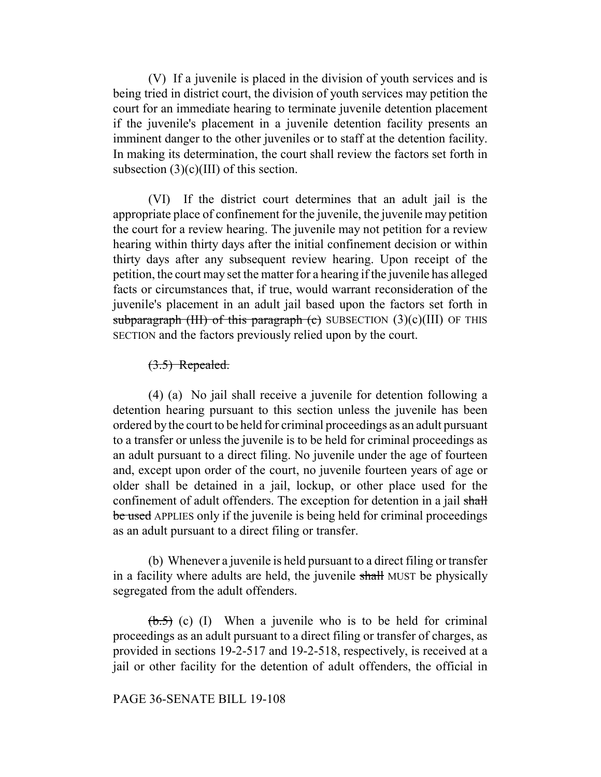(V) If a juvenile is placed in the division of youth services and is being tried in district court, the division of youth services may petition the court for an immediate hearing to terminate juvenile detention placement if the juvenile's placement in a juvenile detention facility presents an imminent danger to the other juveniles or to staff at the detention facility. In making its determination, the court shall review the factors set forth in subsection  $(3)(c)(III)$  of this section.

(VI) If the district court determines that an adult jail is the appropriate place of confinement for the juvenile, the juvenile may petition the court for a review hearing. The juvenile may not petition for a review hearing within thirty days after the initial confinement decision or within thirty days after any subsequent review hearing. Upon receipt of the petition, the court may set the matter for a hearing if the juvenile has alleged facts or circumstances that, if true, would warrant reconsideration of the juvenile's placement in an adult jail based upon the factors set forth in subparagraph (III) of this paragraph (c) SUBSECTION  $(3)(c)(III)$  OF THIS SECTION and the factors previously relied upon by the court.

# (3.5) Repealed.

(4) (a) No jail shall receive a juvenile for detention following a detention hearing pursuant to this section unless the juvenile has been ordered by the court to be held for criminal proceedings as an adult pursuant to a transfer or unless the juvenile is to be held for criminal proceedings as an adult pursuant to a direct filing. No juvenile under the age of fourteen and, except upon order of the court, no juvenile fourteen years of age or older shall be detained in a jail, lockup, or other place used for the confinement of adult offenders. The exception for detention in a jail shall be used APPLIES only if the juvenile is being held for criminal proceedings as an adult pursuant to a direct filing or transfer.

(b) Whenever a juvenile is held pursuant to a direct filing or transfer in a facility where adults are held, the juvenile shall MUST be physically segregated from the adult offenders.

 $(\theta.5)$  (c) (I) When a juvenile who is to be held for criminal proceedings as an adult pursuant to a direct filing or transfer of charges, as provided in sections 19-2-517 and 19-2-518, respectively, is received at a jail or other facility for the detention of adult offenders, the official in

# PAGE 36-SENATE BILL 19-108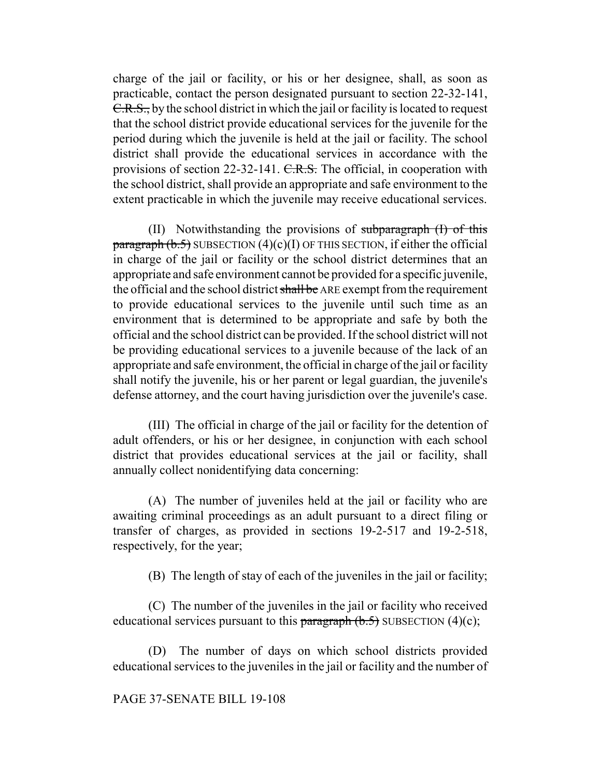charge of the jail or facility, or his or her designee, shall, as soon as practicable, contact the person designated pursuant to section 22-32-141, C.R.S., by the school district in which the jail or facility is located to request that the school district provide educational services for the juvenile for the period during which the juvenile is held at the jail or facility. The school district shall provide the educational services in accordance with the provisions of section 22-32-141. C.R.S. The official, in cooperation with the school district, shall provide an appropriate and safe environment to the extent practicable in which the juvenile may receive educational services.

(II) Notwithstanding the provisions of subparagraph (I) of this paragraph  $(b.5)$  SUBSECTION  $(4)(c)(I)$  OF THIS SECTION, if either the official in charge of the jail or facility or the school district determines that an appropriate and safe environment cannot be provided for a specific juvenile, the official and the school district shall be ARE exempt from the requirement to provide educational services to the juvenile until such time as an environment that is determined to be appropriate and safe by both the official and the school district can be provided. If the school district will not be providing educational services to a juvenile because of the lack of an appropriate and safe environment, the official in charge of the jail or facility shall notify the juvenile, his or her parent or legal guardian, the juvenile's defense attorney, and the court having jurisdiction over the juvenile's case.

(III) The official in charge of the jail or facility for the detention of adult offenders, or his or her designee, in conjunction with each school district that provides educational services at the jail or facility, shall annually collect nonidentifying data concerning:

(A) The number of juveniles held at the jail or facility who are awaiting criminal proceedings as an adult pursuant to a direct filing or transfer of charges, as provided in sections 19-2-517 and 19-2-518, respectively, for the year;

(B) The length of stay of each of the juveniles in the jail or facility;

(C) The number of the juveniles in the jail or facility who received educational services pursuant to this paragraph  $(b.5)$  SUBSECTION  $(4)(c)$ ;

(D) The number of days on which school districts provided educational services to the juveniles in the jail or facility and the number of

# PAGE 37-SENATE BILL 19-108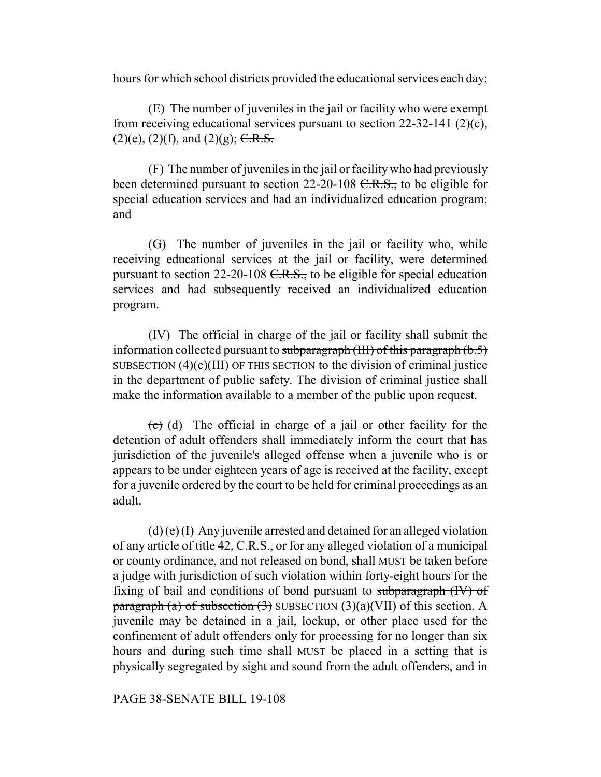hours for which school districts provided the educational services each day;

(E) The number of juveniles in the jail or facility who were exempt from receiving educational services pursuant to section 22-32-141 (2)(c),  $(2)(e)$ ,  $(2)(f)$ , and  $(2)(g)$ ; C.R.S.

(F) The number of juveniles in the jail or facility who had previously been determined pursuant to section 22-20-108 <del>C.R.S.,</del> to be eligible for special education services and had an individualized education program; and

(G) The number of juveniles in the jail or facility who, while receiving educational services at the jail or facility, were determined pursuant to section 22-20-108  $C.R.S.,$  to be eligible for special education services and had subsequently received an individualized education program.

(IV) The official in charge of the jail or facility shall submit the information collected pursuant to subparagraph (III) of this paragraph  $(b.5)$ SUBSECTION  $(4)(c)(III)$  OF THIS SECTION to the division of criminal justice in the department of public safety. The division of criminal justice shall make the information available to a member of the public upon request.

 $\left(\frac{1}{\epsilon}\right)$  (d) The official in charge of a jail or other facility for the detention of adult offenders shall immediately inform the court that has jurisdiction of the juvenile's alleged offense when a juvenile who is or appears to be under eighteen years of age is received at the facility, except for a juvenile ordered by the court to be held for criminal proceedings as an adult.

 $(d)$  (e) (I) Any juvenile arrested and detained for an alleged violation of any article of title 42, C.R.S., or for any alleged violation of a municipal or county ordinance, and not released on bond, shall MUST be taken before a judge with jurisdiction of such violation within forty-eight hours for the fixing of bail and conditions of bond pursuant to subparagraph (IV) of paragraph (a) of subsection  $(3)$  SUBSECTION  $(3)(a)(VII)$  of this section. A juvenile may be detained in a jail, lockup, or other place used for the confinement of adult offenders only for processing for no longer than six hours and during such time shall MUST be placed in a setting that is physically segregated by sight and sound from the adult offenders, and in

#### PAGE 38-SENATE BILL 19-108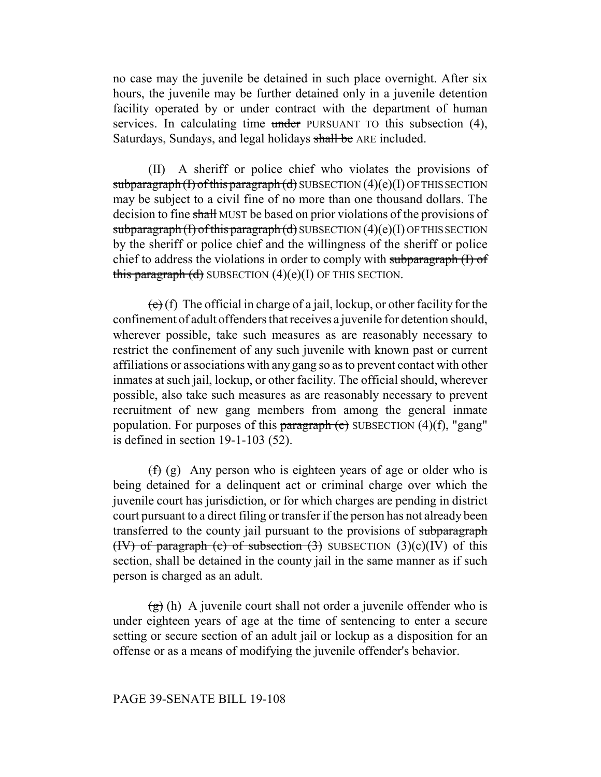no case may the juvenile be detained in such place overnight. After six hours, the juvenile may be further detained only in a juvenile detention facility operated by or under contract with the department of human services. In calculating time under PURSUANT TO this subsection (4), Saturdays, Sundays, and legal holidays shall be ARE included.

(II) A sheriff or police chief who violates the provisions of subparagraph  $(I)$  of this paragraph  $(d)$  SUBSECTION  $(4)(e)(I)$  OF THIS SECTION may be subject to a civil fine of no more than one thousand dollars. The decision to fine shall MUST be based on prior violations of the provisions of subparagraph  $(I)$  of this paragraph  $(d)$  SUBSECTION  $(4)(e)(I)$  OF THIS SECTION by the sheriff or police chief and the willingness of the sheriff or police chief to address the violations in order to comply with subparagraph (I) of this paragraph  $(d)$  SUBSECTION  $(4)(e)(I)$  OF THIS SECTION.

 $(e)$  (f) The official in charge of a jail, lockup, or other facility for the confinement of adult offenders that receives a juvenile for detention should, wherever possible, take such measures as are reasonably necessary to restrict the confinement of any such juvenile with known past or current affiliations or associations with any gang so as to prevent contact with other inmates at such jail, lockup, or other facility. The official should, wherever possible, also take such measures as are reasonably necessary to prevent recruitment of new gang members from among the general inmate population. For purposes of this paragraph  $(e)$  SUBSECTION  $(4)(f)$ , "gang" is defined in section 19-1-103 (52).

 $(f)$  (g) Any person who is eighteen years of age or older who is being detained for a delinquent act or criminal charge over which the juvenile court has jurisdiction, or for which charges are pending in district court pursuant to a direct filing or transfer if the person has not already been transferred to the county jail pursuant to the provisions of subparagraph (IV) of paragraph (c) of subsection  $(3)$  SUBSECTION  $(3)(c)(IV)$  of this section, shall be detained in the county jail in the same manner as if such person is charged as an adult.

 $\left(\frac{g}{g}\right)$  (h) A juvenile court shall not order a juvenile offender who is under eighteen years of age at the time of sentencing to enter a secure setting or secure section of an adult jail or lockup as a disposition for an offense or as a means of modifying the juvenile offender's behavior.

#### PAGE 39-SENATE BILL 19-108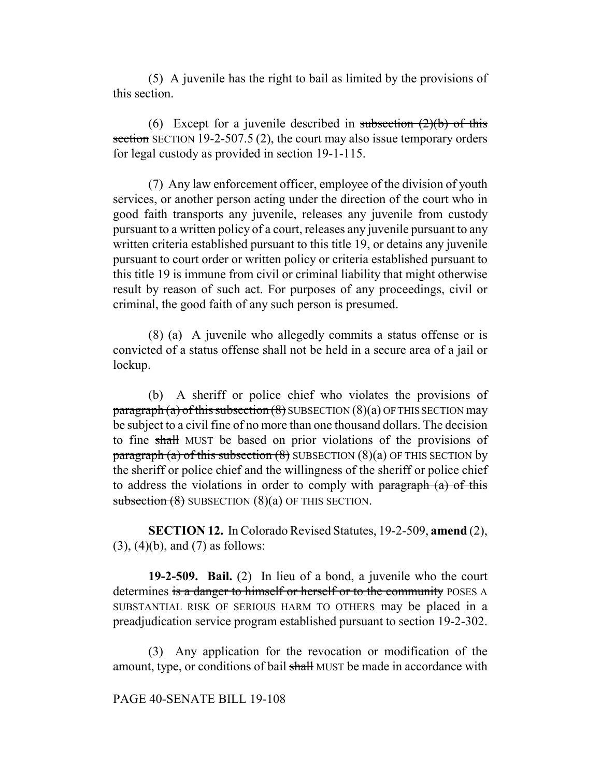(5) A juvenile has the right to bail as limited by the provisions of this section.

(6) Except for a juvenile described in subsection  $(2)(b)$  of this section SECTION 19-2-507.5 (2), the court may also issue temporary orders for legal custody as provided in section 19-1-115.

(7) Any law enforcement officer, employee of the division of youth services, or another person acting under the direction of the court who in good faith transports any juvenile, releases any juvenile from custody pursuant to a written policy of a court, releases any juvenile pursuant to any written criteria established pursuant to this title 19, or detains any juvenile pursuant to court order or written policy or criteria established pursuant to this title 19 is immune from civil or criminal liability that might otherwise result by reason of such act. For purposes of any proceedings, civil or criminal, the good faith of any such person is presumed.

(8) (a) A juvenile who allegedly commits a status offense or is convicted of a status offense shall not be held in a secure area of a jail or lockup.

(b) A sheriff or police chief who violates the provisions of  $\frac{\pi}{2}$  paragraph (a) of this subsection (8) SUBSECTION (8)(a) OF THIS SECTION may be subject to a civil fine of no more than one thousand dollars. The decision to fine shall MUST be based on prior violations of the provisions of paragraph (a) of this subsection  $(8)$  SUBSECTION  $(8)(a)$  OF THIS SECTION by the sheriff or police chief and the willingness of the sheriff or police chief to address the violations in order to comply with paragraph (a) of this subsection  $(8)$  SUBSECTION  $(8)(a)$  OF THIS SECTION.

**SECTION 12.** In Colorado Revised Statutes, 19-2-509, **amend** (2), (3), (4)(b), and (7) as follows:

**19-2-509. Bail.** (2) In lieu of a bond, a juvenile who the court determines is a danger to himself or herself or to the community POSES A SUBSTANTIAL RISK OF SERIOUS HARM TO OTHERS may be placed in a preadjudication service program established pursuant to section 19-2-302.

(3) Any application for the revocation or modification of the amount, type, or conditions of bail shall MUST be made in accordance with

#### PAGE 40-SENATE BILL 19-108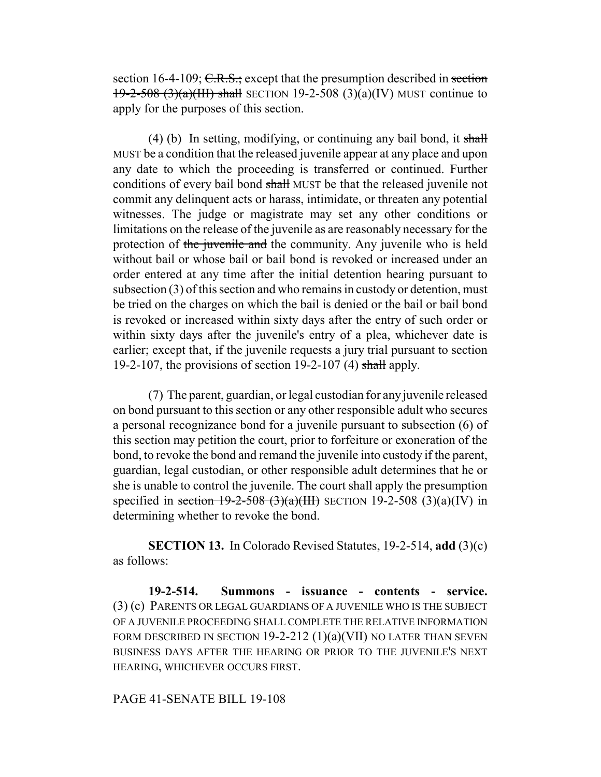section 16-4-109; C.R.S.; except that the presumption described in section 19-2-508 (3)(a)(III) shall SECTION 19-2-508 (3)(a)(IV) MUST continue to apply for the purposes of this section.

(4) (b) In setting, modifying, or continuing any bail bond, it shall MUST be a condition that the released juvenile appear at any place and upon any date to which the proceeding is transferred or continued. Further conditions of every bail bond shall MUST be that the released juvenile not commit any delinquent acts or harass, intimidate, or threaten any potential witnesses. The judge or magistrate may set any other conditions or limitations on the release of the juvenile as are reasonably necessary for the protection of the juvenile and the community. Any juvenile who is held without bail or whose bail or bail bond is revoked or increased under an order entered at any time after the initial detention hearing pursuant to subsection (3) of this section and who remains in custody or detention, must be tried on the charges on which the bail is denied or the bail or bail bond is revoked or increased within sixty days after the entry of such order or within sixty days after the juvenile's entry of a plea, whichever date is earlier; except that, if the juvenile requests a jury trial pursuant to section 19-2-107, the provisions of section 19-2-107 (4) shall apply.

(7) The parent, guardian, or legal custodian for any juvenile released on bond pursuant to this section or any other responsible adult who secures a personal recognizance bond for a juvenile pursuant to subsection (6) of this section may petition the court, prior to forfeiture or exoneration of the bond, to revoke the bond and remand the juvenile into custody if the parent, guardian, legal custodian, or other responsible adult determines that he or she is unable to control the juvenile. The court shall apply the presumption specified in section 19-2-508 (3)(a)(III) SECTION 19-2-508 (3)(a)(IV) in determining whether to revoke the bond.

**SECTION 13.** In Colorado Revised Statutes, 19-2-514, **add** (3)(c) as follows:

**19-2-514. Summons - issuance - contents - service.** (3) (c) PARENTS OR LEGAL GUARDIANS OF A JUVENILE WHO IS THE SUBJECT OF A JUVENILE PROCEEDING SHALL COMPLETE THE RELATIVE INFORMATION FORM DESCRIBED IN SECTION  $19-2-212$   $(1)(a)(VII)$  no later than seven BUSINESS DAYS AFTER THE HEARING OR PRIOR TO THE JUVENILE'S NEXT HEARING, WHICHEVER OCCURS FIRST.

#### PAGE 41-SENATE BILL 19-108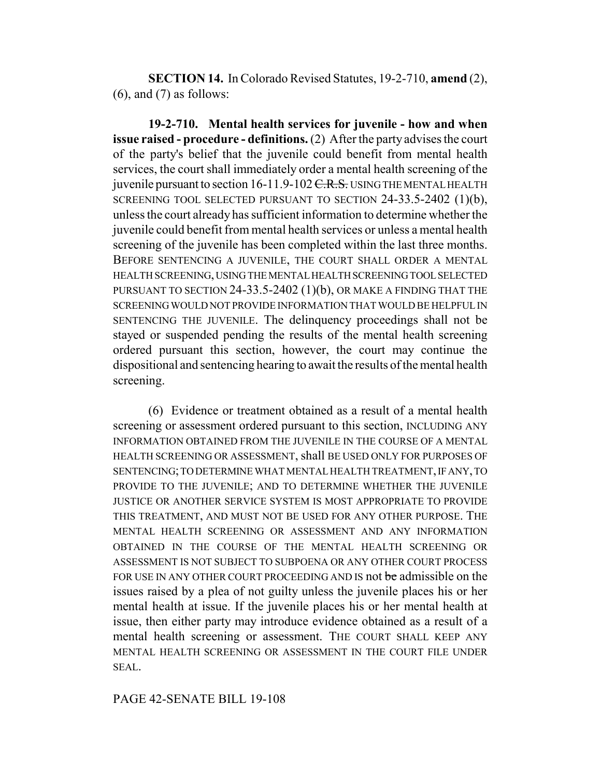**SECTION 14.** In Colorado Revised Statutes, 19-2-710, **amend** (2),  $(6)$ , and  $(7)$  as follows:

**19-2-710. Mental health services for juvenile - how and when issue raised - procedure - definitions.** (2) After the party advises the court of the party's belief that the juvenile could benefit from mental health services, the court shall immediately order a mental health screening of the juvenile pursuant to section 16-11.9-102 C.R.S. USING THE MENTAL HEALTH SCREENING TOOL SELECTED PURSUANT TO SECTION 24-33.5-2402 (1)(b), unless the court already has sufficient information to determine whether the juvenile could benefit from mental health services or unless a mental health screening of the juvenile has been completed within the last three months. BEFORE SENTENCING A JUVENILE, THE COURT SHALL ORDER A MENTAL HEALTH SCREENING, USING THE MENTAL HEALTH SCREENING TOOL SELECTED PURSUANT TO SECTION  $24-33.5-2402$  (1)(b), OR MAKE A FINDING THAT THE SCREENING WOULD NOT PROVIDE INFORMATION THAT WOULD BE HELPFUL IN SENTENCING THE JUVENILE. The delinquency proceedings shall not be stayed or suspended pending the results of the mental health screening ordered pursuant this section, however, the court may continue the dispositional and sentencing hearing to await the results of the mental health screening.

(6) Evidence or treatment obtained as a result of a mental health screening or assessment ordered pursuant to this section, INCLUDING ANY INFORMATION OBTAINED FROM THE JUVENILE IN THE COURSE OF A MENTAL HEALTH SCREENING OR ASSESSMENT, shall BE USED ONLY FOR PURPOSES OF SENTENCING; TO DETERMINE WHAT MENTAL HEALTH TREATMENT, IF ANY, TO PROVIDE TO THE JUVENILE; AND TO DETERMINE WHETHER THE JUVENILE JUSTICE OR ANOTHER SERVICE SYSTEM IS MOST APPROPRIATE TO PROVIDE THIS TREATMENT, AND MUST NOT BE USED FOR ANY OTHER PURPOSE. THE MENTAL HEALTH SCREENING OR ASSESSMENT AND ANY INFORMATION OBTAINED IN THE COURSE OF THE MENTAL HEALTH SCREENING OR ASSESSMENT IS NOT SUBJECT TO SUBPOENA OR ANY OTHER COURT PROCESS FOR USE IN ANY OTHER COURT PROCEEDING AND IS not be admissible on the issues raised by a plea of not guilty unless the juvenile places his or her mental health at issue. If the juvenile places his or her mental health at issue, then either party may introduce evidence obtained as a result of a mental health screening or assessment. THE COURT SHALL KEEP ANY MENTAL HEALTH SCREENING OR ASSESSMENT IN THE COURT FILE UNDER SEAL.

# PAGE 42-SENATE BILL 19-108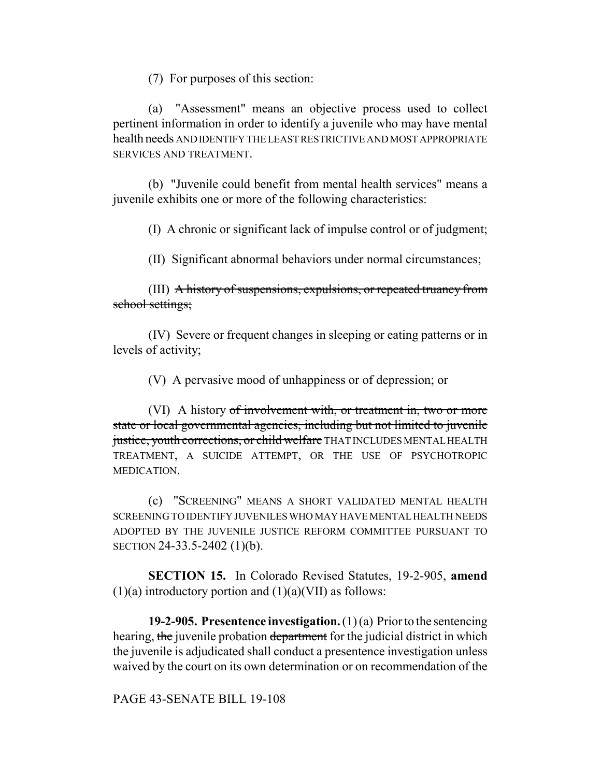(7) For purposes of this section:

(a) "Assessment" means an objective process used to collect pertinent information in order to identify a juvenile who may have mental health needs AND IDENTIFY THE LEAST RESTRICTIVE AND MOST APPROPRIATE SERVICES AND TREATMENT.

(b) "Juvenile could benefit from mental health services" means a juvenile exhibits one or more of the following characteristics:

(I) A chronic or significant lack of impulse control or of judgment;

(II) Significant abnormal behaviors under normal circumstances;

(III) A history of suspensions, expulsions, or repeated truancy from school settings;

(IV) Severe or frequent changes in sleeping or eating patterns or in levels of activity;

(V) A pervasive mood of unhappiness or of depression; or

(VI) A history of involvement with, or treatment in, two or more state or local governmental agencies, including but not limited to juvenile justice, youth corrections, or child welfare THAT INCLUDES MENTAL HEALTH TREATMENT, A SUICIDE ATTEMPT, OR THE USE OF PSYCHOTROPIC MEDICATION.

(c) "SCREENING" MEANS A SHORT VALIDATED MENTAL HEALTH SCREENING TO IDENTIFY JUVENILES WHO MAY HAVE MENTAL HEALTH NEEDS ADOPTED BY THE JUVENILE JUSTICE REFORM COMMITTEE PURSUANT TO SECTION 24-33.5-2402 (1)(b).

**SECTION 15.** In Colorado Revised Statutes, 19-2-905, **amend**  $(1)(a)$  introductory portion and  $(1)(a)(VII)$  as follows:

**19-2-905. Presentence investigation.** (1) (a) Prior to the sentencing hearing, the juvenile probation department for the judicial district in which the juvenile is adjudicated shall conduct a presentence investigation unless waived by the court on its own determination or on recommendation of the

PAGE 43-SENATE BILL 19-108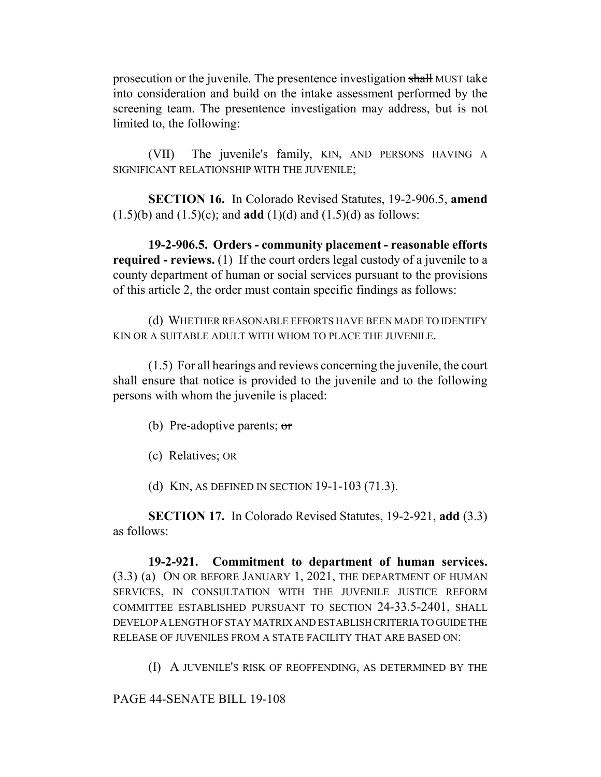prosecution or the juvenile. The presentence investigation shall MUST take into consideration and build on the intake assessment performed by the screening team. The presentence investigation may address, but is not limited to, the following:

(VII) The juvenile's family, KIN, AND PERSONS HAVING A SIGNIFICANT RELATIONSHIP WITH THE JUVENILE;

**SECTION 16.** In Colorado Revised Statutes, 19-2-906.5, **amend** (1.5)(b) and (1.5)(c); and **add** (1)(d) and (1.5)(d) as follows:

**19-2-906.5. Orders - community placement - reasonable efforts required - reviews.** (1) If the court orders legal custody of a juvenile to a county department of human or social services pursuant to the provisions of this article 2, the order must contain specific findings as follows:

(d) WHETHER REASONABLE EFFORTS HAVE BEEN MADE TO IDENTIFY KIN OR A SUITABLE ADULT WITH WHOM TO PLACE THE JUVENILE.

(1.5) For all hearings and reviews concerning the juvenile, the court shall ensure that notice is provided to the juvenile and to the following persons with whom the juvenile is placed:

- (b) Pre-adoptive parents;  $\sigma$
- (c) Relatives; OR
- (d) KIN, AS DEFINED IN SECTION 19-1-103 (71.3).

**SECTION 17.** In Colorado Revised Statutes, 19-2-921, **add** (3.3) as follows:

**19-2-921. Commitment to department of human services.** (3.3) (a) ON OR BEFORE JANUARY 1, 2021, THE DEPARTMENT OF HUMAN SERVICES, IN CONSULTATION WITH THE JUVENILE JUSTICE REFORM COMMITTEE ESTABLISHED PURSUANT TO SECTION 24-33.5-2401, SHALL DEVELOP A LENGTH OF STAY MATRIX AND ESTABLISH CRITERIA TO GUIDE THE RELEASE OF JUVENILES FROM A STATE FACILITY THAT ARE BASED ON:

(I) A JUVENILE'S RISK OF REOFFENDING, AS DETERMINED BY THE

PAGE 44-SENATE BILL 19-108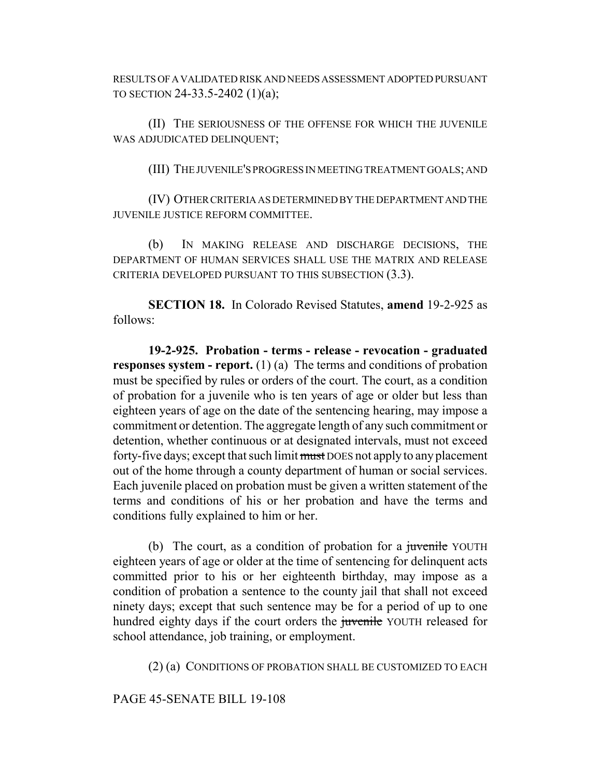RESULTS OF A VALIDATED RISK AND NEEDS ASSESSMENT ADOPTED PURSUANT TO SECTION 24-33.5-2402 (1)(a);

(II) THE SERIOUSNESS OF THE OFFENSE FOR WHICH THE JUVENILE WAS ADJUDICATED DELINQUENT;

(III) THE JUVENILE'S PROGRESS IN MEETING TREATMENT GOALS; AND

(IV) OTHER CRITERIA AS DETERMINED BY THE DEPARTMENT AND THE JUVENILE JUSTICE REFORM COMMITTEE.

(b) IN MAKING RELEASE AND DISCHARGE DECISIONS, THE DEPARTMENT OF HUMAN SERVICES SHALL USE THE MATRIX AND RELEASE CRITERIA DEVELOPED PURSUANT TO THIS SUBSECTION (3.3).

**SECTION 18.** In Colorado Revised Statutes, **amend** 19-2-925 as follows:

**19-2-925. Probation - terms - release - revocation - graduated responses system - report.** (1) (a) The terms and conditions of probation must be specified by rules or orders of the court. The court, as a condition of probation for a juvenile who is ten years of age or older but less than eighteen years of age on the date of the sentencing hearing, may impose a commitment or detention. The aggregate length of any such commitment or detention, whether continuous or at designated intervals, must not exceed forty-five days; except that such limit must DOES not apply to any placement out of the home through a county department of human or social services. Each juvenile placed on probation must be given a written statement of the terms and conditions of his or her probation and have the terms and conditions fully explained to him or her.

(b) The court, as a condition of probation for a *juvenile* YOUTH eighteen years of age or older at the time of sentencing for delinquent acts committed prior to his or her eighteenth birthday, may impose as a condition of probation a sentence to the county jail that shall not exceed ninety days; except that such sentence may be for a period of up to one hundred eighty days if the court orders the juvenile YOUTH released for school attendance, job training, or employment.

(2) (a) CONDITIONS OF PROBATION SHALL BE CUSTOMIZED TO EACH

PAGE 45-SENATE BILL 19-108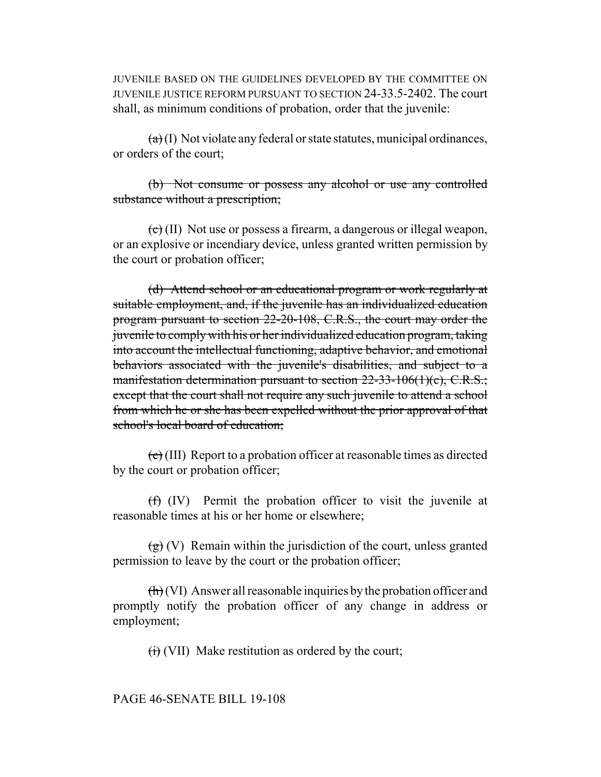JUVENILE BASED ON THE GUIDELINES DEVELOPED BY THE COMMITTEE ON JUVENILE JUSTICE REFORM PURSUANT TO SECTION 24-33.5-2402. The court shall, as minimum conditions of probation, order that the juvenile:

 $(a)(1)$  Not violate any federal or state statutes, municipal ordinances, or orders of the court;

(b) Not consume or possess any alcohol or use any controlled substance without a prescription;

 $\left(\epsilon\right)$  (II) Not use or possess a firearm, a dangerous or illegal weapon, or an explosive or incendiary device, unless granted written permission by the court or probation officer;

(d) Attend school or an educational program or work regularly at suitable employment, and, if the juvenile has an individualized education program pursuant to section 22-20-108, C.R.S., the court may order the juvenile to comply with his or her individualized education program, taking into account the intellectual functioning, adaptive behavior, and emotional behaviors associated with the juvenile's disabilities, and subject to a manifestation determination pursuant to section  $22-33-106(1)(c)$ , C.R.S.; except that the court shall not require any such juvenile to attend a school from which he or she has been expelled without the prior approval of that school's local board of education:

 $(e)$  (III) Report to a probation officer at reasonable times as directed by the court or probation officer;

(f) (IV) Permit the probation officer to visit the juvenile at reasonable times at his or her home or elsewhere;

 $\left(\frac{g}{g}\right)$  (V) Remain within the jurisdiction of the court, unless granted permission to leave by the court or the probation officer;

 $\left(\frac{h}{h}\right)$  (VI) Answer all reasonable inquiries by the probation officer and promptly notify the probation officer of any change in address or employment;

 $<sub>(i)</sub>$  (VII) Make restitution as ordered by the court;</sub>

PAGE 46-SENATE BILL 19-108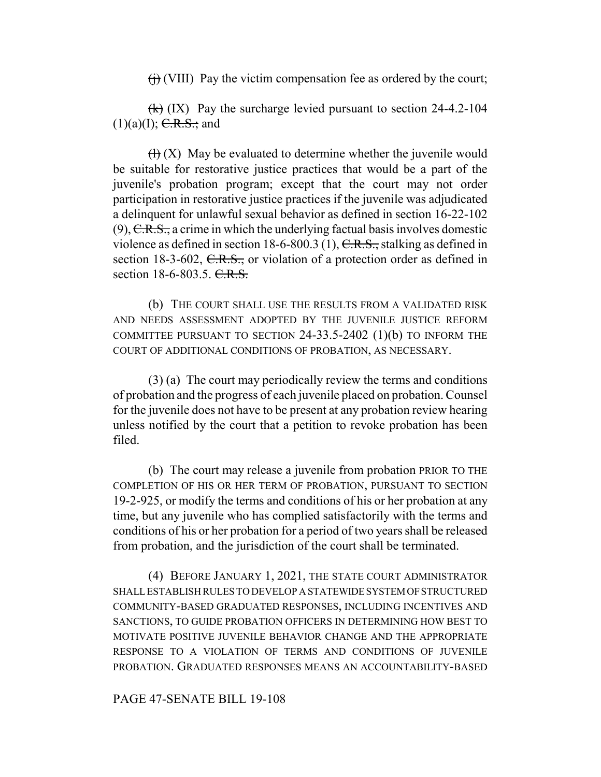$(f<sub>i</sub>)$  (VIII) Pay the victim compensation fee as ordered by the court;

 $(k)$  (IX) Pay the surcharge levied pursuant to section 24-4.2-104  $(1)(a)(I);$  <del>C.R.S.;</del> and

 $(H)$  (X) May be evaluated to determine whether the juvenile would be suitable for restorative justice practices that would be a part of the juvenile's probation program; except that the court may not order participation in restorative justice practices if the juvenile was adjudicated a delinquent for unlawful sexual behavior as defined in section 16-22-102  $(9)$ , C.R.S., a crime in which the underlying factual basis involves domestic violence as defined in section 18-6-800.3 (1),  $C.R.S.,$  stalking as defined in section 18-3-602,  $C.R.S.,$  or violation of a protection order as defined in section 18-6-803.5. C.R.S.

(b) THE COURT SHALL USE THE RESULTS FROM A VALIDATED RISK AND NEEDS ASSESSMENT ADOPTED BY THE JUVENILE JUSTICE REFORM COMMITTEE PURSUANT TO SECTION 24-33.5-2402 (1)(b) TO INFORM THE COURT OF ADDITIONAL CONDITIONS OF PROBATION, AS NECESSARY.

(3) (a) The court may periodically review the terms and conditions of probation and the progress of each juvenile placed on probation. Counsel for the juvenile does not have to be present at any probation review hearing unless notified by the court that a petition to revoke probation has been filed.

(b) The court may release a juvenile from probation PRIOR TO THE COMPLETION OF HIS OR HER TERM OF PROBATION, PURSUANT TO SECTION 19-2-925, or modify the terms and conditions of his or her probation at any time, but any juvenile who has complied satisfactorily with the terms and conditions of his or her probation for a period of two years shall be released from probation, and the jurisdiction of the court shall be terminated.

(4) BEFORE JANUARY 1, 2021, THE STATE COURT ADMINISTRATOR SHALL ESTABLISH RULES TO DEVELOP A STATEWIDE SYSTEM OF STRUCTURED COMMUNITY-BASED GRADUATED RESPONSES, INCLUDING INCENTIVES AND SANCTIONS, TO GUIDE PROBATION OFFICERS IN DETERMINING HOW BEST TO MOTIVATE POSITIVE JUVENILE BEHAVIOR CHANGE AND THE APPROPRIATE RESPONSE TO A VIOLATION OF TERMS AND CONDITIONS OF JUVENILE PROBATION. GRADUATED RESPONSES MEANS AN ACCOUNTABILITY-BASED

PAGE 47-SENATE BILL 19-108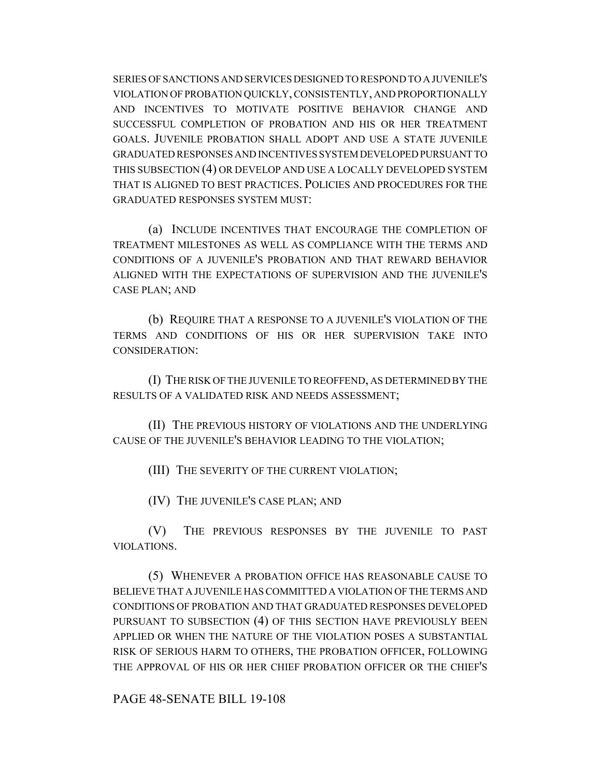SERIES OF SANCTIONS AND SERVICES DESIGNED TO RESPOND TO A JUVENILE'S VIOLATION OF PROBATION QUICKLY, CONSISTENTLY, AND PROPORTIONALLY AND INCENTIVES TO MOTIVATE POSITIVE BEHAVIOR CHANGE AND SUCCESSFUL COMPLETION OF PROBATION AND HIS OR HER TREATMENT GOALS. JUVENILE PROBATION SHALL ADOPT AND USE A STATE JUVENILE GRADUATED RESPONSES AND INCENTIVES SYSTEM DEVELOPED PURSUANT TO THIS SUBSECTION (4) OR DEVELOP AND USE A LOCALLY DEVELOPED SYSTEM THAT IS ALIGNED TO BEST PRACTICES. POLICIES AND PROCEDURES FOR THE GRADUATED RESPONSES SYSTEM MUST:

(a) INCLUDE INCENTIVES THAT ENCOURAGE THE COMPLETION OF TREATMENT MILESTONES AS WELL AS COMPLIANCE WITH THE TERMS AND CONDITIONS OF A JUVENILE'S PROBATION AND THAT REWARD BEHAVIOR ALIGNED WITH THE EXPECTATIONS OF SUPERVISION AND THE JUVENILE'S CASE PLAN; AND

(b) REQUIRE THAT A RESPONSE TO A JUVENILE'S VIOLATION OF THE TERMS AND CONDITIONS OF HIS OR HER SUPERVISION TAKE INTO CONSIDERATION:

(I) THE RISK OF THE JUVENILE TO REOFFEND, AS DETERMINED BY THE RESULTS OF A VALIDATED RISK AND NEEDS ASSESSMENT;

(II) THE PREVIOUS HISTORY OF VIOLATIONS AND THE UNDERLYING CAUSE OF THE JUVENILE'S BEHAVIOR LEADING TO THE VIOLATION;

(III) THE SEVERITY OF THE CURRENT VIOLATION;

(IV) THE JUVENILE'S CASE PLAN; AND

(V) THE PREVIOUS RESPONSES BY THE JUVENILE TO PAST VIOLATIONS.

(5) WHENEVER A PROBATION OFFICE HAS REASONABLE CAUSE TO BELIEVE THAT A JUVENILE HAS COMMITTED A VIOLATION OF THE TERMS AND CONDITIONS OF PROBATION AND THAT GRADUATED RESPONSES DEVELOPED PURSUANT TO SUBSECTION (4) OF THIS SECTION HAVE PREVIOUSLY BEEN APPLIED OR WHEN THE NATURE OF THE VIOLATION POSES A SUBSTANTIAL RISK OF SERIOUS HARM TO OTHERS, THE PROBATION OFFICER, FOLLOWING THE APPROVAL OF HIS OR HER CHIEF PROBATION OFFICER OR THE CHIEF'S

PAGE 48-SENATE BILL 19-108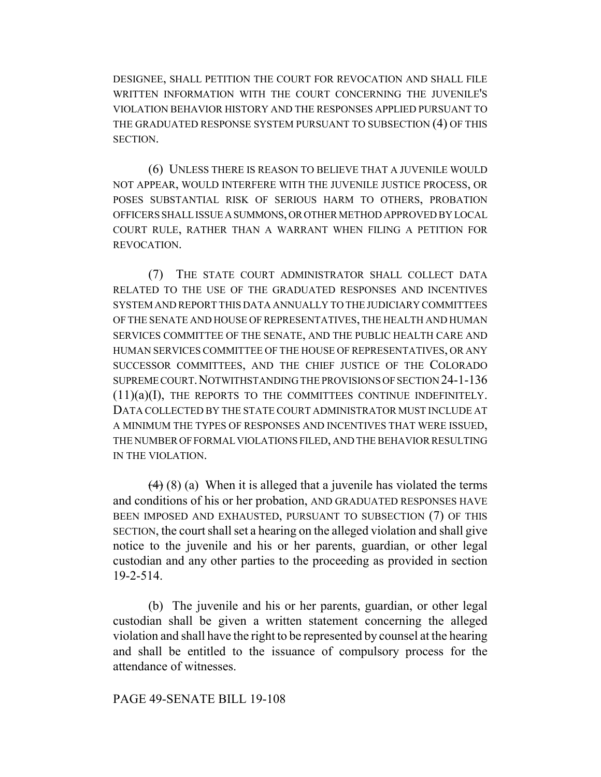DESIGNEE, SHALL PETITION THE COURT FOR REVOCATION AND SHALL FILE WRITTEN INFORMATION WITH THE COURT CONCERNING THE JUVENILE'S VIOLATION BEHAVIOR HISTORY AND THE RESPONSES APPLIED PURSUANT TO THE GRADUATED RESPONSE SYSTEM PURSUANT TO SUBSECTION (4) OF THIS SECTION.

(6) UNLESS THERE IS REASON TO BELIEVE THAT A JUVENILE WOULD NOT APPEAR, WOULD INTERFERE WITH THE JUVENILE JUSTICE PROCESS, OR POSES SUBSTANTIAL RISK OF SERIOUS HARM TO OTHERS, PROBATION OFFICERS SHALL ISSUE A SUMMONS, OR OTHER METHOD APPROVED BY LOCAL COURT RULE, RATHER THAN A WARRANT WHEN FILING A PETITION FOR REVOCATION.

(7) THE STATE COURT ADMINISTRATOR SHALL COLLECT DATA RELATED TO THE USE OF THE GRADUATED RESPONSES AND INCENTIVES SYSTEM AND REPORT THIS DATA ANNUALLY TO THE JUDICIARY COMMITTEES OF THE SENATE AND HOUSE OF REPRESENTATIVES, THE HEALTH AND HUMAN SERVICES COMMITTEE OF THE SENATE, AND THE PUBLIC HEALTH CARE AND HUMAN SERVICES COMMITTEE OF THE HOUSE OF REPRESENTATIVES, OR ANY SUCCESSOR COMMITTEES, AND THE CHIEF JUSTICE OF THE COLORADO SUPREME COURT.NOTWITHSTANDING THE PROVISIONS OF SECTION 24-1-136 (11)(a)(I), THE REPORTS TO THE COMMITTEES CONTINUE INDEFINITELY. DATA COLLECTED BY THE STATE COURT ADMINISTRATOR MUST INCLUDE AT A MINIMUM THE TYPES OF RESPONSES AND INCENTIVES THAT WERE ISSUED, THE NUMBER OF FORMAL VIOLATIONS FILED, AND THE BEHAVIOR RESULTING IN THE VIOLATION.

 $(4)$  (8) (a) When it is alleged that a juvenile has violated the terms and conditions of his or her probation, AND GRADUATED RESPONSES HAVE BEEN IMPOSED AND EXHAUSTED, PURSUANT TO SUBSECTION (7) OF THIS SECTION, the court shall set a hearing on the alleged violation and shall give notice to the juvenile and his or her parents, guardian, or other legal custodian and any other parties to the proceeding as provided in section 19-2-514.

(b) The juvenile and his or her parents, guardian, or other legal custodian shall be given a written statement concerning the alleged violation and shall have the right to be represented by counsel at the hearing and shall be entitled to the issuance of compulsory process for the attendance of witnesses.

# PAGE 49-SENATE BILL 19-108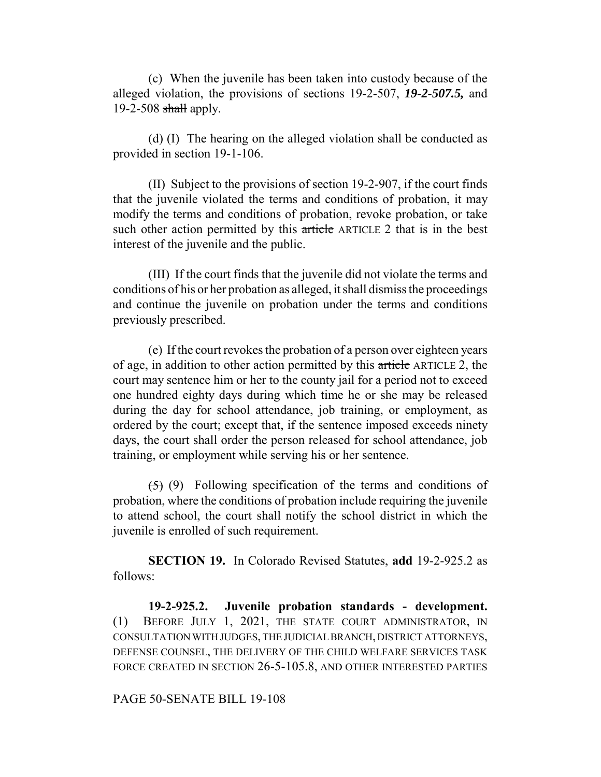(c) When the juvenile has been taken into custody because of the alleged violation, the provisions of sections 19-2-507, *19-2-507.5,* and  $19-2-508$  shall apply.

(d) (I) The hearing on the alleged violation shall be conducted as provided in section 19-1-106.

(II) Subject to the provisions of section 19-2-907, if the court finds that the juvenile violated the terms and conditions of probation, it may modify the terms and conditions of probation, revoke probation, or take such other action permitted by this article ARTICLE 2 that is in the best interest of the juvenile and the public.

(III) If the court finds that the juvenile did not violate the terms and conditions of his or her probation as alleged, it shall dismiss the proceedings and continue the juvenile on probation under the terms and conditions previously prescribed.

(e) If the court revokes the probation of a person over eighteen years of age, in addition to other action permitted by this article ARTICLE 2, the court may sentence him or her to the county jail for a period not to exceed one hundred eighty days during which time he or she may be released during the day for school attendance, job training, or employment, as ordered by the court; except that, if the sentence imposed exceeds ninety days, the court shall order the person released for school attendance, job training, or employment while serving his or her sentence.

 $(5)$  (9) Following specification of the terms and conditions of probation, where the conditions of probation include requiring the juvenile to attend school, the court shall notify the school district in which the juvenile is enrolled of such requirement.

**SECTION 19.** In Colorado Revised Statutes, **add** 19-2-925.2 as follows:

**19-2-925.2. Juvenile probation standards - development.** (1) BEFORE JULY 1, 2021, THE STATE COURT ADMINISTRATOR, IN CONSULTATION WITH JUDGES, THE JUDICIAL BRANCH, DISTRICT ATTORNEYS, DEFENSE COUNSEL, THE DELIVERY OF THE CHILD WELFARE SERVICES TASK FORCE CREATED IN SECTION 26-5-105.8, AND OTHER INTERESTED PARTIES

#### PAGE 50-SENATE BILL 19-108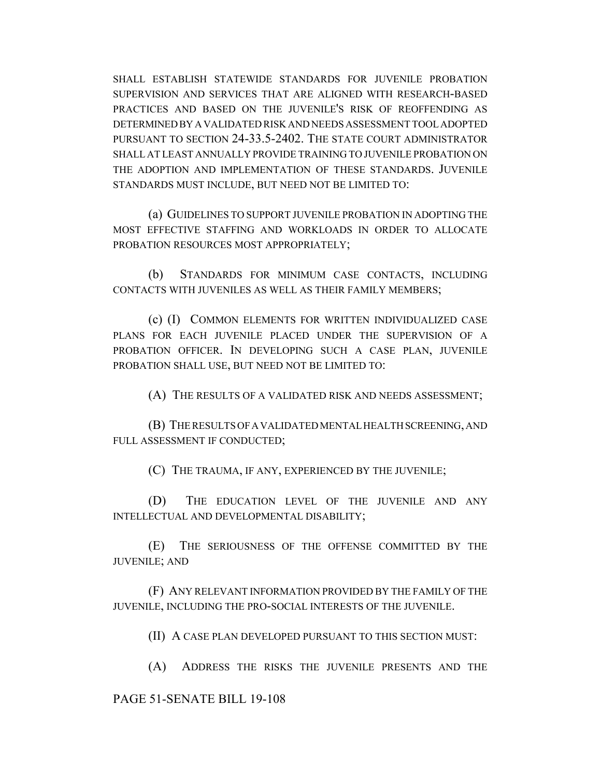SHALL ESTABLISH STATEWIDE STANDARDS FOR JUVENILE PROBATION SUPERVISION AND SERVICES THAT ARE ALIGNED WITH RESEARCH-BASED PRACTICES AND BASED ON THE JUVENILE'S RISK OF REOFFENDING AS DETERMINED BY A VALIDATED RISK AND NEEDS ASSESSMENT TOOL ADOPTED PURSUANT TO SECTION 24-33.5-2402. THE STATE COURT ADMINISTRATOR SHALL AT LEAST ANNUALLY PROVIDE TRAINING TO JUVENILE PROBATION ON THE ADOPTION AND IMPLEMENTATION OF THESE STANDARDS. JUVENILE STANDARDS MUST INCLUDE, BUT NEED NOT BE LIMITED TO:

(a) GUIDELINES TO SUPPORT JUVENILE PROBATION IN ADOPTING THE MOST EFFECTIVE STAFFING AND WORKLOADS IN ORDER TO ALLOCATE PROBATION RESOURCES MOST APPROPRIATELY;

(b) STANDARDS FOR MINIMUM CASE CONTACTS, INCLUDING CONTACTS WITH JUVENILES AS WELL AS THEIR FAMILY MEMBERS;

(c) (I) COMMON ELEMENTS FOR WRITTEN INDIVIDUALIZED CASE PLANS FOR EACH JUVENILE PLACED UNDER THE SUPERVISION OF A PROBATION OFFICER. IN DEVELOPING SUCH A CASE PLAN, JUVENILE PROBATION SHALL USE, BUT NEED NOT BE LIMITED TO:

(A) THE RESULTS OF A VALIDATED RISK AND NEEDS ASSESSMENT;

(B) THE RESULTS OF A VALIDATED MENTAL HEALTH SCREENING, AND FULL ASSESSMENT IF CONDUCTED;

(C) THE TRAUMA, IF ANY, EXPERIENCED BY THE JUVENILE;

(D) THE EDUCATION LEVEL OF THE JUVENILE AND ANY INTELLECTUAL AND DEVELOPMENTAL DISABILITY;

(E) THE SERIOUSNESS OF THE OFFENSE COMMITTED BY THE JUVENILE; AND

(F) ANY RELEVANT INFORMATION PROVIDED BY THE FAMILY OF THE JUVENILE, INCLUDING THE PRO-SOCIAL INTERESTS OF THE JUVENILE.

(II) A CASE PLAN DEVELOPED PURSUANT TO THIS SECTION MUST:

(A) ADDRESS THE RISKS THE JUVENILE PRESENTS AND THE

# PAGE 51-SENATE BILL 19-108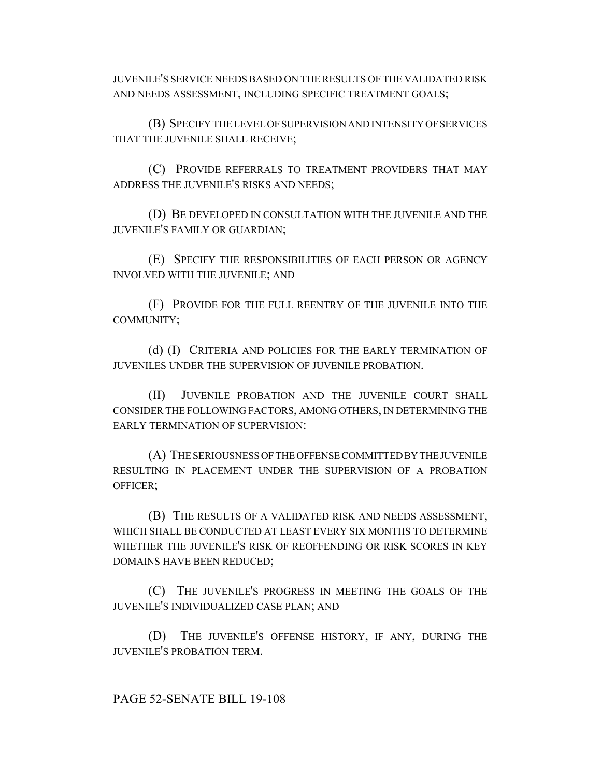JUVENILE'S SERVICE NEEDS BASED ON THE RESULTS OF THE VALIDATED RISK AND NEEDS ASSESSMENT, INCLUDING SPECIFIC TREATMENT GOALS;

(B) SPECIFY THE LEVEL OF SUPERVISION AND INTENSITY OF SERVICES THAT THE JUVENILE SHALL RECEIVE;

(C) PROVIDE REFERRALS TO TREATMENT PROVIDERS THAT MAY ADDRESS THE JUVENILE'S RISKS AND NEEDS;

(D) BE DEVELOPED IN CONSULTATION WITH THE JUVENILE AND THE JUVENILE'S FAMILY OR GUARDIAN;

(E) SPECIFY THE RESPONSIBILITIES OF EACH PERSON OR AGENCY INVOLVED WITH THE JUVENILE; AND

(F) PROVIDE FOR THE FULL REENTRY OF THE JUVENILE INTO THE COMMUNITY;

(d) (I) CRITERIA AND POLICIES FOR THE EARLY TERMINATION OF JUVENILES UNDER THE SUPERVISION OF JUVENILE PROBATION.

(II) JUVENILE PROBATION AND THE JUVENILE COURT SHALL CONSIDER THE FOLLOWING FACTORS, AMONG OTHERS, IN DETERMINING THE EARLY TERMINATION OF SUPERVISION:

(A) THE SERIOUSNESS OF THE OFFENSE COMMITTED BY THE JUVENILE RESULTING IN PLACEMENT UNDER THE SUPERVISION OF A PROBATION OFFICER;

(B) THE RESULTS OF A VALIDATED RISK AND NEEDS ASSESSMENT, WHICH SHALL BE CONDUCTED AT LEAST EVERY SIX MONTHS TO DETERMINE WHETHER THE JUVENILE'S RISK OF REOFFENDING OR RISK SCORES IN KEY DOMAINS HAVE BEEN REDUCED;

(C) THE JUVENILE'S PROGRESS IN MEETING THE GOALS OF THE JUVENILE'S INDIVIDUALIZED CASE PLAN; AND

(D) THE JUVENILE'S OFFENSE HISTORY, IF ANY, DURING THE JUVENILE'S PROBATION TERM.

# PAGE 52-SENATE BILL 19-108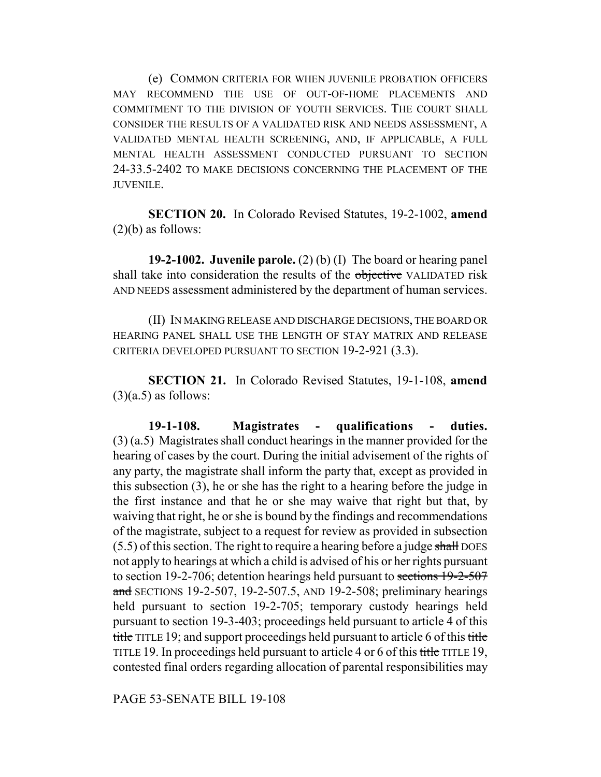(e) COMMON CRITERIA FOR WHEN JUVENILE PROBATION OFFICERS MAY RECOMMEND THE USE OF OUT-OF-HOME PLACEMENTS AND COMMITMENT TO THE DIVISION OF YOUTH SERVICES. THE COURT SHALL CONSIDER THE RESULTS OF A VALIDATED RISK AND NEEDS ASSESSMENT, A VALIDATED MENTAL HEALTH SCREENING, AND, IF APPLICABLE, A FULL MENTAL HEALTH ASSESSMENT CONDUCTED PURSUANT TO SECTION 24-33.5-2402 TO MAKE DECISIONS CONCERNING THE PLACEMENT OF THE JUVENILE.

**SECTION 20.** In Colorado Revised Statutes, 19-2-1002, **amend**  $(2)(b)$  as follows:

**19-2-1002. Juvenile parole.** (2) (b) (I) The board or hearing panel shall take into consideration the results of the objective VALIDATED risk AND NEEDS assessment administered by the department of human services.

(II) IN MAKING RELEASE AND DISCHARGE DECISIONS, THE BOARD OR HEARING PANEL SHALL USE THE LENGTH OF STAY MATRIX AND RELEASE CRITERIA DEVELOPED PURSUANT TO SECTION 19-2-921 (3.3).

**SECTION 21.** In Colorado Revised Statutes, 19-1-108, **amend**  $(3)(a.5)$  as follows:

**19-1-108. Magistrates - qualifications - duties.** (3) (a.5) Magistrates shall conduct hearings in the manner provided for the hearing of cases by the court. During the initial advisement of the rights of any party, the magistrate shall inform the party that, except as provided in this subsection (3), he or she has the right to a hearing before the judge in the first instance and that he or she may waive that right but that, by waiving that right, he or she is bound by the findings and recommendations of the magistrate, subject to a request for review as provided in subsection (5.5) of this section. The right to require a hearing before a judge shall DOES not apply to hearings at which a child is advised of his or her rights pursuant to section 19-2-706; detention hearings held pursuant to sections 19-2-507 and SECTIONS 19-2-507, 19-2-507.5, AND 19-2-508; preliminary hearings held pursuant to section 19-2-705; temporary custody hearings held pursuant to section 19-3-403; proceedings held pursuant to article 4 of this title TITLE 19; and support proceedings held pursuant to article 6 of this title TITLE 19. In proceedings held pursuant to article 4 or 6 of this title TITLE 19, contested final orders regarding allocation of parental responsibilities may

PAGE 53-SENATE BILL 19-108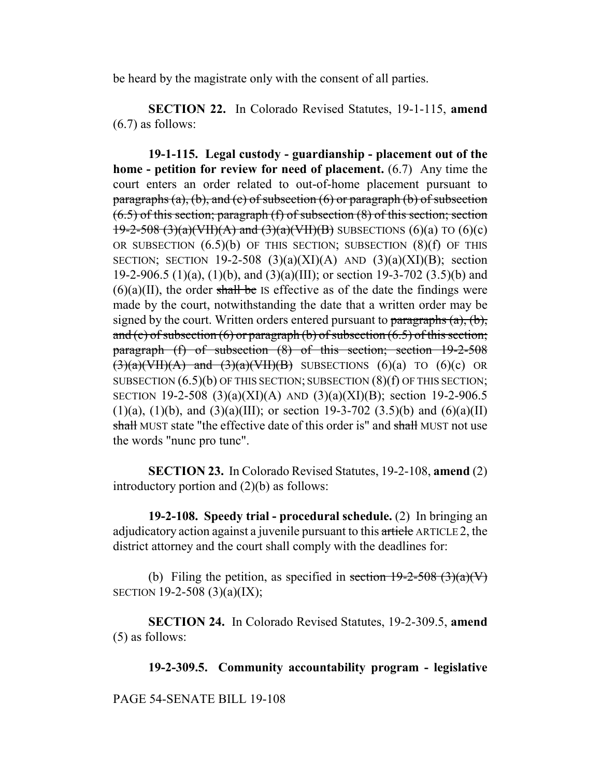be heard by the magistrate only with the consent of all parties.

**SECTION 22.** In Colorado Revised Statutes, 19-1-115, **amend** (6.7) as follows:

**19-1-115. Legal custody - guardianship - placement out of the home - petition for review for need of placement.** (6.7) Any time the court enters an order related to out-of-home placement pursuant to paragraphs (a), (b), and (c) of subsection (6) or paragraph (b) of subsection  $(6.5)$  of this section; paragraph (f) of subsection  $(8)$  of this section; section  $19-2-508$  (3)(a)(VII)(A) and (3)(a)(VII)(B) SUBSECTIONS (6)(a) TO (6)(c) OR SUBSECTION  $(6.5)(b)$  OF THIS SECTION; SUBSECTION  $(8)(f)$  OF THIS SECTION; SECTION 19-2-508  $(3)(a)(XI)(A)$  AND  $(3)(a)(XI)(B)$ ; section 19-2-906.5 (1)(a), (1)(b), and (3)(a)(III); or section 19-3-702 (3.5)(b) and  $(6)(a)(II)$ , the order shall be IS effective as of the date the findings were made by the court, notwithstanding the date that a written order may be signed by the court. Written orders entered pursuant to  $\frac{\partial}{\partial x}$  (a), (b), and (c) of subsection (6) or paragraph (b) of subsection  $(6.5)$  of this section; paragraph (f) of subsection (8) of this section; section 19-2-508  $(3)(a)(VII)(A)$  and  $(3)(a)(VII)(B)$  SUBSECTIONS  $(6)(a)$  TO  $(6)(c)$  OR SUBSECTION (6.5)(b) OF THIS SECTION; SUBSECTION (8)(f) OF THIS SECTION; SECTION 19-2-508 (3)(a)(XI)(A) AND (3)(a)(XI)(B); section 19-2-906.5 (1)(a), (1)(b), and (3)(a)(III); or section 19-3-702 (3.5)(b) and (6)(a)(II) shall MUST state "the effective date of this order is" and shall MUST not use the words "nunc pro tunc".

**SECTION 23.** In Colorado Revised Statutes, 19-2-108, **amend** (2) introductory portion and (2)(b) as follows:

**19-2-108. Speedy trial - procedural schedule.** (2) In bringing an adjudicatory action against a juvenile pursuant to this article ARTICLE 2, the district attorney and the court shall comply with the deadlines for:

(b) Filing the petition, as specified in section  $19-2-508$  (3)(a)(V) SECTION 19-2-508 (3)(a)(IX);

**SECTION 24.** In Colorado Revised Statutes, 19-2-309.5, **amend** (5) as follows:

**19-2-309.5. Community accountability program - legislative**

PAGE 54-SENATE BILL 19-108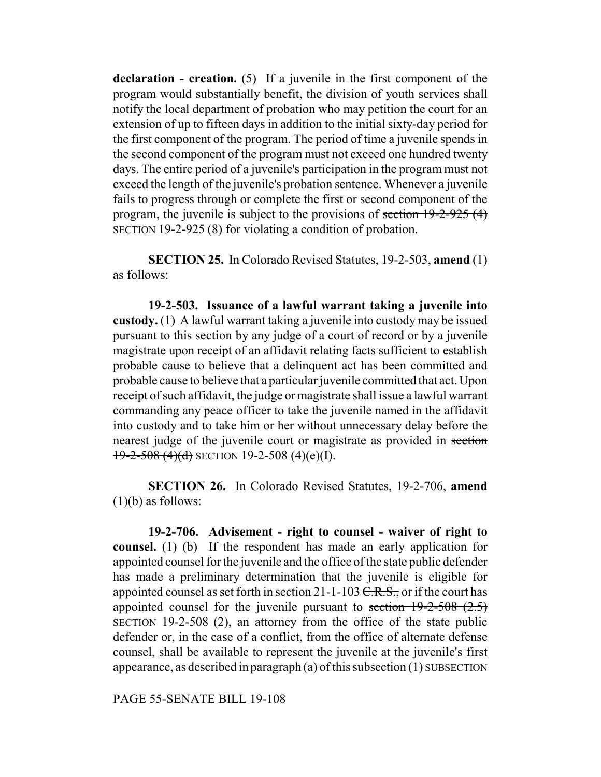**declaration - creation.** (5) If a juvenile in the first component of the program would substantially benefit, the division of youth services shall notify the local department of probation who may petition the court for an extension of up to fifteen days in addition to the initial sixty-day period for the first component of the program. The period of time a juvenile spends in the second component of the program must not exceed one hundred twenty days. The entire period of a juvenile's participation in the program must not exceed the length of the juvenile's probation sentence. Whenever a juvenile fails to progress through or complete the first or second component of the program, the juvenile is subject to the provisions of section 19-2-925 (4) SECTION 19-2-925 (8) for violating a condition of probation.

**SECTION 25.** In Colorado Revised Statutes, 19-2-503, **amend** (1) as follows:

**19-2-503. Issuance of a lawful warrant taking a juvenile into custody.** (1) A lawful warrant taking a juvenile into custody may be issued pursuant to this section by any judge of a court of record or by a juvenile magistrate upon receipt of an affidavit relating facts sufficient to establish probable cause to believe that a delinquent act has been committed and probable cause to believe that a particular juvenile committed that act. Upon receipt of such affidavit, the judge or magistrate shall issue a lawful warrant commanding any peace officer to take the juvenile named in the affidavit into custody and to take him or her without unnecessary delay before the nearest judge of the juvenile court or magistrate as provided in section  $19-2-508$  (4)(d) SECTION 19-2-508 (4)(e)(I).

**SECTION 26.** In Colorado Revised Statutes, 19-2-706, **amend**  $(1)(b)$  as follows:

**19-2-706. Advisement - right to counsel - waiver of right to counsel.** (1) (b) If the respondent has made an early application for appointed counsel for the juvenile and the office of the state public defender has made a preliminary determination that the juvenile is eligible for appointed counsel as set forth in section  $21$ -1-103 <del>C.R.S.,</del> or if the court has appointed counsel for the juvenile pursuant to section  $19-2-508$  (2.5) SECTION 19-2-508 (2), an attorney from the office of the state public defender or, in the case of a conflict, from the office of alternate defense counsel, shall be available to represent the juvenile at the juvenile's first appearance, as described in paragraph  $(a)$  of this subsection  $(1)$  SUBSECTION

PAGE 55-SENATE BILL 19-108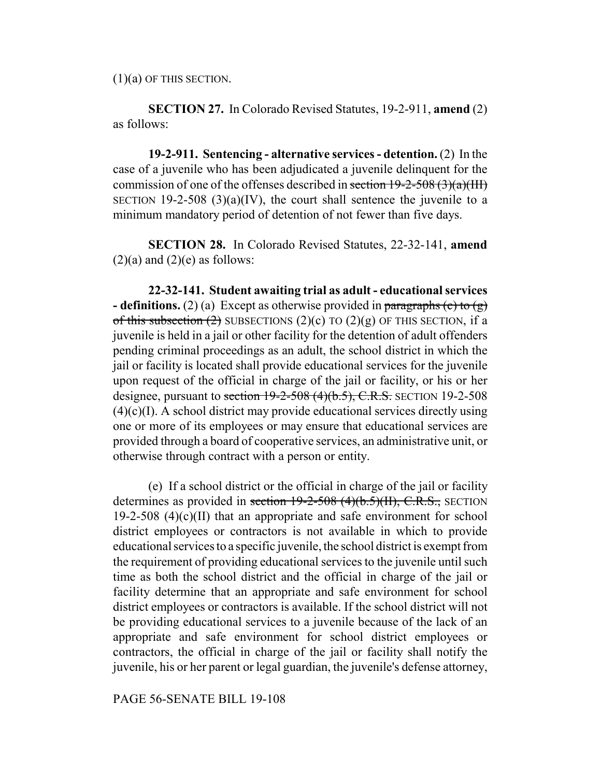$(1)(a)$  OF THIS SECTION.

**SECTION 27.** In Colorado Revised Statutes, 19-2-911, **amend** (2) as follows:

**19-2-911. Sentencing - alternative services - detention.** (2) In the case of a juvenile who has been adjudicated a juvenile delinquent for the commission of one of the offenses described in section  $19-2-508$  (3)(a)(III) SECTION 19-2-508  $(3)(a)(IV)$ , the court shall sentence the juvenile to a minimum mandatory period of detention of not fewer than five days.

**SECTION 28.** In Colorado Revised Statutes, 22-32-141, **amend**  $(2)(a)$  and  $(2)(e)$  as follows:

**22-32-141. Student awaiting trial as adult - educational services - definitions.** (2) (a) Except as otherwise provided in paragraphs (c) to (g) of this subsection  $(2)$  SUBSECTIONS  $(2)(c)$  TO  $(2)(g)$  OF THIS SECTION, if a juvenile is held in a jail or other facility for the detention of adult offenders pending criminal proceedings as an adult, the school district in which the jail or facility is located shall provide educational services for the juvenile upon request of the official in charge of the jail or facility, or his or her designee, pursuant to section  $19-2-508$  (4)(b.5), C.R.S. SECTION 19-2-508  $(4)(c)(I)$ . A school district may provide educational services directly using one or more of its employees or may ensure that educational services are provided through a board of cooperative services, an administrative unit, or otherwise through contract with a person or entity.

(e) If a school district or the official in charge of the jail or facility determines as provided in section  $19-2-508$  (4)(b.5)(II), C.R.S., SECTION 19-2-508  $(4)(c)(II)$  that an appropriate and safe environment for school district employees or contractors is not available in which to provide educational services to a specific juvenile, the school district is exempt from the requirement of providing educational services to the juvenile until such time as both the school district and the official in charge of the jail or facility determine that an appropriate and safe environment for school district employees or contractors is available. If the school district will not be providing educational services to a juvenile because of the lack of an appropriate and safe environment for school district employees or contractors, the official in charge of the jail or facility shall notify the juvenile, his or her parent or legal guardian, the juvenile's defense attorney,

PAGE 56-SENATE BILL 19-108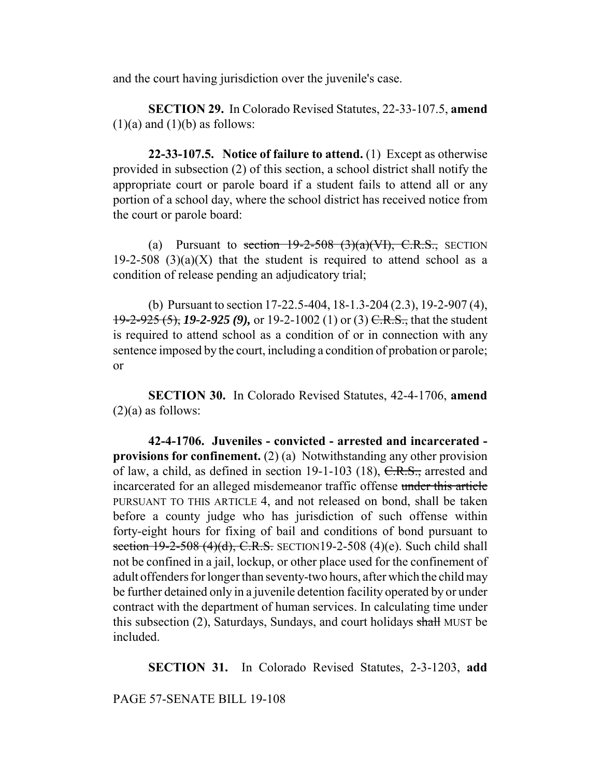and the court having jurisdiction over the juvenile's case.

**SECTION 29.** In Colorado Revised Statutes, 22-33-107.5, **amend**  $(1)(a)$  and  $(1)(b)$  as follows:

**22-33-107.5. Notice of failure to attend.** (1) Except as otherwise provided in subsection (2) of this section, a school district shall notify the appropriate court or parole board if a student fails to attend all or any portion of a school day, where the school district has received notice from the court or parole board:

(a) Pursuant to section  $19-2-508$  (3)(a)(VI), C.R.S., SECTION 19-2-508 (3)(a)(X) that the student is required to attend school as a condition of release pending an adjudicatory trial;

(b) Pursuant to section 17-22.5-404, 18-1.3-204 (2.3), 19-2-907 (4), 19-2-925 (5), *19-2-925 (9),* or 19-2-1002 (1) or (3) C.R.S., that the student is required to attend school as a condition of or in connection with any sentence imposed by the court, including a condition of probation or parole; or

**SECTION 30.** In Colorado Revised Statutes, 42-4-1706, **amend**  $(2)(a)$  as follows:

**42-4-1706. Juveniles - convicted - arrested and incarcerated provisions for confinement.** (2) (a) Notwithstanding any other provision of law, a child, as defined in section 19-1-103 (18), C.R.S., arrested and incarcerated for an alleged misdemeanor traffic offense under this article PURSUANT TO THIS ARTICLE 4, and not released on bond, shall be taken before a county judge who has jurisdiction of such offense within forty-eight hours for fixing of bail and conditions of bond pursuant to section  $19-2-508$  (4)(d), C.R.S. SECTION19-2-508 (4)(e). Such child shall not be confined in a jail, lockup, or other place used for the confinement of adult offenders for longer than seventy-two hours, after which the child may be further detained only in a juvenile detention facility operated by or under contract with the department of human services. In calculating time under this subsection (2), Saturdays, Sundays, and court holidays shall MUST be included.

**SECTION 31.** In Colorado Revised Statutes, 2-3-1203, **add**

PAGE 57-SENATE BILL 19-108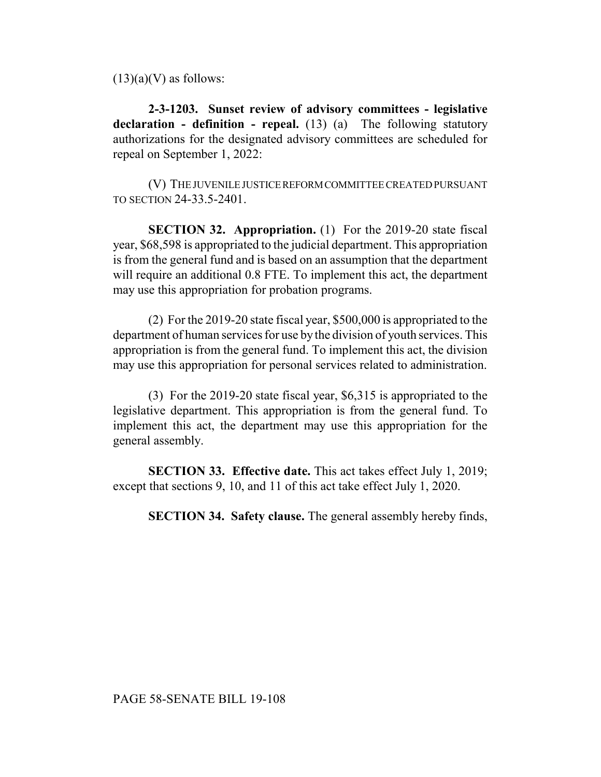$(13)(a)(V)$  as follows:

**2-3-1203. Sunset review of advisory committees - legislative declaration - definition - repeal.** (13) (a) The following statutory authorizations for the designated advisory committees are scheduled for repeal on September 1, 2022:

(V) THE JUVENILE JUSTICE REFORM COMMITTEE CREATED PURSUANT TO SECTION 24-33.5-2401.

**SECTION 32. Appropriation.** (1) For the 2019-20 state fiscal year, \$68,598 is appropriated to the judicial department. This appropriation is from the general fund and is based on an assumption that the department will require an additional 0.8 FTE. To implement this act, the department may use this appropriation for probation programs.

(2) For the 2019-20 state fiscal year, \$500,000 is appropriated to the department of human services for use by the division of youth services. This appropriation is from the general fund. To implement this act, the division may use this appropriation for personal services related to administration.

(3) For the 2019-20 state fiscal year, \$6,315 is appropriated to the legislative department. This appropriation is from the general fund. To implement this act, the department may use this appropriation for the general assembly.

**SECTION 33. Effective date.** This act takes effect July 1, 2019; except that sections 9, 10, and 11 of this act take effect July 1, 2020.

**SECTION 34. Safety clause.** The general assembly hereby finds,